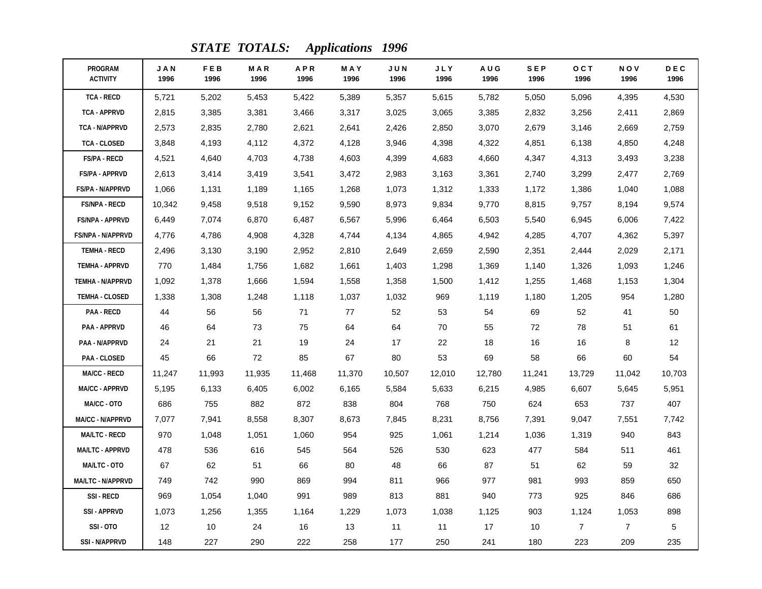*STATE TOTALS: Applications 1996*

| PROGRAM<br><b>ACTIVITY</b> | JAN<br>1996 | FEB<br>1996 | <b>MAR</b><br>1996 | <b>APR</b><br>1996 | <b>MAY</b><br>1996 | <b>JUN</b><br>1996 | <b>JLY</b><br>1996 | A U G<br>1996 | <b>SEP</b><br>1996 | <b>OCT</b><br>1996 | <b>NOV</b><br>1996 | <b>DEC</b><br>1996 |
|----------------------------|-------------|-------------|--------------------|--------------------|--------------------|--------------------|--------------------|---------------|--------------------|--------------------|--------------------|--------------------|
| <b>TCA - RECD</b>          | 5,721       | 5,202       | 5,453              | 5,422              | 5.389              | 5,357              | 5,615              | 5,782         | 5.050              | 5,096              | 4,395              | 4.530              |
| <b>TCA - APPRVD</b>        | 2,815       | 3,385       | 3,381              | 3,466              | 3,317              | 3,025              | 3,065              | 3,385         | 2,832              | 3,256              | 2,411              | 2,869              |
| <b>TCA - N/APPRVD</b>      | 2,573       | 2,835       | 2,780              | 2,621              | 2,641              | 2,426              | 2,850              | 3,070         | 2,679              | 3,146              | 2,669              | 2,759              |
| <b>TCA - CLOSED</b>        | 3,848       | 4,193       | 4,112              | 4,372              | 4,128              | 3,946              | 4,398              | 4,322         | 4,851              | 6,138              | 4,850              | 4,248              |
| <b>FS/PA - RECD</b>        | 4,521       | 4,640       | 4,703              | 4,738              | 4,603              | 4,399              | 4,683              | 4,660         | 4,347              | 4,313              | 3,493              | 3,238              |
| <b>FS/PA - APPRVD</b>      | 2,613       | 3,414       | 3,419              | 3,541              | 3,472              | 2,983              | 3,163              | 3,361         | 2,740              | 3,299              | 2,477              | 2,769              |
| FS/PA - N/APPRVD           | 1,066       | 1,131       | 1,189              | 1,165              | 1,268              | 1,073              | 1,312              | 1,333         | 1,172              | 1,386              | 1,040              | 1,088              |
| <b>FS/NPA - RECD</b>       | 10,342      | 9,458       | 9,518              | 9,152              | 9,590              | 8,973              | 9,834              | 9,770         | 8,815              | 9,757              | 8,194              | 9,574              |
| <b>FS/NPA - APPRVD</b>     | 6,449       | 7.074       | 6,870              | 6,487              | 6,567              | 5.996              | 6,464              | 6,503         | 5,540              | 6,945              | 6,006              | 7,422              |
| <b>FS/NPA - N/APPRVD</b>   | 4,776       | 4,786       | 4,908              | 4,328              | 4,744              | 4,134              | 4,865              | 4,942         | 4,285              | 4,707              | 4,362              | 5,397              |
| <b>TEMHA - RECD</b>        | 2,496       | 3,130       | 3,190              | 2,952              | 2,810              | 2,649              | 2,659              | 2,590         | 2,351              | 2,444              | 2,029              | 2,171              |
| <b>TEMHA - APPRVD</b>      | 770         | 1,484       | 1,756              | 1,682              | 1,661              | 1,403              | 1,298              | 1,369         | 1,140              | 1,326              | 1,093              | 1,246              |
| TEMHA - N/APPRVD           | 1,092       | 1,378       | 1,666              | 1,594              | 1,558              | 1,358              | 1,500              | 1,412         | 1,255              | 1,468              | 1,153              | 1,304              |
| TEMHA - CLOSED             | 1,338       | 1,308       | 1,248              | 1,118              | 1,037              | 1,032              | 969                | 1,119         | 1,180              | 1,205              | 954                | 1,280              |
| <b>PAA - RECD</b>          | 44          | 56          | 56                 | 71                 | 77                 | 52                 | 53                 | 54            | 69                 | 52                 | 41                 | 50                 |
| <b>PAA - APPRVD</b>        | 46          | 64          | 73                 | 75                 | 64                 | 64                 | 70                 | 55            | 72                 | 78                 | 51                 | 61                 |
| PAA - N/APPRVD             | 24          | 21          | 21                 | 19                 | 24                 | 17                 | 22                 | 18            | 16                 | 16                 | 8                  | 12                 |
| <b>PAA - CLOSED</b>        | 45          | 66          | 72                 | 85                 | 67                 | 80                 | 53                 | 69            | 58                 | 66                 | 60                 | 54                 |
| MA/CC - RECD               | 11,247      | 11,993      | 11,935             | 11,468             | 11,370             | 10,507             | 12,010             | 12,780        | 11,241             | 13,729             | 11,042             | 10,703             |
| MA/CC - APPRVD             | 5,195       | 6,133       | 6,405              | 6,002              | 6,165              | 5,584              | 5,633              | 6,215         | 4,985              | 6,607              | 5,645              | 5,951              |
| MA/CC - OTO                | 686         | 755         | 882                | 872                | 838                | 804                | 768                | 750           | 624                | 653                | 737                | 407                |
| MA/CC - N/APPRVD           | 7,077       | 7,941       | 8,558              | 8,307              | 8,673              | 7,845              | 8,231              | 8,756         | 7,391              | 9,047              | 7,551              | 7,742              |
| <b>MA/LTC - RECD</b>       | 970         | 1,048       | 1,051              | 1,060              | 954                | 925                | 1,061              | 1,214         | 1,036              | 1,319              | 940                | 843                |
| MA/LTC - APPRVD            | 478         | 536         | 616                | 545                | 564                | 526                | 530                | 623           | 477                | 584                | 511                | 461                |
| MA/LTC - OTO               | 67          | 62          | 51                 | 66                 | 80                 | 48                 | 66                 | 87            | 51                 | 62                 | 59                 | 32                 |
| <b>MA/LTC - N/APPRVD</b>   | 749         | 742         | 990                | 869                | 994                | 811                | 966                | 977           | 981                | 993                | 859                | 650                |
| SSI-RECD                   | 969         | 1,054       | 1,040              | 991                | 989                | 813                | 881                | 940           | 773                | 925                | 846                | 686                |
| <b>SSI-APPRVD</b>          | 1,073       | 1,256       | 1,355              | 1,164              | 1,229              | 1,073              | 1,038              | 1,125         | 903                | 1,124              | 1,053              | 898                |
| SSI-0TO                    | 12          | 10          | 24                 | 16                 | 13                 | 11                 | 11                 | 17            | 10                 | $\overline{7}$     | $\overline{7}$     | 5                  |
| <b>SSI - N/APPRVD</b>      | 148         | 227         | 290                | 222                | 258                | 177                | 250                | 241           | 180                | 223                | 209                | 235                |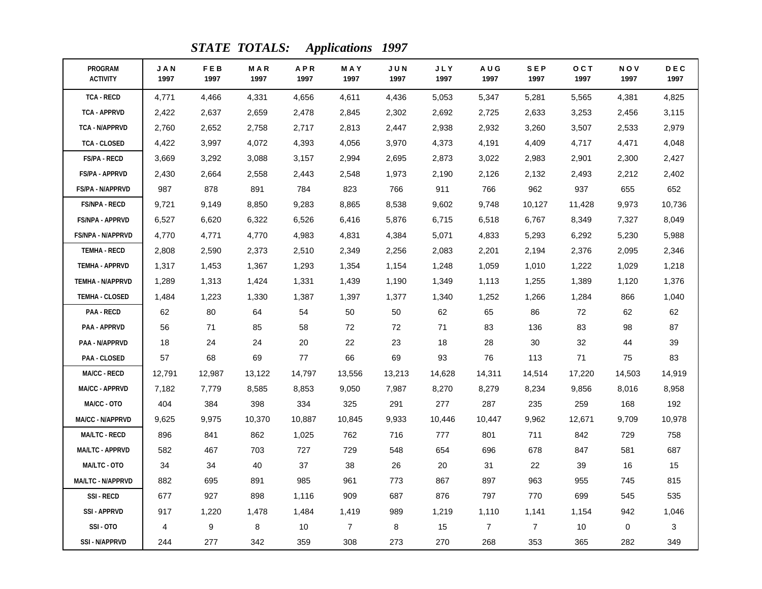*STATE TOTALS: Applications 1997*

| PROGRAM<br><b>ACTIVITY</b> | JAN<br>1997 | FEB<br>1997 | <b>MAR</b><br>1997 | <b>APR</b><br>1997 | <b>MAY</b><br>1997 | <b>JUN</b><br>1997 | <b>JLY</b><br>1997 | A U G<br>1997  | <b>SEP</b><br>1997 | <b>OCT</b><br>1997 | <b>NOV</b><br>1997 | <b>DEC</b><br>1997 |
|----------------------------|-------------|-------------|--------------------|--------------------|--------------------|--------------------|--------------------|----------------|--------------------|--------------------|--------------------|--------------------|
| <b>TCA - RECD</b>          | 4,771       | 4.466       | 4,331              | 4,656              | 4.611              | 4,436              | 5,053              | 5,347          | 5,281              | 5,565              | 4,381              | 4,825              |
| <b>TCA - APPRVD</b>        | 2,422       | 2,637       | 2,659              | 2,478              | 2,845              | 2,302              | 2,692              | 2,725          | 2,633              | 3,253              | 2,456              | 3,115              |
| <b>TCA - N/APPRVD</b>      | 2,760       | 2,652       | 2,758              | 2,717              | 2,813              | 2,447              | 2,938              | 2,932          | 3,260              | 3,507              | 2,533              | 2,979              |
| <b>TCA - CLOSED</b>        | 4,422       | 3,997       | 4,072              | 4,393              | 4,056              | 3,970              | 4,373              | 4,191          | 4,409              | 4,717              | 4,471              | 4,048              |
| FS/PA - RECD               | 3,669       | 3,292       | 3,088              | 3,157              | 2,994              | 2,695              | 2,873              | 3,022          | 2,983              | 2,901              | 2,300              | 2,427              |
| <b>FS/PA - APPRVD</b>      | 2,430       | 2,664       | 2,558              | 2,443              | 2,548              | 1,973              | 2,190              | 2,126          | 2,132              | 2,493              | 2,212              | 2,402              |
| FS/PA - N/APPRVD           | 987         | 878         | 891                | 784                | 823                | 766                | 911                | 766            | 962                | 937                | 655                | 652                |
| <b>FS/NPA - RECD</b>       | 9,721       | 9,149       | 8,850              | 9,283              | 8,865              | 8,538              | 9,602              | 9,748          | 10,127             | 11,428             | 9,973              | 10,736             |
| <b>FS/NPA - APPRVD</b>     | 6,527       | 6,620       | 6,322              | 6,526              | 6,416              | 5,876              | 6,715              | 6,518          | 6,767              | 8,349              | 7,327              | 8,049              |
| <b>FS/NPA - N/APPRVD</b>   | 4,770       | 4,771       | 4,770              | 4,983              | 4,831              | 4,384              | 5,071              | 4,833          | 5,293              | 6,292              | 5,230              | 5,988              |
| <b>TEMHA - RECD</b>        | 2,808       | 2,590       | 2,373              | 2,510              | 2,349              | 2,256              | 2,083              | 2,201          | 2,194              | 2,376              | 2,095              | 2,346              |
| <b>TEMHA - APPRVD</b>      | 1,317       | 1,453       | 1,367              | 1,293              | 1,354              | 1,154              | 1,248              | 1,059          | 1,010              | 1,222              | 1,029              | 1,218              |
| <b>TEMHA - N/APPRVD</b>    | 1,289       | 1,313       | 1,424              | 1,331              | 1,439              | 1,190              | 1,349              | 1,113          | 1,255              | 1,389              | 1,120              | 1,376              |
| TEMHA - CLOSED             | 1,484       | 1,223       | 1,330              | 1,387              | 1,397              | 1,377              | 1,340              | 1,252          | 1,266              | 1,284              | 866                | 1,040              |
| PAA - RECD                 | 62          | 80          | 64                 | 54                 | 50                 | 50                 | 62                 | 65             | 86                 | 72                 | 62                 | 62                 |
| <b>PAA - APPRVD</b>        | 56          | 71          | 85                 | 58                 | 72                 | 72                 | 71                 | 83             | 136                | 83                 | 98                 | 87                 |
| PAA - N/APPRVD             | 18          | 24          | 24                 | 20                 | 22                 | 23                 | 18                 | 28             | 30                 | 32                 | 44                 | 39                 |
| PAA - CLOSED               | 57          | 68          | 69                 | 77                 | 66                 | 69                 | 93                 | 76             | 113                | 71                 | 75                 | 83                 |
| MA/CC - RECD               | 12,791      | 12,987      | 13,122             | 14,797             | 13,556             | 13,213             | 14,628             | 14,311         | 14,514             | 17,220             | 14,503             | 14,919             |
| MA/CC - APPRVD             | 7,182       | 7,779       | 8,585              | 8,853              | 9,050              | 7,987              | 8,270              | 8,279          | 8,234              | 9,856              | 8,016              | 8,958              |
| MA/CC - OTO                | 404         | 384         | 398                | 334                | 325                | 291                | 277                | 287            | 235                | 259                | 168                | 192                |
| MA/CC - N/APPRVD           | 9,625       | 9,975       | 10,370             | 10,887             | 10,845             | 9,933              | 10,446             | 10,447         | 9,962              | 12,671             | 9,709              | 10,978             |
| <b>MA/LTC - RECD</b>       | 896         | 841         | 862                | 1,025              | 762                | 716                | 777                | 801            | 711                | 842                | 729                | 758                |
| MA/LTC - APPRVD            | 582         | 467         | 703                | 727                | 729                | 548                | 654                | 696            | 678                | 847                | 581                | 687                |
| MA/LTC - OTO               | 34          | 34          | 40                 | 37                 | 38                 | 26                 | 20                 | 31             | 22                 | 39                 | 16                 | 15                 |
| MA/LTC - N/APPRVD          | 882         | 695         | 891                | 985                | 961                | 773                | 867                | 897            | 963                | 955                | 745                | 815                |
| SSI-RECD                   | 677         | 927         | 898                | 1,116              | 909                | 687                | 876                | 797            | 770                | 699                | 545                | 535                |
| <b>SSI-APPRVD</b>          | 917         | 1,220       | 1,478              | 1,484              | 1,419              | 989                | 1,219              | 1,110          | 1,141              | 1,154              | 942                | 1,046              |
| SSI-0TO                    | 4           | 9           | 8                  | 10                 | $\overline{7}$     | 8                  | 15                 | $\overline{7}$ | $\overline{7}$     | 10                 | $\mathbf 0$        | 3                  |
| SSI - N/APPRVD             | 244         | 277         | 342                | 359                | 308                | 273                | 270                | 268            | 353                | 365                | 282                | 349                |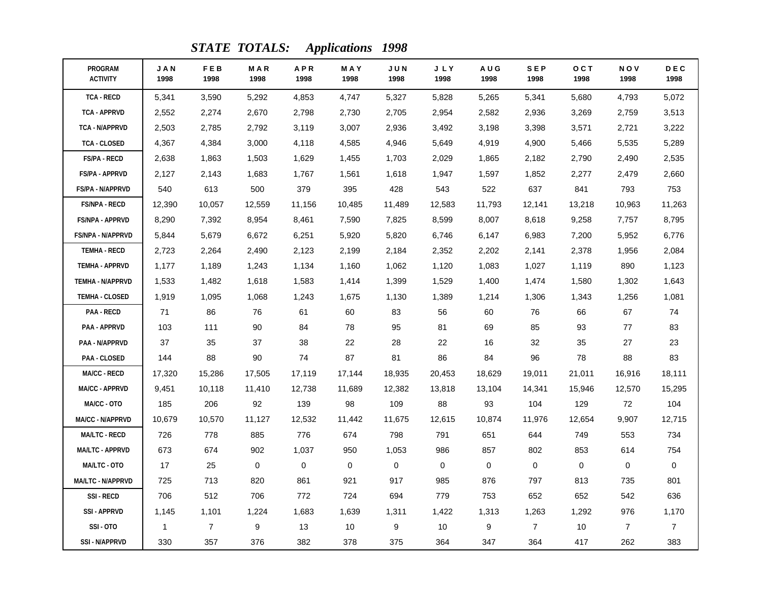*STATE TOTALS: Applications 1998*

| PROGRAM<br><b>ACTIVITY</b> | JAN<br>1998  | FEB<br>1998    | <b>MAR</b><br>1998 | <b>APR</b><br>1998 | <b>MAY</b><br>1998 | JUN<br>1998 | <b>JLY</b><br>1998 | A U G<br>1998 | <b>SEP</b><br>1998 | <b>OCT</b><br>1998 | <b>NOV</b><br>1998 | <b>DEC</b><br>1998 |
|----------------------------|--------------|----------------|--------------------|--------------------|--------------------|-------------|--------------------|---------------|--------------------|--------------------|--------------------|--------------------|
| <b>TCA - RECD</b>          | 5,341        | 3,590          | 5,292              | 4,853              | 4.747              | 5,327       | 5,828              | 5,265         | 5,341              | 5.680              | 4,793              | 5,072              |
| <b>TCA - APPRVD</b>        | 2,552        | 2,274          | 2,670              | 2,798              | 2,730              | 2,705       | 2,954              | 2,582         | 2,936              | 3,269              | 2,759              | 3,513              |
| <b>TCA - N/APPRVD</b>      | 2,503        | 2,785          | 2,792              | 3,119              | 3,007              | 2,936       | 3,492              | 3,198         | 3,398              | 3,571              | 2,721              | 3,222              |
| <b>TCA - CLOSED</b>        | 4,367        | 4,384          | 3,000              | 4,118              | 4,585              | 4,946       | 5,649              | 4,919         | 4,900              | 5,466              | 5,535              | 5,289              |
| <b>FS/PA - RECD</b>        | 2,638        | 1,863          | 1,503              | 1,629              | 1,455              | 1,703       | 2,029              | 1,865         | 2,182              | 2,790              | 2,490              | 2,535              |
| <b>FS/PA - APPRVD</b>      | 2,127        | 2,143          | 1,683              | 1,767              | 1,561              | 1,618       | 1,947              | 1,597         | 1,852              | 2,277              | 2,479              | 2,660              |
| FS/PA - N/APPRVD           | 540          | 613            | 500                | 379                | 395                | 428         | 543                | 522           | 637                | 841                | 793                | 753                |
| <b>FS/NPA - RECD</b>       | 12,390       | 10,057         | 12,559             | 11,156             | 10,485             | 11,489      | 12,583             | 11,793        | 12,141             | 13,218             | 10,963             | 11,263             |
| <b>FS/NPA - APPRVD</b>     | 8,290        | 7.392          | 8,954              | 8,461              | 7.590              | 7,825       | 8,599              | 8.007         | 8.618              | 9,258              | 7,757              | 8,795              |
| <b>FS/NPA - N/APPRVD</b>   | 5,844        | 5,679          | 6,672              | 6,251              | 5,920              | 5,820       | 6,746              | 6,147         | 6,983              | 7,200              | 5,952              | 6,776              |
| <b>TEMHA - RECD</b>        | 2,723        | 2,264          | 2,490              | 2,123              | 2,199              | 2,184       | 2,352              | 2,202         | 2,141              | 2,378              | 1,956              | 2,084              |
| <b>TEMHA - APPRVD</b>      | 1,177        | 1,189          | 1,243              | 1,134              | 1,160              | 1,062       | 1,120              | 1,083         | 1,027              | 1,119              | 890                | 1,123              |
| TEMHA - N/APPRVD           | 1,533        | 1,482          | 1,618              | 1,583              | 1,414              | 1,399       | 1,529              | 1,400         | 1,474              | 1,580              | 1,302              | 1,643              |
| <b>TEMHA - CLOSED</b>      | 1,919        | 1,095          | 1,068              | 1,243              | 1,675              | 1,130       | 1,389              | 1,214         | 1,306              | 1,343              | 1,256              | 1,081              |
| <b>PAA - RECD</b>          | 71           | 86             | 76                 | 61                 | 60                 | 83          | 56                 | 60            | 76                 | 66                 | 67                 | 74                 |
| <b>PAA - APPRVD</b>        | 103          | 111            | 90                 | 84                 | 78                 | 95          | 81                 | 69            | 85                 | 93                 | 77                 | 83                 |
| PAA - N/APPRVD             | 37           | 35             | 37                 | 38                 | 22                 | 28          | 22                 | 16            | 32                 | 35                 | 27                 | 23                 |
| <b>PAA - CLOSED</b>        | 144          | 88             | 90                 | 74                 | 87                 | 81          | 86                 | 84            | 96                 | 78                 | 88                 | 83                 |
| MA/CC - RECD               | 17,320       | 15,286         | 17,505             | 17,119             | 17,144             | 18,935      | 20,453             | 18,629        | 19,011             | 21,011             | 16,916             | 18,111             |
| MA/CC - APPRVD             | 9,451        | 10,118         | 11,410             | 12,738             | 11,689             | 12,382      | 13,818             | 13,104        | 14,341             | 15,946             | 12,570             | 15,295             |
| MA/CC - OTO                | 185          | 206            | 92                 | 139                | 98                 | 109         | 88                 | 93            | 104                | 129                | 72                 | 104                |
| MA/CC - N/APPRVD           | 10.679       | 10,570         | 11,127             | 12,532             | 11,442             | 11,675      | 12,615             | 10.874        | 11,976             | 12,654             | 9,907              | 12,715             |
| <b>MA/LTC - RECD</b>       | 726          | 778            | 885                | 776                | 674                | 798         | 791                | 651           | 644                | 749                | 553                | 734                |
| MA/LTC - APPRVD            | 673          | 674            | 902                | 1,037              | 950                | 1,053       | 986                | 857           | 802                | 853                | 614                | 754                |
| MA/LTC - OTO               | 17           | 25             | $\mathbf 0$        | 0                  | 0                  | 0           | $\mathbf 0$        | $\mathbf 0$   | 0                  | $\mathbf 0$        | 0                  | 0                  |
| <b>MA/LTC - N/APPRVD</b>   | 725          | 713            | 820                | 861                | 921                | 917         | 985                | 876           | 797                | 813                | 735                | 801                |
| SSI-RECD                   | 706          | 512            | 706                | 772                | 724                | 694         | 779                | 753           | 652                | 652                | 542                | 636                |
| <b>SSI-APPRVD</b>          | 1,145        | 1,101          | 1,224              | 1,683              | 1,639              | 1,311       | 1,422              | 1,313         | 1,263              | 1,292              | 976                | 1,170              |
| SSI-0TO                    | $\mathbf{1}$ | $\overline{7}$ | 9                  | 13                 | 10                 | 9           | 10                 | 9             | $\overline{7}$     | 10                 | $\overline{7}$     | $\overline{7}$     |
| SSI - N/APPRVD             | 330          | 357            | 376                | 382                | 378                | 375         | 364                | 347           | 364                | 417                | 262                | 383                |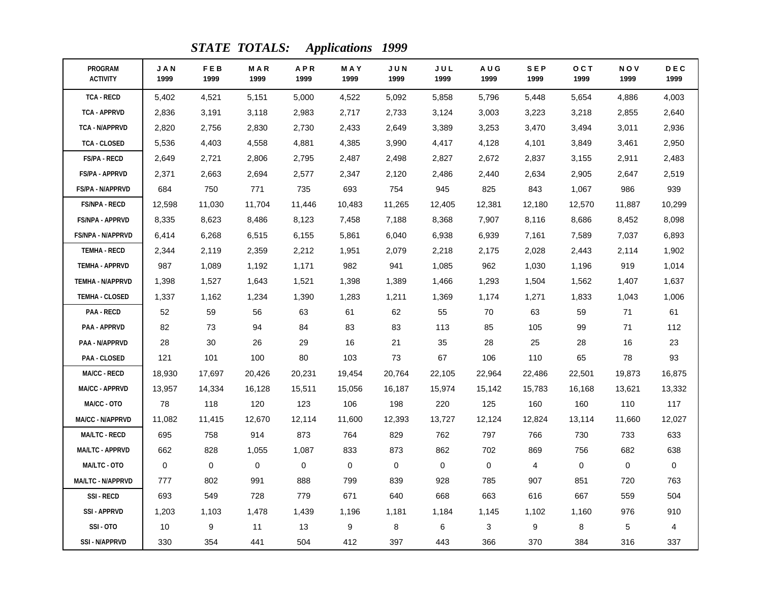*STATE TOTALS: Applications 1999*

| PROGRAM<br><b>ACTIVITY</b> | <b>JAN</b><br>1999 | FEB<br>1999 | <b>MAR</b><br>1999 | <b>APR</b><br>1999 | <b>MAY</b><br>1999 | JUN<br>1999 | <b>JUL</b><br>1999 | A U G<br>1999 | <b>SEP</b><br>1999 | OCT<br>1999 | <b>NOV</b><br>1999 | <b>DEC</b><br>1999 |
|----------------------------|--------------------|-------------|--------------------|--------------------|--------------------|-------------|--------------------|---------------|--------------------|-------------|--------------------|--------------------|
| <b>TCA - RECD</b>          | 5,402              | 4,521       | 5,151              | 5,000              | 4,522              | 5,092       | 5,858              | 5,796         | 5,448              | 5,654       | 4,886              | 4,003              |
| <b>TCA - APPRVD</b>        | 2,836              | 3,191       | 3,118              | 2,983              | 2,717              | 2,733       | 3,124              | 3,003         | 3,223              | 3,218       | 2,855              | 2,640              |
| <b>TCA - N/APPRVD</b>      | 2,820              | 2.756       | 2,830              | 2,730              | 2,433              | 2,649       | 3,389              | 3,253         | 3,470              | 3,494       | 3,011              | 2,936              |
| <b>TCA - CLOSED</b>        | 5,536              | 4,403       | 4,558              | 4,881              | 4,385              | 3,990       | 4,417              | 4,128         | 4,101              | 3,849       | 3,461              | 2,950              |
| <b>FS/PA - RECD</b>        | 2,649              | 2,721       | 2,806              | 2,795              | 2,487              | 2,498       | 2,827              | 2,672         | 2,837              | 3,155       | 2,911              | 2,483              |
| FS/PA - APPRVD             | 2,371              | 2,663       | 2,694              | 2,577              | 2,347              | 2,120       | 2,486              | 2,440         | 2,634              | 2,905       | 2,647              | 2,519              |
| FS/PA - N/APPRVD           | 684                | 750         | 771                | 735                | 693                | 754         | 945                | 825           | 843                | 1,067       | 986                | 939                |
| <b>FS/NPA - RECD</b>       | 12,598             | 11,030      | 11,704             | 11,446             | 10,483             | 11,265      | 12,405             | 12,381        | 12,180             | 12,570      | 11,887             | 10,299             |
| <b>FS/NPA - APPRVD</b>     | 8,335              | 8,623       | 8,486              | 8,123              | 7,458              | 7,188       | 8,368              | 7,907         | 8,116              | 8,686       | 8,452              | 8,098              |
| <b>FS/NPA - N/APPRVD</b>   | 6,414              | 6,268       | 6,515              | 6,155              | 5,861              | 6,040       | 6,938              | 6,939         | 7,161              | 7,589       | 7,037              | 6,893              |
| <b>TEMHA - RECD</b>        | 2,344              | 2,119       | 2,359              | 2,212              | 1,951              | 2,079       | 2,218              | 2,175         | 2,028              | 2,443       | 2,114              | 1,902              |
| <b>TEMHA - APPRVD</b>      | 987                | 1,089       | 1,192              | 1,171              | 982                | 941         | 1,085              | 962           | 1,030              | 1,196       | 919                | 1,014              |
| <b>TEMHA - N/APPRVD</b>    | 1,398              | 1,527       | 1,643              | 1,521              | 1,398              | 1,389       | 1,466              | 1,293         | 1,504              | 1,562       | 1,407              | 1,637              |
| <b>TEMHA - CLOSED</b>      | 1,337              | 1,162       | 1,234              | 1,390              | 1,283              | 1,211       | 1,369              | 1,174         | 1,271              | 1,833       | 1,043              | 1,006              |
| <b>PAA - RECD</b>          | 52                 | 59          | 56                 | 63                 | 61                 | 62          | 55                 | 70            | 63                 | 59          | 71                 | 61                 |
| PAA - APPRVD               | 82                 | 73          | 94                 | 84                 | 83                 | 83          | 113                | 85            | 105                | 99          | 71                 | 112                |
| PAA - N/APPRVD             | 28                 | 30          | 26                 | 29                 | 16                 | 21          | 35                 | 28            | 25                 | 28          | 16                 | 23                 |
| PAA - CLOSED               | 121                | 101         | 100                | 80                 | 103                | 73          | 67                 | 106           | 110                | 65          | 78                 | 93                 |
| MA/CC - RECD               | 18,930             | 17,697      | 20,426             | 20,231             | 19,454             | 20,764      | 22,105             | 22,964        | 22,486             | 22,501      | 19,873             | 16,875             |
| MA/CC - APPRVD             | 13,957             | 14,334      | 16,128             | 15,511             | 15,056             | 16,187      | 15,974             | 15,142        | 15,783             | 16,168      | 13,621             | 13,332             |
| MA/CC - OTO                | 78                 | 118         | 120                | 123                | 106                | 198         | 220                | 125           | 160                | 160         | 110                | 117                |
| <b>MA/CC - N/APPRVD</b>    | 11,082             | 11,415      | 12,670             | 12,114             | 11,600             | 12,393      | 13,727             | 12,124        | 12,824             | 13,114      | 11,660             | 12,027             |
| <b>MA/LTC - RECD</b>       | 695                | 758         | 914                | 873                | 764                | 829         | 762                | 797           | 766                | 730         | 733                | 633                |
| <b>MA/LTC - APPRVD</b>     | 662                | 828         | 1,055              | 1,087              | 833                | 873         | 862                | 702           | 869                | 756         | 682                | 638                |
| MA/LTC - OTO               | $\mathbf 0$        | $\mathbf 0$ | $\mathbf 0$        | $\mathbf 0$        | 0                  | 0           | $\mathbf 0$        | 0             | $\overline{4}$     | $\mathbf 0$ | $\mathbf 0$        | $\mathbf 0$        |
| <b>MA/LTC - N/APPRVD</b>   | 777                | 802         | 991                | 888                | 799                | 839         | 928                | 785           | 907                | 851         | 720                | 763                |
| SSI-RECD                   | 693                | 549         | 728                | 779                | 671                | 640         | 668                | 663           | 616                | 667         | 559                | 504                |
| <b>SSI-APPRVD</b>          | 1,203              | 1,103       | 1,478              | 1,439              | 1,196              | 1,181       | 1,184              | 1,145         | 1,102              | 1,160       | 976                | 910                |
| SSI-0TO                    | 10                 | 9           | 11                 | 13                 | 9                  | 8           | 6                  | 3             | 9                  | 8           | 5                  | 4                  |
| SSI - N/APPRVD             | 330                | 354         | 441                | 504                | 412                | 397         | 443                | 366           | 370                | 384         | 316                | 337                |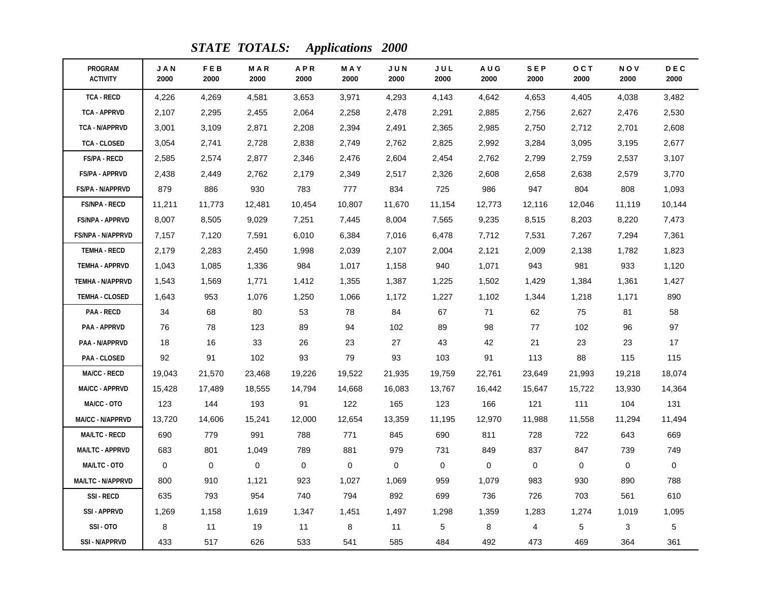*STATE TOTALS: Applications 2000*

| PROGRAM<br><b>ACTIVITY</b> | J A N<br>2000 | FEB<br>2000 | <b>MAR</b><br>2000 | <b>APR</b><br>2000 | <b>MAY</b><br>2000 | <b>JUN</b><br>2000 | JUL<br>2000 | A U G<br>2000 | <b>SEP</b><br>2000 | <b>OCT</b><br>2000 | <b>NOV</b><br>2000 | <b>DEC</b><br>2000 |
|----------------------------|---------------|-------------|--------------------|--------------------|--------------------|--------------------|-------------|---------------|--------------------|--------------------|--------------------|--------------------|
| <b>TCA - RECD</b>          | 4,226         | 4,269       | 4,581              | 3,653              | 3,971              | 4,293              | 4,143       | 4,642         | 4,653              | 4,405              | 4,038              | 3,482              |
| <b>TCA - APPRVD</b>        | 2,107         | 2,295       | 2,455              | 2,064              | 2,258              | 2,478              | 2,291       | 2,885         | 2,756              | 2,627              | 2,476              | 2,530              |
| <b>TCA - N/APPRVD</b>      | 3,001         | 3,109       | 2,871              | 2,208              | 2,394              | 2,491              | 2,365       | 2,985         | 2,750              | 2,712              | 2,701              | 2,608              |
| <b>TCA - CLOSED</b>        | 3,054         | 2,741       | 2,728              | 2,838              | 2,749              | 2,762              | 2,825       | 2,992         | 3,284              | 3,095              | 3,195              | 2,677              |
| <b>FS/PA - RECD</b>        | 2,585         | 2,574       | 2,877              | 2,346              | 2,476              | 2,604              | 2,454       | 2,762         | 2,799              | 2,759              | 2,537              | 3,107              |
| <b>FS/PA - APPRVD</b>      | 2,438         | 2,449       | 2,762              | 2,179              | 2,349              | 2,517              | 2,326       | 2,608         | 2,658              | 2,638              | 2,579              | 3,770              |
| FS/PA - N/APPRVD           | 879           | 886         | 930                | 783                | 777                | 834                | 725         | 986           | 947                | 804                | 808                | 1,093              |
| <b>FS/NPA - RECD</b>       | 11,211        | 11,773      | 12,481             | 10,454             | 10,807             | 11,670             | 11,154      | 12,773        | 12,116             | 12,046             | 11,119             | 10,144             |
| <b>FS/NPA - APPRVD</b>     | 8,007         | 8,505       | 9,029              | 7,251              | 7,445              | 8,004              | 7,565       | 9,235         | 8,515              | 8,203              | 8,220              | 7,473              |
| FS/NPA - N/APPRVD          | 7,157         | 7,120       | 7,591              | 6,010              | 6,384              | 7,016              | 6,478       | 7,712         | 7,531              | 7,267              | 7,294              | 7,361              |
| <b>TEMHA - RECD</b>        | 2,179         | 2,283       | 2,450              | 1,998              | 2,039              | 2,107              | 2,004       | 2,121         | 2,009              | 2,138              | 1,782              | 1,823              |
| <b>TEMHA - APPRVD</b>      | 1,043         | 1,085       | 1,336              | 984                | 1,017              | 1,158              | 940         | 1,071         | 943                | 981                | 933                | 1,120              |
| <b>TEMHA - N/APPRVD</b>    | 1,543         | 1,569       | 1,771              | 1,412              | 1,355              | 1,387              | 1,225       | 1,502         | 1,429              | 1,384              | 1,361              | 1,427              |
| TEMHA - CLOSED             | 1,643         | 953         | 1,076              | 1,250              | 1,066              | 1,172              | 1,227       | 1,102         | 1,344              | 1,218              | 1,171              | 890                |
| <b>PAA - RECD</b>          | 34            | 68          | 80                 | 53                 | 78                 | 84                 | 67          | 71            | 62                 | 75                 | 81                 | 58                 |
| PAA - APPRVD               | 76            | 78          | 123                | 89                 | 94                 | 102                | 89          | 98            | 77                 | 102                | 96                 | 97                 |
| PAA - N/APPRVD             | 18            | 16          | 33                 | 26                 | 23                 | 27                 | 43          | 42            | 21                 | 23                 | 23                 | 17                 |
| PAA - CLOSED               | 92            | 91          | 102                | 93                 | 79                 | 93                 | 103         | 91            | 113                | 88                 | 115                | 115                |
| <b>MA/CC - RECD</b>        | 19,043        | 21,570      | 23,468             | 19,226             | 19,522             | 21,935             | 19,759      | 22,761        | 23,649             | 21,993             | 19,218             | 18,074             |
| MA/CC - APPRVD             | 15,428        | 17,489      | 18,555             | 14,794             | 14,668             | 16,083             | 13,767      | 16,442        | 15,647             | 15,722             | 13,930             | 14,364             |
| MA/CC - OTO                | 123           | 144         | 193                | 91                 | 122                | 165                | 123         | 166           | 121                | 111                | 104                | 131                |
| MA/CC - N/APPRVD           | 13,720        | 14,606      | 15,241             | 12,000             | 12,654             | 13,359             | 11,195      | 12,970        | 11,988             | 11,558             | 11,294             | 11,494             |
| <b>MA/LTC - RECD</b>       | 690           | 779         | 991                | 788                | 771                | 845                | 690         | 811           | 728                | 722                | 643                | 669                |
| MA/LTC - APPRVD            | 683           | 801         | 1.049              | 789                | 881                | 979                | 731         | 849           | 837                | 847                | 739                | 749                |
| MA/LTC - OTO               | $\mathbf 0$   | $\mathbf 0$ | $\mathbf 0$        | $\pmb{0}$          | $\mathbf 0$        | $\mathbf 0$        | $\mathbf 0$ | $\pmb{0}$     | $\pmb{0}$          | $\mathbf 0$        | $\mathbf 0$        | $\mathbf 0$        |
| MA/LTC - N/APPRVD          | 800           | 910         | 1,121              | 923                | 1,027              | 1,069              | 959         | 1,079         | 983                | 930                | 890                | 788                |
| SSI-RECD                   | 635           | 793         | 954                | 740                | 794                | 892                | 699         | 736           | 726                | 703                | 561                | 610                |
| <b>SSI-APPRVD</b>          | 1,269         | 1,158       | 1,619              | 1,347              | 1,451              | 1,497              | 1,298       | 1,359         | 1,283              | 1,274              | 1,019              | 1,095              |
| SSI-0TO                    | 8             | 11          | 19                 | 11                 | 8                  | 11                 | 5           | 8             | 4                  | 5                  | 3                  | 5                  |
| SSI - N/APPRVD             | 433           | 517         | 626                | 533                | 541                | 585                | 484         | 492           | 473                | 469                | 364                | 361                |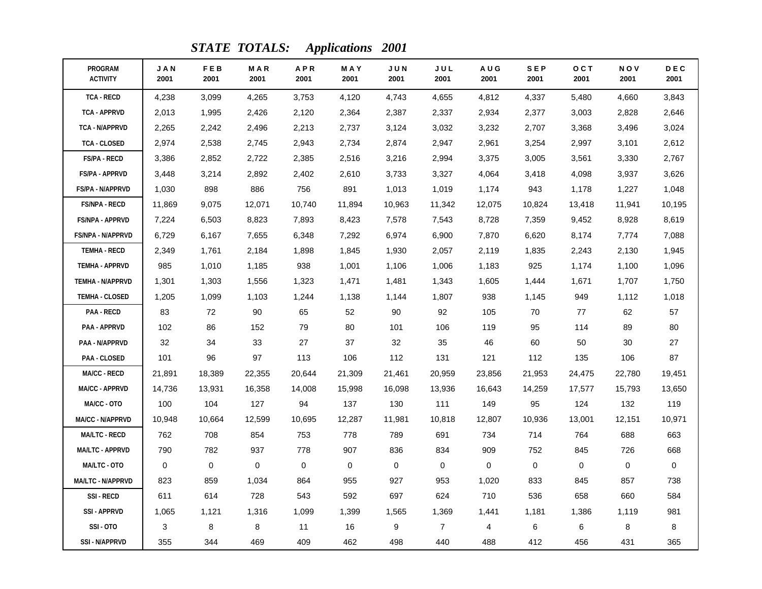*STATE TOTALS: Applications 2001*

| PROGRAM<br><b>ACTIVITY</b> | JAN<br>2001 | FEB<br>2001 | <b>MAR</b><br>2001 | <b>APR</b><br>2001 | <b>MAY</b><br>2001 | JUN<br>2001 | JUL<br>2001    | A U G<br>2001 | <b>SEP</b><br>2001 | <b>OCT</b><br>2001 | <b>NOV</b><br>2001 | <b>DEC</b><br>2001 |
|----------------------------|-------------|-------------|--------------------|--------------------|--------------------|-------------|----------------|---------------|--------------------|--------------------|--------------------|--------------------|
| <b>TCA - RECD</b>          | 4,238       | 3.099       | 4,265              | 3,753              | 4,120              | 4.743       | 4,655          | 4.812         | 4,337              | 5,480              | 4,660              | 3.843              |
| <b>TCA - APPRVD</b>        | 2,013       | 1,995       | 2,426              | 2,120              | 2,364              | 2,387       | 2,337          | 2,934         | 2,377              | 3,003              | 2,828              | 2,646              |
| <b>TCA - N/APPRVD</b>      | 2,265       | 2,242       | 2,496              | 2,213              | 2,737              | 3,124       | 3,032          | 3,232         | 2,707              | 3,368              | 3,496              | 3,024              |
| <b>TCA - CLOSED</b>        | 2,974       | 2,538       | 2,745              | 2,943              | 2,734              | 2,874       | 2,947          | 2,961         | 3,254              | 2,997              | 3,101              | 2,612              |
| <b>FS/PA - RECD</b>        | 3,386       | 2,852       | 2,722              | 2,385              | 2,516              | 3,216       | 2,994          | 3,375         | 3,005              | 3,561              | 3,330              | 2,767              |
| <b>FS/PA - APPRVD</b>      | 3,448       | 3,214       | 2,892              | 2,402              | 2,610              | 3,733       | 3,327          | 4,064         | 3,418              | 4,098              | 3,937              | 3,626              |
| FS/PA - N/APPRVD           | 1,030       | 898         | 886                | 756                | 891                | 1,013       | 1,019          | 1,174         | 943                | 1,178              | 1,227              | 1,048              |
| <b>FS/NPA - RECD</b>       | 11,869      | 9,075       | 12,071             | 10,740             | 11,894             | 10,963      | 11,342         | 12,075        | 10,824             | 13,418             | 11,941             | 10,195             |
| <b>FS/NPA - APPRVD</b>     | 7,224       | 6.503       | 8,823              | 7,893              | 8,423              | 7,578       | 7,543          | 8,728         | 7.359              | 9,452              | 8,928              | 8,619              |
| <b>FS/NPA - N/APPRVD</b>   | 6,729       | 6,167       | 7,655              | 6,348              | 7,292              | 6,974       | 6,900          | 7,870         | 6,620              | 8,174              | 7,774              | 7,088              |
| <b>TEMHA - RECD</b>        | 2,349       | 1,761       | 2,184              | 1,898              | 1,845              | 1,930       | 2,057          | 2,119         | 1,835              | 2,243              | 2,130              | 1,945              |
| <b>TEMHA - APPRVD</b>      | 985         | 1,010       | 1,185              | 938                | 1,001              | 1,106       | 1,006          | 1,183         | 925                | 1,174              | 1,100              | 1,096              |
| TEMHA - N/APPRVD           | 1,301       | 1,303       | 1,556              | 1,323              | 1,471              | 1,481       | 1,343          | 1,605         | 1,444              | 1,671              | 1,707              | 1,750              |
| TEMHA - CLOSED             | 1,205       | 1,099       | 1,103              | 1,244              | 1,138              | 1,144       | 1,807          | 938           | 1,145              | 949                | 1,112              | 1,018              |
| <b>PAA - RECD</b>          | 83          | 72          | 90                 | 65                 | 52                 | 90          | 92             | 105           | 70                 | 77                 | 62                 | 57                 |
| <b>PAA - APPRVD</b>        | 102         | 86          | 152                | 79                 | 80                 | 101         | 106            | 119           | 95                 | 114                | 89                 | 80                 |
| PAA - N/APPRVD             | 32          | 34          | 33                 | 27                 | 37                 | 32          | 35             | 46            | 60                 | 50                 | 30                 | 27                 |
| <b>PAA - CLOSED</b>        | 101         | 96          | 97                 | 113                | 106                | 112         | 131            | 121           | 112                | 135                | 106                | 87                 |
| MA/CC - RECD               | 21,891      | 18,389      | 22,355             | 20,644             | 21,309             | 21,461      | 20,959         | 23,856        | 21,953             | 24,475             | 22,780             | 19,451             |
| MA/CC - APPRVD             | 14,736      | 13,931      | 16,358             | 14,008             | 15,998             | 16,098      | 13,936         | 16,643        | 14,259             | 17,577             | 15,793             | 13,650             |
| MA/CC - OTO                | 100         | 104         | 127                | 94                 | 137                | 130         | 111            | 149           | 95                 | 124                | 132                | 119                |
| MA/CC - N/APPRVD           | 10.948      | 10.664      | 12,599             | 10,695             | 12,287             | 11,981      | 10,818         | 12,807        | 10,936             | 13,001             | 12,151             | 10,971             |
| <b>MA/LTC - RECD</b>       | 762         | 708         | 854                | 753                | 778                | 789         | 691            | 734           | 714                | 764                | 688                | 663                |
| MA/LTC - APPRVD            | 790         | 782         | 937                | 778                | 907                | 836         | 834            | 909           | 752                | 845                | 726                | 668                |
| MA/LTC - OTO               | 0           | $\mathbf 0$ | $\mathbf 0$        | 0                  | 0                  | 0           | $\mathbf 0$    | $\mathbf 0$   | 0                  | $\mathbf 0$        | $\mathbf 0$        | $\mathbf 0$        |
| <b>MA/LTC - N/APPRVD</b>   | 823         | 859         | 1,034              | 864                | 955                | 927         | 953            | 1,020         | 833                | 845                | 857                | 738                |
| SSI-RECD                   | 611         | 614         | 728                | 543                | 592                | 697         | 624            | 710           | 536                | 658                | 660                | 584                |
| <b>SSI-APPRVD</b>          | 1,065       | 1,121       | 1,316              | 1,099              | 1,399              | 1,565       | 1,369          | 1,441         | 1,181              | 1,386              | 1,119              | 981                |
| SSI-0TO                    | 3           | 8           | 8                  | 11                 | 16                 | 9           | $\overline{7}$ | 4             | 6                  | 6                  | 8                  | 8                  |
| SSI - N/APPRVD             | 355         | 344         | 469                | 409                | 462                | 498         | 440            | 488           | 412                | 456                | 431                | 365                |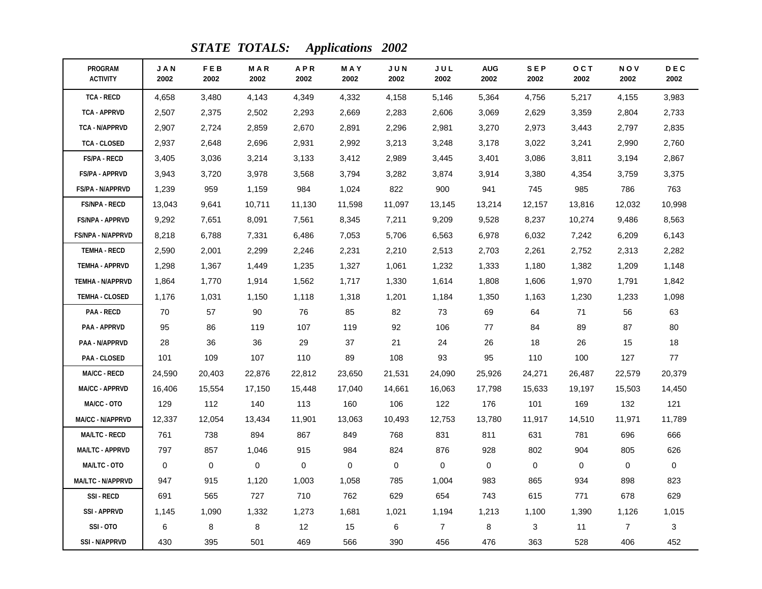*STATE TOTALS: Applications 2002*

| PROGRAM<br><b>ACTIVITY</b> | J A N<br>2002 | FEB<br>2002 | <b>MAR</b><br>2002 | <b>APR</b><br>2002 | <b>MAY</b><br>2002 | <b>JUN</b><br>2002 | JUL<br>2002    | <b>AUG</b><br>2002 | <b>SEP</b><br>2002 | <b>OCT</b><br>2002 | <b>NOV</b><br>2002 | <b>DEC</b><br>2002 |
|----------------------------|---------------|-------------|--------------------|--------------------|--------------------|--------------------|----------------|--------------------|--------------------|--------------------|--------------------|--------------------|
| <b>TCA - RECD</b>          | 4,658         | 3,480       | 4,143              | 4,349              | 4,332              | 4,158              | 5,146          | 5,364              | 4,756              | 5,217              | 4,155              | 3,983              |
| <b>TCA - APPRVD</b>        | 2,507         | 2,375       | 2,502              | 2,293              | 2,669              | 2,283              | 2,606          | 3,069              | 2,629              | 3,359              | 2,804              | 2,733              |
| <b>TCA - N/APPRVD</b>      | 2,907         | 2,724       | 2,859              | 2,670              | 2,891              | 2,296              | 2,981          | 3,270              | 2,973              | 3,443              | 2,797              | 2,835              |
| <b>TCA - CLOSED</b>        | 2,937         | 2,648       | 2,696              | 2,931              | 2,992              | 3,213              | 3,248          | 3,178              | 3,022              | 3,241              | 2,990              | 2,760              |
| <b>FS/PA - RECD</b>        | 3,405         | 3,036       | 3,214              | 3,133              | 3,412              | 2,989              | 3,445          | 3,401              | 3,086              | 3,811              | 3,194              | 2,867              |
| <b>FS/PA - APPRVD</b>      | 3,943         | 3,720       | 3,978              | 3,568              | 3,794              | 3,282              | 3,874          | 3,914              | 3,380              | 4,354              | 3,759              | 3,375              |
| FS/PA - N/APPRVD           | 1,239         | 959         | 1,159              | 984                | 1,024              | 822                | 900            | 941                | 745                | 985                | 786                | 763                |
| <b>FS/NPA - RECD</b>       | 13,043        | 9,641       | 10,711             | 11,130             | 11,598             | 11,097             | 13,145         | 13,214             | 12,157             | 13,816             | 12,032             | 10,998             |
| <b>FS/NPA - APPRVD</b>     | 9,292         | 7.651       | 8,091              | 7,561              | 8,345              | 7,211              | 9,209          | 9,528              | 8,237              | 10,274             | 9,486              | 8,563              |
| FS/NPA - N/APPRVD          | 8,218         | 6,788       | 7,331              | 6,486              | 7,053              | 5,706              | 6,563          | 6,978              | 6,032              | 7,242              | 6,209              | 6,143              |
| <b>TEMHA - RECD</b>        | 2,590         | 2,001       | 2,299              | 2,246              | 2,231              | 2,210              | 2,513          | 2,703              | 2,261              | 2,752              | 2,313              | 2,282              |
| <b>TEMHA - APPRVD</b>      | 1,298         | 1,367       | 1,449              | 1,235              | 1,327              | 1,061              | 1,232          | 1,333              | 1,180              | 1,382              | 1,209              | 1,148              |
| <b>TEMHA - N/APPRVD</b>    | 1,864         | 1,770       | 1,914              | 1,562              | 1,717              | 1,330              | 1,614          | 1,808              | 1,606              | 1,970              | 1,791              | 1,842              |
| TEMHA - CLOSED             | 1,176         | 1,031       | 1,150              | 1,118              | 1,318              | 1,201              | 1,184          | 1,350              | 1,163              | 1,230              | 1,233              | 1,098              |
| <b>PAA - RECD</b>          | 70            | 57          | 90                 | 76                 | 85                 | 82                 | 73             | 69                 | 64                 | 71                 | 56                 | 63                 |
| PAA - APPRVD               | 95            | 86          | 119                | 107                | 119                | 92                 | 106            | 77                 | 84                 | 89                 | 87                 | 80                 |
| PAA - N/APPRVD             | 28            | 36          | 36                 | 29                 | 37                 | 21                 | 24             | 26                 | 18                 | 26                 | 15                 | 18                 |
| PAA - CLOSED               | 101           | 109         | 107                | 110                | 89                 | 108                | 93             | 95                 | 110                | 100                | 127                | 77                 |
| <b>MA/CC - RECD</b>        | 24,590        | 20,403      | 22,876             | 22,812             | 23,650             | 21,531             | 24,090         | 25,926             | 24,271             | 26,487             | 22,579             | 20,379             |
| MA/CC - APPRVD             | 16,406        | 15,554      | 17,150             | 15,448             | 17,040             | 14,661             | 16,063         | 17,798             | 15,633             | 19,197             | 15,503             | 14,450             |
| MA/CC - OTO                | 129           | 112         | 140                | 113                | 160                | 106                | 122            | 176                | 101                | 169                | 132                | 121                |
| MA/CC - N/APPRVD           | 12,337        | 12,054      | 13,434             | 11,901             | 13,063             | 10,493             | 12,753         | 13,780             | 11,917             | 14,510             | 11,971             | 11,789             |
| <b>MA/LTC - RECD</b>       | 761           | 738         | 894                | 867                | 849                | 768                | 831            | 811                | 631                | 781                | 696                | 666                |
| MA/LTC - APPRVD            | 797           | 857         | 1,046              | 915                | 984                | 824                | 876            | 928                | 802                | 904                | 805                | 626                |
| MA/LTC - OTO               | $\pmb{0}$     | $\mathbf 0$ | $\mathbf 0$        | $\pmb{0}$          | $\mathbf 0$        | $\pmb{0}$          | $\mathbf 0$    | $\mathbf 0$        | $\pmb{0}$          | 0                  | $\mathbf 0$        | $\mathbf 0$        |
| MA/LTC - N/APPRVD          | 947           | 915         | 1,120              | 1,003              | 1,058              | 785                | 1,004          | 983                | 865                | 934                | 898                | 823                |
| SSI-RECD                   | 691           | 565         | 727                | 710                | 762                | 629                | 654            | 743                | 615                | 771                | 678                | 629                |
| SSI - APPRVD               | 1,145         | 1,090       | 1,332              | 1,273              | 1,681              | 1,021              | 1,194          | 1,213              | 1,100              | 1,390              | 1,126              | 1,015              |
| SSI-0TO                    | 6             | 8           | 8                  | 12                 | 15                 | 6                  | $\overline{7}$ | 8                  | 3                  | 11                 | $\overline{7}$     | 3                  |
| SSI - N/APPRVD             | 430           | 395         | 501                | 469                | 566                | 390                | 456            | 476                | 363                | 528                | 406                | 452                |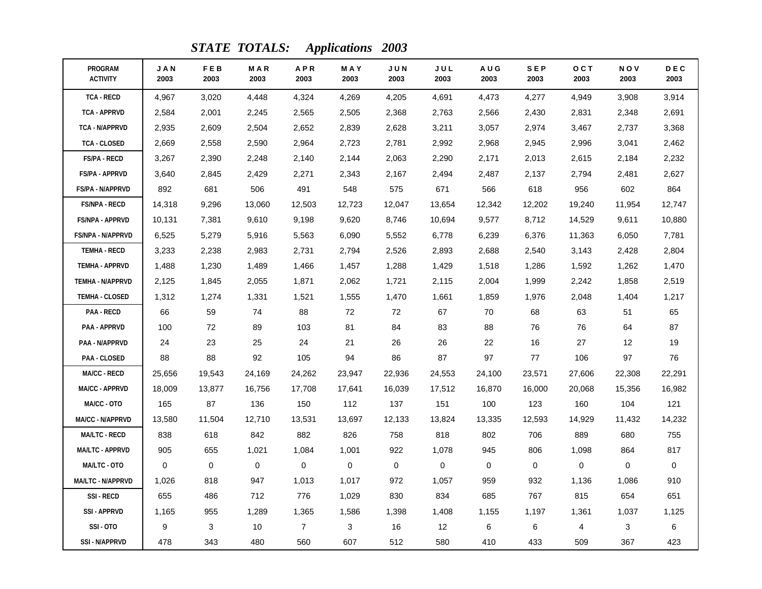*STATE TOTALS: Applications 2003*

| <b>PROGRAM</b><br><b>ACTIVITY</b> | J A N<br>2003 | FEB<br>2003 | <b>MAR</b><br>2003 | APR<br>2003    | <b>MAY</b><br>2003 | <b>JUN</b><br>2003 | JUL<br>2003 | A U G<br>2003 | <b>SEP</b><br>2003 | <b>OCT</b><br>2003 | <b>NOV</b><br>2003 | <b>DEC</b><br>2003 |
|-----------------------------------|---------------|-------------|--------------------|----------------|--------------------|--------------------|-------------|---------------|--------------------|--------------------|--------------------|--------------------|
| <b>TCA - RECD</b>                 | 4,967         | 3,020       | 4,448              | 4,324          | 4,269              | 4,205              | 4,691       | 4,473         | 4,277              | 4,949              | 3,908              | 3,914              |
| <b>TCA - APPRVD</b>               | 2,584         | 2,001       | 2,245              | 2,565          | 2,505              | 2,368              | 2,763       | 2,566         | 2,430              | 2,831              | 2,348              | 2,691              |
| <b>TCA - N/APPRVD</b>             | 2,935         | 2,609       | 2,504              | 2,652          | 2,839              | 2,628              | 3,211       | 3,057         | 2,974              | 3,467              | 2,737              | 3,368              |
| <b>TCA - CLOSED</b>               | 2,669         | 2,558       | 2,590              | 2,964          | 2,723              | 2,781              | 2,992       | 2,968         | 2,945              | 2,996              | 3,041              | 2,462              |
| <b>FS/PA - RECD</b>               | 3,267         | 2,390       | 2,248              | 2,140          | 2,144              | 2,063              | 2,290       | 2,171         | 2,013              | 2,615              | 2,184              | 2,232              |
| <b>FS/PA - APPRVD</b>             | 3,640         | 2,845       | 2,429              | 2,271          | 2,343              | 2,167              | 2,494       | 2,487         | 2,137              | 2,794              | 2,481              | 2,627              |
| <b>FS/PA - N/APPRVD</b>           | 892           | 681         | 506                | 491            | 548                | 575                | 671         | 566           | 618                | 956                | 602                | 864                |
| <b>FS/NPA - RECD</b>              | 14,318        | 9,296       | 13,060             | 12,503         | 12,723             | 12,047             | 13,654      | 12,342        | 12,202             | 19,240             | 11,954             | 12,747             |
| <b>FS/NPA - APPRVD</b>            | 10,131        | 7,381       | 9,610              | 9,198          | 9,620              | 8,746              | 10,694      | 9,577         | 8,712              | 14,529             | 9,611              | 10,880             |
| FS/NPA - N/APPRVD                 | 6,525         | 5,279       | 5,916              | 5,563          | 6,090              | 5,552              | 6,778       | 6,239         | 6,376              | 11,363             | 6,050              | 7,781              |
| <b>TEMHA - RECD</b>               | 3,233         | 2,238       | 2,983              | 2,731          | 2,794              | 2,526              | 2,893       | 2,688         | 2,540              | 3,143              | 2,428              | 2,804              |
| <b>TEMHA - APPRVD</b>             | 1,488         | 1,230       | 1,489              | 1,466          | 1,457              | 1,288              | 1,429       | 1,518         | 1,286              | 1,592              | 1,262              | 1,470              |
| <b>TEMHA - N/APPRVD</b>           | 2,125         | 1,845       | 2,055              | 1,871          | 2,062              | 1,721              | 2,115       | 2,004         | 1,999              | 2,242              | 1,858              | 2,519              |
| <b>TEMHA - CLOSED</b>             | 1,312         | 1,274       | 1,331              | 1,521          | 1,555              | 1,470              | 1,661       | 1,859         | 1,976              | 2,048              | 1,404              | 1,217              |
| <b>PAA - RECD</b>                 | 66            | 59          | 74                 | 88             | 72                 | 72                 | 67          | 70            | 68                 | 63                 | 51                 | 65                 |
| <b>PAA - APPRVD</b>               | 100           | 72          | 89                 | 103            | 81                 | 84                 | 83          | 88            | 76                 | 76                 | 64                 | 87                 |
| PAA - N/APPRVD                    | 24            | 23          | 25                 | 24             | 21                 | 26                 | 26          | 22            | 16                 | 27                 | 12                 | 19                 |
| <b>PAA - CLOSED</b>               | 88            | 88          | 92                 | 105            | 94                 | 86                 | 87          | 97            | 77                 | 106                | 97                 | 76                 |
| MA/CC - RECD                      | 25,656        | 19,543      | 24,169             | 24,262         | 23,947             | 22,936             | 24,553      | 24,100        | 23,571             | 27,606             | 22,308             | 22,291             |
| MA/CC - APPRVD                    | 18,009        | 13,877      | 16,756             | 17,708         | 17,641             | 16,039             | 17,512      | 16,870        | 16,000             | 20,068             | 15,356             | 16,982             |
| MA/CC - OTO                       | 165           | 87          | 136                | 150            | 112                | 137                | 151         | 100           | 123                | 160                | 104                | 121                |
| <b>MA/CC - N/APPRVD</b>           | 13,580        | 11,504      | 12,710             | 13,531         | 13,697             | 12,133             | 13,824      | 13,335        | 12,593             | 14,929             | 11,432             | 14,232             |
| <b>MA/LTC - RECD</b>              | 838           | 618         | 842                | 882            | 826                | 758                | 818         | 802           | 706                | 889                | 680                | 755                |
| MA/LTC - APPRVD                   | 905           | 655         | 1,021              | 1,084          | 1,001              | 922                | 1,078       | 945           | 806                | 1,098              | 864                | 817                |
| MA/LTC - OTO                      | $\Omega$      | $\mathbf 0$ | $\mathbf 0$        | $\mathbf 0$    | $\mathbf 0$        | $\mathbf 0$        | $\mathbf 0$ | $\mathbf 0$   | 0                  | $\mathbf 0$        | $\mathbf 0$        | $\mathbf 0$        |
| <b>MA/LTC - N/APPRVD</b>          | 1,026         | 818         | 947                | 1,013          | 1,017              | 972                | 1,057       | 959           | 932                | 1,136              | 1,086              | 910                |
| SSI-RECD                          | 655           | 486         | 712                | 776            | 1,029              | 830                | 834         | 685           | 767                | 815                | 654                | 651                |
| <b>SSI-APPRVD</b>                 | 1,165         | 955         | 1,289              | 1,365          | 1,586              | 1,398              | 1,408       | 1,155         | 1,197              | 1,361              | 1,037              | 1,125              |
| SSI-0TO                           | 9             | 3           | 10                 | $\overline{7}$ | 3                  | 16                 | 12          | 6             | 6                  | $\overline{4}$     | 3                  | 6                  |
| SSI - N/APPRVD                    | 478           | 343         | 480                | 560            | 607                | 512                | 580         | 410           | 433                | 509                | 367                | 423                |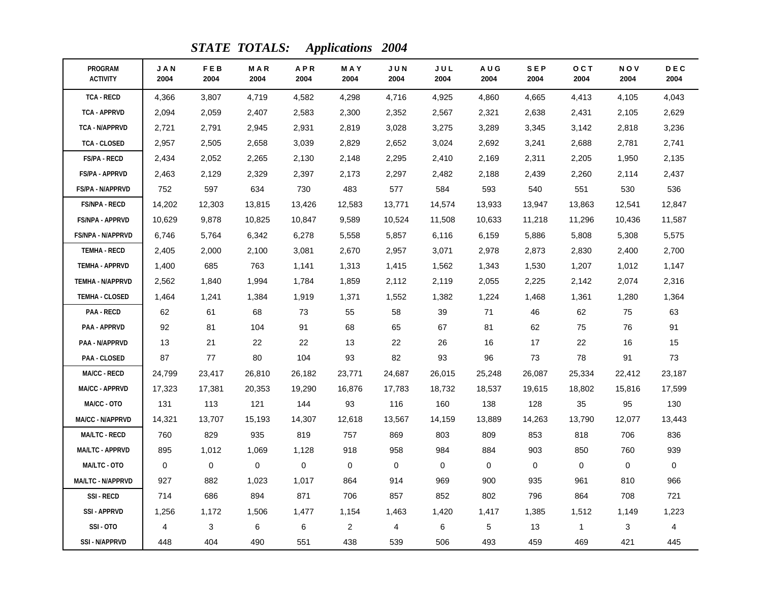*STATE TOTALS: Applications 2004*

| PROGRAM<br><b>ACTIVITY</b> | JAN<br>2004 | FEB<br>2004 | <b>MAR</b><br>2004 | <b>APR</b><br>2004 | <b>MAY</b><br>2004 | J U N<br>2004 | JUL<br>2004 | A U G<br>2004 | <b>SEP</b><br>2004 | <b>OCT</b><br>2004 | <b>NOV</b><br>2004 | <b>DEC</b><br>2004 |
|----------------------------|-------------|-------------|--------------------|--------------------|--------------------|---------------|-------------|---------------|--------------------|--------------------|--------------------|--------------------|
| <b>TCA - RECD</b>          | 4,366       | 3,807       | 4,719              | 4,582              | 4,298              | 4,716         | 4,925       | 4,860         | 4,665              | 4,413              | 4,105              | 4,043              |
| <b>TCA - APPRVD</b>        | 2,094       | 2,059       | 2,407              | 2,583              | 2,300              | 2,352         | 2,567       | 2,321         | 2,638              | 2,431              | 2,105              | 2,629              |
| <b>TCA - N/APPRVD</b>      | 2,721       | 2,791       | 2,945              | 2,931              | 2,819              | 3,028         | 3,275       | 3,289         | 3,345              | 3,142              | 2,818              | 3,236              |
| <b>TCA - CLOSED</b>        | 2,957       | 2,505       | 2,658              | 3,039              | 2,829              | 2,652         | 3,024       | 2,692         | 3,241              | 2,688              | 2,781              | 2,741              |
| <b>FS/PA - RECD</b>        | 2,434       | 2,052       | 2,265              | 2,130              | 2,148              | 2,295         | 2,410       | 2,169         | 2,311              | 2,205              | 1,950              | 2,135              |
| <b>FS/PA - APPRVD</b>      | 2,463       | 2,129       | 2,329              | 2,397              | 2,173              | 2,297         | 2,482       | 2,188         | 2,439              | 2,260              | 2,114              | 2,437              |
| FS/PA - N/APPRVD           | 752         | 597         | 634                | 730                | 483                | 577           | 584         | 593           | 540                | 551                | 530                | 536                |
| <b>FS/NPA - RECD</b>       | 14,202      | 12,303      | 13,815             | 13,426             | 12,583             | 13,771        | 14,574      | 13,933        | 13,947             | 13,863             | 12,541             | 12,847             |
| <b>FS/NPA - APPRVD</b>     | 10,629      | 9,878       | 10,825             | 10,847             | 9,589              | 10,524        | 11,508      | 10,633        | 11,218             | 11,296             | 10,436             | 11,587             |
| FS/NPA - N/APPRVD          | 6,746       | 5,764       | 6,342              | 6,278              | 5,558              | 5,857         | 6,116       | 6,159         | 5,886              | 5,808              | 5,308              | 5,575              |
| <b>TEMHA - RECD</b>        | 2,405       | 2,000       | 2,100              | 3,081              | 2,670              | 2,957         | 3,071       | 2,978         | 2,873              | 2,830              | 2,400              | 2,700              |
| <b>TEMHA - APPRVD</b>      | 1,400       | 685         | 763                | 1,141              | 1,313              | 1,415         | 1,562       | 1,343         | 1,530              | 1,207              | 1,012              | 1,147              |
| <b>TEMHA - N/APPRVD</b>    | 2,562       | 1,840       | 1,994              | 1,784              | 1,859              | 2,112         | 2,119       | 2,055         | 2,225              | 2,142              | 2,074              | 2,316              |
| TEMHA - CLOSED             | 1,464       | 1,241       | 1,384              | 1,919              | 1,371              | 1,552         | 1,382       | 1,224         | 1,468              | 1,361              | 1,280              | 1,364              |
| PAA - RECD                 | 62          | 61          | 68                 | 73                 | 55                 | 58            | 39          | 71            | 46                 | 62                 | 75                 | 63                 |
| PAA - APPRVD               | 92          | 81          | 104                | 91                 | 68                 | 65            | 67          | 81            | 62                 | 75                 | 76                 | 91                 |
| PAA - N/APPRVD             | 13          | 21          | 22                 | 22                 | 13                 | 22            | 26          | 16            | 17                 | 22                 | 16                 | 15                 |
| PAA - CLOSED               | 87          | 77          | 80                 | 104                | 93                 | 82            | 93          | 96            | 73                 | 78                 | 91                 | 73                 |
| <b>MA/CC - RECD</b>        | 24,799      | 23,417      | 26,810             | 26,182             | 23,771             | 24,687        | 26,015      | 25,248        | 26,087             | 25,334             | 22,412             | 23,187             |
| MA/CC - APPRVD             | 17,323      | 17,381      | 20,353             | 19,290             | 16,876             | 17,783        | 18,732      | 18,537        | 19,615             | 18,802             | 15,816             | 17,599             |
| MA/CC - OTO                | 131         | 113         | 121                | 144                | 93                 | 116           | 160         | 138           | 128                | 35                 | 95                 | 130                |
| MA/CC - N/APPRVD           | 14,321      | 13,707      | 15,193             | 14,307             | 12,618             | 13,567        | 14,159      | 13,889        | 14,263             | 13,790             | 12,077             | 13,443             |
| <b>MA/LTC - RECD</b>       | 760         | 829         | 935                | 819                | 757                | 869           | 803         | 809           | 853                | 818                | 706                | 836                |
| MA/LTC - APPRVD            | 895         | 1.012       | 1,069              | 1,128              | 918                | 958           | 984         | 884           | 903                | 850                | 760                | 939                |
| MA/LTC - OTO               | 0           | 0           | $\mathbf 0$        | $\pmb{0}$          | $\mathbf 0$        | 0             | $\mathbf 0$ | $\mathbf 0$   | $\pmb{0}$          | 0                  | $\mathbf 0$        | $\mathbf 0$        |
| MA/LTC - N/APPRVD          | 927         | 882         | 1,023              | 1,017              | 864                | 914           | 969         | 900           | 935                | 961                | 810                | 966                |
| SSI-RECD                   | 714         | 686         | 894                | 871                | 706                | 857           | 852         | 802           | 796                | 864                | 708                | 721                |
| <b>SSI-APPRVD</b>          | 1,256       | 1,172       | 1,506              | 1,477              | 1,154              | 1,463         | 1,420       | 1,417         | 1,385              | 1,512              | 1,149              | 1,223              |
| SSI-0TO                    | 4           | 3           | 6                  | 6                  | $\overline{2}$     | 4             | 6           | 5             | 13                 | $\mathbf{1}$       | 3                  | 4                  |
| <b>SSI-N/APPRVD</b>        | 448         | 404         | 490                | 551                | 438                | 539           | 506         | 493           | 459                | 469                | 421                | 445                |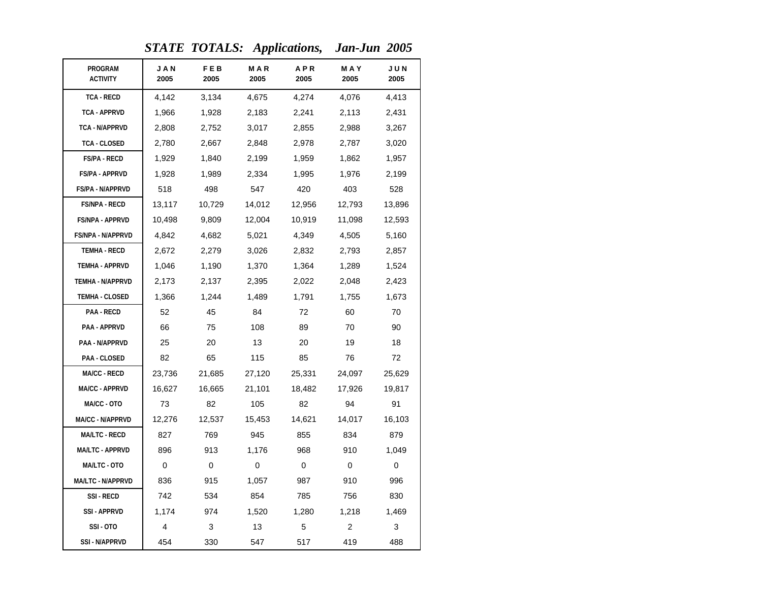*STATE TOTALS: Applications, Jan-Jun 2005*

| PROGRAM<br><b>ACTIVITY</b> | JAN<br>2005 | FEB<br>2005 | <b>MAR</b><br>2005 | <b>APR</b><br>2005 | MAY<br>2005 | JUN<br>2005 |
|----------------------------|-------------|-------------|--------------------|--------------------|-------------|-------------|
| <b>TCA - RECD</b>          | 4,142       | 3,134       | 4,675              | 4,274              | 4,076       | 4,413       |
| <b>TCA - APPRVD</b>        | 1,966       | 1,928       | 2,183              | 2,241              | 2,113       | 2,431       |
| <b>TCA - N/APPRVD</b>      | 2,808       | 2,752       | 3,017              | 2,855              | 2,988       | 3,267       |
| <b>TCA - CLOSED</b>        | 2,780       | 2,667       | 2,848              | 2,978              | 2,787       | 3,020       |
| FS/PA - RECD               | 1,929       | 1,840       | 2,199              | 1,959              | 1,862       | 1,957       |
| <b>FS/PA - APPRVD</b>      | 1,928       | 1,989       | 2,334              | 1,995              | 1,976       | 2,199       |
| FS/PA - N/APPRVD           | 518         | 498         | 547                | 420                | 403         | 528         |
| <b>FS/NPA - RECD</b>       | 13,117      | 10,729      | 14,012             | 12,956             | 12,793      | 13,896      |
| <b>FS/NPA - APPRVD</b>     | 10,498      | 9,809       | 12,004             | 10,919             | 11,098      | 12,593      |
| <b>FS/NPA - N/APPRVD</b>   | 4,842       | 4,682       | 5,021              | 4,349              | 4,505       | 5,160       |
| <b>TEMHA - RECD</b>        | 2,672       | 2,279       | 3,026              | 2,832              | 2,793       | 2,857       |
| <b>TEMHA - APPRVD</b>      | 1,046       | 1,190       | 1,370              | 1,364              | 1,289       | 1,524       |
| <b>TEMHA - N/APPRVD</b>    | 2,173       | 2,137       | 2,395              | 2,022              | 2,048       | 2,423       |
| <b>TEMHA - CLOSED</b>      | 1,366       | 1,244       | 1,489              | 1,791              | 1,755       | 1,673       |
| <b>PAA - RECD</b>          | 52          | 45          | 84                 | 72                 | 60          | 70          |
| PAA - APPRVD               | 66          | 75          | 108                | 89                 | 70          | 90          |
| PAA - N/APPRVD             | 25          | 20          | 13                 | 20                 | 19          | 18          |
| PAA - CLOSED               | 82          | 65          | 115                | 85                 | 76          | 72          |
| MA/CC - RECD               | 23,736      | 21,685      | 27,120             | 25,331             | 24,097      | 25,629      |
| MA/CC - APPRVD             | 16,627      | 16,665      | 21,101             | 18,482             | 17,926      | 19,817      |
| MA/CC - OTO                | 73          | 82          | 105                | 82                 | 94          | 91          |
| MA/CC - N/APPRVD           | 12,276      | 12,537      | 15,453             | 14,621             | 14,017      | 16,103      |
| MA/LTC - RECD              | 827         | 769         | 945                | 855                | 834         | 879         |
| MA/LTC - APPRVD            | 896         | 913         | 1,176              | 968                | 910         | 1,049       |
| MA/LTC - OTO               | 0           | 0           | 0                  | 0                  | 0           | 0           |
| <b>MA/LTC - N/APPRVD</b>   | 836         | 915         | 1,057              | 987                | 910         | 996         |
| SSI-RECD                   | 742         | 534         | 854                | 785                | 756         | 830         |
| SSI-APPRVD                 | 1,174       | 974         | 1,520              | 1,280              | 1,218       | 1,469       |
| SSI-0TO                    | 4           | 3           | 13                 | 5                  | 2           | 3           |
| SSI - N/APPRVD             | 454         | 330         | 547                | 517                | 419         | 488         |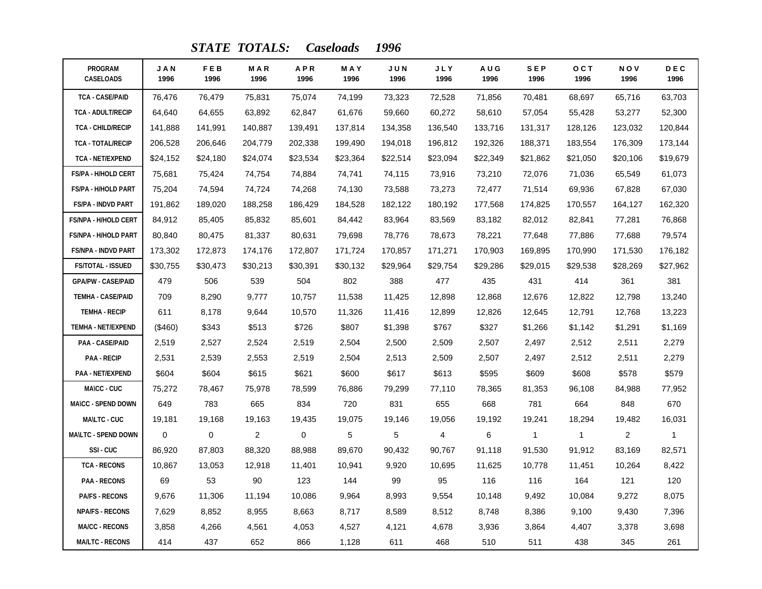*STATE TOTALS: Caseloads 1996*

| PROGRAM<br>CASELOADS        | <b>JAN</b><br>1996 | FEB<br>1996 | <b>MAR</b><br>1996 | <b>APR</b><br>1996 | <b>MAY</b><br>1996 | <b>JUN</b><br>1996 | <b>JLY</b><br>1996 | A U G<br>1996 | <b>SEP</b><br>1996 | <b>OCT</b><br>1996 | <b>NOV</b><br>1996 | DEC<br>1996  |
|-----------------------------|--------------------|-------------|--------------------|--------------------|--------------------|--------------------|--------------------|---------------|--------------------|--------------------|--------------------|--------------|
| <b>TCA - CASE/PAID</b>      | 76,476             | 76,479      | 75,831             | 75,074             | 74,199             | 73,323             | 72,528             | 71,856        | 70,481             | 68,697             | 65,716             | 63,703       |
| <b>TCA - ADULT/RECIP</b>    | 64,640             | 64,655      | 63,892             | 62,847             | 61,676             | 59,660             | 60,272             | 58,610        | 57,054             | 55,428             | 53,277             | 52,300       |
| <b>TCA - CHILD/RECIP</b>    | 141,888            | 141,991     | 140,887            | 139,491            | 137,814            | 134,358            | 136,540            | 133,716       | 131,317            | 128,126            | 123,032            | 120,844      |
| <b>TCA - TOTAL/RECIP</b>    | 206,528            | 206,646     | 204,779            | 202,338            | 199,490            | 194,018            | 196,812            | 192,326       | 188,371            | 183,554            | 176,309            | 173,144      |
| <b>TCA - NET/EXPEND</b>     | \$24,152           | \$24,180    | \$24,074           | \$23,534           | \$23,364           | \$22,514           | \$23,094           | \$22,349      | \$21,862           | \$21,050           | \$20,106           | \$19,679     |
| FS/PA - H/HOLD CERT         | 75,681             | 75,424      | 74,754             | 74,884             | 74,741             | 74,115             | 73,916             | 73,210        | 72,076             | 71,036             | 65,549             | 61,073       |
| FS/PA - H/HOLD PART         | 75,204             | 74,594      | 74,724             | 74,268             | 74,130             | 73,588             | 73,273             | 72,477        | 71,514             | 69,936             | 67,828             | 67,030       |
| FS/PA - INDVD PART          | 191,862            | 189,020     | 188,258            | 186,429            | 184,528            | 182,122            | 180,192            | 177,568       | 174,825            | 170,557            | 164,127            | 162,320      |
| FS/NPA - H/HOLD CERT        | 84,912             | 85,405      | 85,832             | 85,601             | 84,442             | 83,964             | 83,569             | 83,182        | 82,012             | 82,841             | 77,281             | 76,868       |
| <b>FS/NPA - H/HOLD PART</b> | 80,840             | 80,475      | 81,337             | 80,631             | 79,698             | 78,776             | 78,673             | 78,221        | 77,648             | 77,886             | 77,688             | 79,574       |
| <b>FS/NPA - INDVD PART</b>  | 173,302            | 172,873     | 174,176            | 172,807            | 171,724            | 170,857            | 171,271            | 170,903       | 169,895            | 170,990            | 171,530            | 176,182      |
| <b>FS/TOTAL - ISSUED</b>    | \$30,755           | \$30,473    | \$30,213           | \$30,391           | \$30,132           | \$29,964           | \$29,754           | \$29,286      | \$29,015           | \$29,538           | \$28,269           | \$27,962     |
| <b>GPA/PW - CASE/PAID</b>   | 479                | 506         | 539                | 504                | 802                | 388                | 477                | 435           | 431                | 414                | 361                | 381          |
| <b>TEMHA - CASE/PAID</b>    | 709                | 8,290       | 9,777              | 10,757             | 11.538             | 11,425             | 12,898             | 12,868        | 12,676             | 12,822             | 12,798             | 13,240       |
| <b>TEMHA - RECIP</b>        | 611                | 8,178       | 9,644              | 10,570             | 11,326             | 11,416             | 12,899             | 12,826        | 12,645             | 12,791             | 12,768             | 13,223       |
| <b>TEMHA - NET/EXPEND</b>   | (\$460)            | \$343       | \$513              | \$726              | \$807              | \$1,398            | \$767              | \$327         | \$1,266            | \$1,142            | \$1,291            | \$1,169      |
| <b>PAA - CASE/PAID</b>      | 2,519              | 2,527       | 2,524              | 2,519              | 2,504              | 2,500              | 2,509              | 2,507         | 2,497              | 2,512              | 2,511              | 2,279        |
| <b>PAA - RECIP</b>          | 2,531              | 2,539       | 2,553              | 2,519              | 2,504              | 2,513              | 2,509              | 2,507         | 2,497              | 2,512              | 2,511              | 2,279        |
| PAA - NET/EXPEND            | \$604              | \$604       | \$615              | \$621              | \$600              | \$617              | \$613              | \$595         | \$609              | \$608              | \$578              | \$579        |
| MAICC - CUC                 | 75,272             | 78,467      | 75,978             | 78,599             | 76,886             | 79,299             | 77,110             | 78,365        | 81,353             | 96,108             | 84,988             | 77,952       |
| <b>MA\CC - SPEND DOWN</b>   | 649                | 783         | 665                | 834                | 720                | 831                | 655                | 668           | 781                | 664                | 848                | 670          |
| <b>MAILTC - CUC</b>         | 19,181             | 19,168      | 19,163             | 19,435             | 19,075             | 19,146             | 19,056             | 19,192        | 19,241             | 18,294             | 19,482             | 16,031       |
| <b>MA\LTC - SPEND DOWN</b>  | $\mathbf 0$        | $\mathbf 0$ | 2                  | $\mathbf 0$        | 5                  | 5                  | $\overline{4}$     | 6             | $\mathbf 1$        | $\mathbf{1}$       | 2                  | $\mathbf{1}$ |
| SSI-CUC                     | 86,920             | 87,803      | 88,320             | 88.988             | 89,670             | 90,432             | 90.767             | 91.118        | 91,530             | 91,912             | 83,169             | 82,571       |
| <b>TCA - RECONS</b>         | 10,867             | 13,053      | 12,918             | 11,401             | 10,941             | 9,920              | 10,695             | 11,625        | 10,778             | 11,451             | 10,264             | 8,422        |
| <b>PAA - RECONS</b>         | 69                 | 53          | 90                 | 123                | 144                | 99                 | 95                 | 116           | 116                | 164                | 121                | 120          |
| <b>PA/FS - RECONS</b>       | 9,676              | 11,306      | 11,194             | 10,086             | 9,964              | 8,993              | 9,554              | 10,148        | 9,492              | 10,084             | 9,272              | 8,075        |
| <b>NPA/FS - RECONS</b>      | 7,629              | 8,852       | 8,955              | 8,663              | 8,717              | 8,589              | 8,512              | 8,748         | 8,386              | 9,100              | 9,430              | 7,396        |
| <b>MA/CC - RECONS</b>       | 3,858              | 4,266       | 4,561              | 4,053              | 4,527              | 4,121              | 4,678              | 3,936         | 3,864              | 4,407              | 3,378              | 3,698        |
| <b>MA/LTC - RECONS</b>      | 414                | 437         | 652                | 866                | 1,128              | 611                | 468                | 510           | 511                | 438                | 345                | 261          |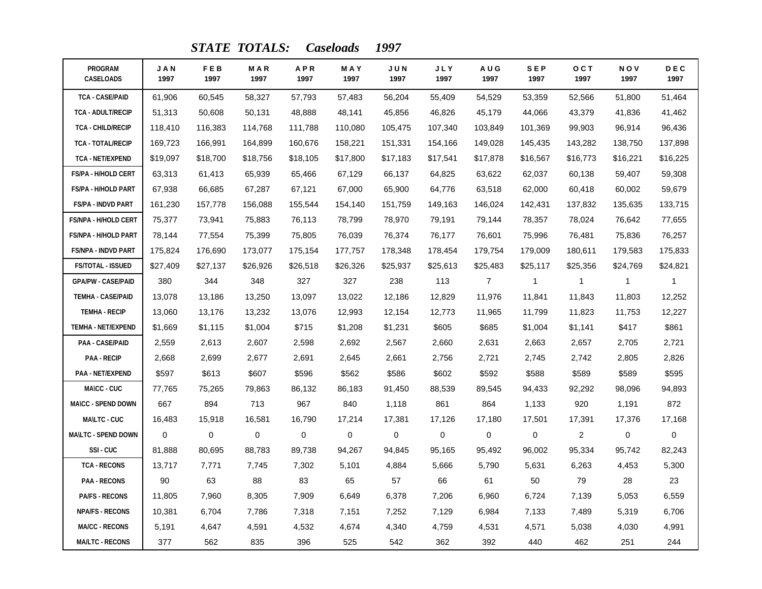*STATE TOTALS: Caseloads 1997*

| PROGRAM<br>CASELOADS        | JAN<br>1997 | FEB<br>1997 | MAR<br>1997 | <b>APR</b><br>1997 | <b>MAY</b><br>1997 | JUN<br>1997 | <b>JLY</b><br>1997 | A U G<br>1997  | <b>SEP</b><br>1997 | OCT<br>1997    | <b>NOV</b><br>1997 | DEC<br>1997  |
|-----------------------------|-------------|-------------|-------------|--------------------|--------------------|-------------|--------------------|----------------|--------------------|----------------|--------------------|--------------|
| <b>TCA - CASE/PAID</b>      | 61,906      | 60,545      | 58,327      | 57,793             | 57,483             | 56,204      | 55,409             | 54,529         | 53,359             | 52,566         | 51,800             | 51,464       |
| <b>TCA - ADULT/RECIP</b>    | 51,313      | 50,608      | 50,131      | 48,888             | 48,141             | 45,856      | 46,826             | 45,179         | 44,066             | 43,379         | 41,836             | 41,462       |
| <b>TCA - CHILD/RECIP</b>    | 118,410     | 116,383     | 114,768     | 111,788            | 110,080            | 105,475     | 107,340            | 103,849        | 101,369            | 99,903         | 96,914             | 96,436       |
| <b>TCA - TOTAL/RECIP</b>    | 169,723     | 166,991     | 164,899     | 160,676            | 158,221            | 151,331     | 154,166            | 149,028        | 145,435            | 143,282        | 138,750            | 137,898      |
| TCA - NET/EXPEND            | \$19,097    | \$18,700    | \$18,756    | \$18,105           | \$17,800           | \$17,183    | \$17,541           | \$17,878       | \$16,567           | \$16,773       | \$16,221           | \$16,225     |
| FS/PA - H/HOLD CERT         | 63,313      | 61,413      | 65,939      | 65,466             | 67,129             | 66,137      | 64,825             | 63,622         | 62,037             | 60,138         | 59,407             | 59,308       |
| <b>FS/PA - H/HOLD PART</b>  | 67,938      | 66,685      | 67,287      | 67,121             | 67,000             | 65,900      | 64,776             | 63,518         | 62,000             | 60,418         | 60,002             | 59,679       |
| <b>FS/PA - INDVD PART</b>   | 161,230     | 157,778     | 156,088     | 155,544            | 154,140            | 151,759     | 149,163            | 146,024        | 142,431            | 137,832        | 135,635            | 133,715      |
| FS/NPA - H/HOLD CERT        | 75,377      | 73,941      | 75,883      | 76,113             | 78,799             | 78,970      | 79,191             | 79,144         | 78,357             | 78,024         | 76,642             | 77,655       |
| <b>FS/NPA - H/HOLD PART</b> | 78,144      | 77,554      | 75,399      | 75,805             | 76,039             | 76,374      | 76,177             | 76,601         | 75,996             | 76,481         | 75,836             | 76,257       |
| <b>FS/NPA - INDVD PART</b>  | 175,824     | 176,690     | 173,077     | 175,154            | 177,757            | 178,348     | 178,454            | 179,754        | 179,009            | 180,611        | 179,583            | 175,833      |
| <b>FS/TOTAL - ISSUED</b>    | \$27,409    | \$27,137    | \$26,926    | \$26,518           | \$26,326           | \$25,937    | \$25,613           | \$25,483       | \$25,117           | \$25,356       | \$24,769           | \$24,821     |
| <b>GPA/PW - CASE/PAID</b>   | 380         | 344         | 348         | 327                | 327                | 238         | 113                | $\overline{7}$ | $\mathbf{1}$       | $\overline{1}$ | $\mathbf{1}$       | $\mathbf{1}$ |
| <b>TEMHA - CASE/PAID</b>    | 13,078      | 13,186      | 13,250      | 13,097             | 13,022             | 12,186      | 12,829             | 11,976         | 11,841             | 11,843         | 11,803             | 12,252       |
| <b>TEMHA - RECIP</b>        | 13,060      | 13,176      | 13,232      | 13,076             | 12,993             | 12,154      | 12,773             | 11,965         | 11,799             | 11,823         | 11,753             | 12,227       |
| TEMHA - NET/EXPEND          | \$1,669     | \$1,115     | \$1,004     | \$715              | \$1,208            | \$1,231     | \$605              | \$685          | \$1,004            | \$1,141        | \$417              | \$861        |
| <b>PAA - CASE/PAID</b>      | 2,559       | 2,613       | 2,607       | 2,598              | 2,692              | 2,567       | 2,660              | 2,631          | 2,663              | 2,657          | 2,705              | 2,721        |
| <b>PAA - RECIP</b>          | 2,668       | 2,699       | 2,677       | 2,691              | 2,645              | 2,661       | 2,756              | 2,721          | 2,745              | 2,742          | 2,805              | 2,826        |
| PAA - NET/EXPEND            | \$597       | \$613       | \$607       | \$596              | \$562              | \$586       | \$602              | \$592          | \$588              | \$589          | \$589              | \$595        |
| <b>MAICC - CUC</b>          | 77,765      | 75,265      | 79,863      | 86,132             | 86,183             | 91,450      | 88,539             | 89,545         | 94,433             | 92,292         | 98,096             | 94,893       |
| <b>MA\CC - SPEND DOWN</b>   | 667         | 894         | 713         | 967                | 840                | 1.118       | 861                | 864            | 1,133              | 920            | 1.191              | 872          |
| <b>MAILTC - CUC</b>         | 16,483      | 15,918      | 16,581      | 16,790             | 17,214             | 17,381      | 17,126             | 17,180         | 17,501             | 17,391         | 17,376             | 17,168       |
| <b>MA\LTC - SPEND DOWN</b>  | 0           | $\mathbf 0$ | $\mathbf 0$ | $\mathbf 0$        | 0                  | $\mathbf 0$ | $\mathbf 0$        | 0              | 0                  | $\overline{2}$ | $\mathbf 0$        | $\mathbf 0$  |
| SSI-CUC                     | 81,888      | 80,695      | 88,783      | 89,738             | 94,267             | 94,845      | 95,165             | 95,492         | 96,002             | 95,334         | 95,742             | 82,243       |
| <b>TCA - RECONS</b>         | 13,717      | 7,771       | 7,745       | 7,302              | 5,101              | 4,884       | 5,666              | 5,790          | 5,631              | 6,263          | 4,453              | 5,300        |
| <b>PAA - RECONS</b>         | 90          | 63          | 88          | 83                 | 65                 | 57          | 66                 | 61             | 50                 | 79             | 28                 | 23           |
| <b>PA/FS - RECONS</b>       | 11,805      | 7,960       | 8,305       | 7,909              | 6,649              | 6,378       | 7,206              | 6,960          | 6,724              | 7,139          | 5,053              | 6,559        |
| <b>NPA/FS - RECONS</b>      | 10,381      | 6,704       | 7,786       | 7,318              | 7,151              | 7,252       | 7,129              | 6,984          | 7,133              | 7,489          | 5,319              | 6,706        |
| <b>MA/CC - RECONS</b>       | 5,191       | 4,647       | 4,591       | 4,532              | 4,674              | 4,340       | 4,759              | 4,531          | 4,571              | 5,038          | 4,030              | 4,991        |
| <b>MA/LTC - RECONS</b>      | 377         | 562         | 835         | 396                | 525                | 542         | 362                | 392            | 440                | 462            | 251                | 244          |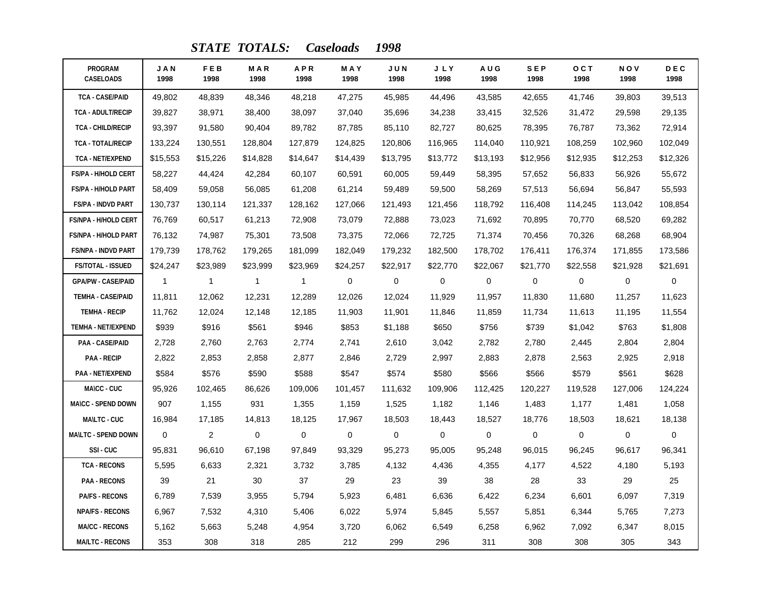*STATE TOTALS: Caseloads 1998*

| <b>PROGRAM</b><br>CASELOADS | JAN<br>1998  | FEB<br>1998    | <b>MAR</b><br>1998 | <b>APR</b><br>1998 | <b>MAY</b><br>1998 | <b>JUN</b><br>1998 | JLY<br>1998 | A U G<br>1998 | <b>SEP</b><br>1998 | O C T<br>1998 | <b>NOV</b><br>1998 | <b>DEC</b><br>1998 |
|-----------------------------|--------------|----------------|--------------------|--------------------|--------------------|--------------------|-------------|---------------|--------------------|---------------|--------------------|--------------------|
| <b>TCA - CASE/PAID</b>      | 49,802       | 48,839         | 48,346             | 48,218             | 47,275             | 45,985             | 44,496      | 43,585        | 42,655             | 41,746        | 39,803             | 39,513             |
| <b>TCA - ADULT/RECIP</b>    | 39,827       | 38,971         | 38,400             | 38,097             | 37,040             | 35,696             | 34,238      | 33,415        | 32,526             | 31,472        | 29,598             | 29,135             |
| <b>TCA - CHILD/RECIP</b>    | 93,397       | 91,580         | 90,404             | 89,782             | 87,785             | 85,110             | 82,727      | 80,625        | 78,395             | 76,787        | 73,362             | 72,914             |
| <b>TCA - TOTAL/RECIP</b>    | 133,224      | 130,551        | 128,804            | 127,879            | 124,825            | 120,806            | 116,965     | 114,040       | 110,921            | 108,259       | 102,960            | 102,049            |
| <b>TCA - NET/EXPEND</b>     | \$15,553     | \$15,226       | \$14,828           | \$14,647           | \$14,439           | \$13,795           | \$13,772    | \$13,193      | \$12,956           | \$12,935      | \$12,253           | \$12,326           |
| FS/PA - H/HOLD CERT         | 58,227       | 44,424         | 42,284             | 60,107             | 60,591             | 60,005             | 59,449      | 58,395        | 57,652             | 56,833        | 56,926             | 55,672             |
| FS/PA - H/HOLD PART         | 58,409       | 59,058         | 56,085             | 61,208             | 61,214             | 59,489             | 59,500      | 58,269        | 57,513             | 56,694        | 56,847             | 55,593             |
| FS/PA - INDVD PART          | 130,737      | 130,114        | 121,337            | 128,162            | 127,066            | 121,493            | 121,456     | 118,792       | 116,408            | 114,245       | 113,042            | 108,854            |
| FS/NPA - H/HOLD CERT        | 76,769       | 60,517         | 61,213             | 72,908             | 73,079             | 72,888             | 73,023      | 71,692        | 70,895             | 70,770        | 68,520             | 69,282             |
| <b>FS/NPA - H/HOLD PART</b> | 76,132       | 74,987         | 75,301             | 73,508             | 73,375             | 72,066             | 72,725      | 71,374        | 70,456             | 70,326        | 68,268             | 68,904             |
| <b>FS/NPA - INDVD PART</b>  | 179,739      | 178,762        | 179,265            | 181,099            | 182,049            | 179,232            | 182,500     | 178,702       | 176,411            | 176,374       | 171,855            | 173,586            |
| <b>FS/TOTAL - ISSUED</b>    | \$24,247     | \$23,989       | \$23,999           | \$23,969           | \$24,257           | \$22,917           | \$22,770    | \$22,067      | \$21,770           | \$22,558      | \$21,928           | \$21,691           |
| <b>GPA/PW - CASE/PAID</b>   | $\mathbf{1}$ | $\overline{1}$ | $\overline{1}$     | $\mathbf{1}$       | 0                  | 0                  | 0           | 0             | 0                  | 0             | $\boldsymbol{0}$   | $\mathbf 0$        |
| <b>TEMHA - CASE/PAID</b>    | 11,811       | 12,062         | 12,231             | 12,289             | 12,026             | 12,024             | 11,929      | 11,957        | 11,830             | 11,680        | 11,257             | 11,623             |
| <b>TEMHA - RECIP</b>        | 11,762       | 12,024         | 12,148             | 12,185             | 11,903             | 11,901             | 11,846      | 11,859        | 11,734             | 11,613        | 11,195             | 11,554             |
| <b>TEMHA - NET/EXPEND</b>   | \$939        | \$916          | \$561              | \$946              | \$853              | \$1,188            | \$650       | \$756         | \$739              | \$1,042       | \$763              | \$1,808            |
| PAA - CASE/PAID             | 2,728        | 2,760          | 2,763              | 2,774              | 2,741              | 2,610              | 3,042       | 2,782         | 2,780              | 2,445         | 2,804              | 2,804              |
| <b>PAA - RECIP</b>          | 2,822        | 2,853          | 2,858              | 2,877              | 2,846              | 2,729              | 2,997       | 2,883         | 2,878              | 2,563         | 2,925              | 2,918              |
| PAA - NET/EXPEND            | \$584        | \$576          | \$590              | \$588              | \$547              | \$574              | \$580       | \$566         | \$566              | \$579         | \$561              | \$628              |
| MAICC - CUC                 | 95,926       | 102,465        | 86,626             | 109,006            | 101,457            | 111,632            | 109,906     | 112,425       | 120,227            | 119,528       | 127,006            | 124,224            |
| MA\CC - SPEND DOWN          | 907          | 1,155          | 931                | 1,355              | 1,159              | 1,525              | 1,182       | 1,146         | 1,483              | 1,177         | 1,481              | 1,058              |
| <b>MAILTC - CUC</b>         | 16,984       | 17,185         | 14,813             | 18,125             | 17,967             | 18,503             | 18,443      | 18,527        | 18,776             | 18,503        | 18,621             | 18,138             |
| MA\LTC - SPEND DOWN         | $\mathbf 0$  | 2              | $\Omega$           | $\mathbf 0$        | $\mathbf 0$        | $\mathbf 0$        | $\mathbf 0$ | $\mathbf 0$   | $\mathbf 0$        | $\mathbf 0$   | $\mathbf 0$        | $\mathbf 0$        |
| SSI-CUC                     | 95,831       | 96.610         | 67,198             | 97,849             | 93,329             | 95,273             | 95,005      | 95,248        | 96.015             | 96,245        | 96.617             | 96,341             |
| <b>TCA - RECONS</b>         | 5,595        | 6,633          | 2,321              | 3,732              | 3,785              | 4,132              | 4,436       | 4,355         | 4,177              | 4,522         | 4,180              | 5,193              |
| <b>PAA - RECONS</b>         | 39           | 21             | 30                 | 37                 | 29                 | 23                 | 39          | 38            | 28                 | 33            | 29                 | 25                 |
| <b>PA/FS - RECONS</b>       | 6,789        | 7,539          | 3,955              | 5,794              | 5,923              | 6,481              | 6,636       | 6,422         | 6,234              | 6,601         | 6,097              | 7,319              |
| <b>NPA/FS - RECONS</b>      | 6,967        | 7,532          | 4,310              | 5,406              | 6,022              | 5,974              | 5,845       | 5,557         | 5,851              | 6,344         | 5,765              | 7,273              |
| <b>MA/CC - RECONS</b>       | 5,162        | 5,663          | 5,248              | 4,954              | 3,720              | 6,062              | 6,549       | 6,258         | 6,962              | 7,092         | 6,347              | 8,015              |
| <b>MA/LTC - RECONS</b>      | 353          | 308            | 318                | 285                | 212                | 299                | 296         | 311           | 308                | 308           | 305                | 343                |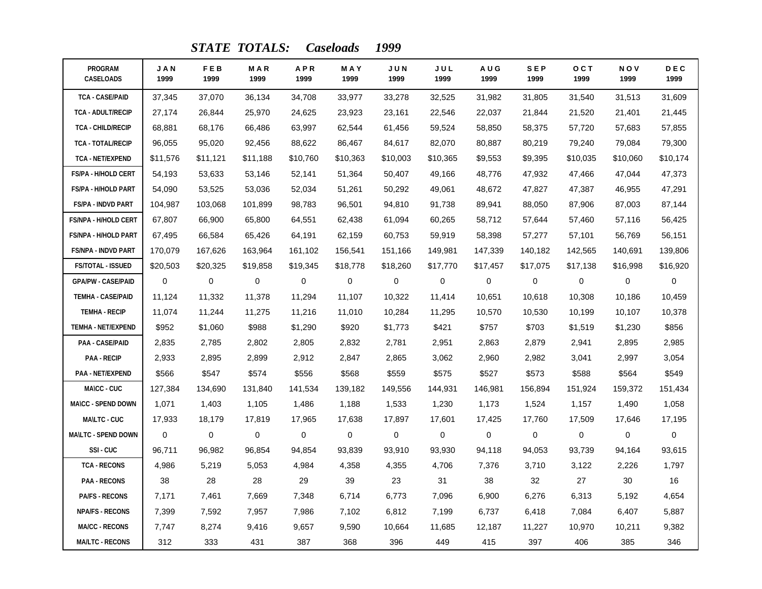*STATE TOTALS: Caseloads 1999*

| PROGRAM<br>CASELOADS        | JAN<br>1999 | FEB<br>1999 | <b>MAR</b><br>1999 | <b>APR</b><br>1999 | <b>MAY</b><br>1999 | <b>JUN</b><br>1999 | JUL<br>1999 | A U G<br>1999 | <b>SEP</b><br>1999 | 0 C T<br>1999 | <b>NOV</b><br>1999 | <b>DEC</b><br>1999 |
|-----------------------------|-------------|-------------|--------------------|--------------------|--------------------|--------------------|-------------|---------------|--------------------|---------------|--------------------|--------------------|
| <b>TCA - CASE/PAID</b>      | 37,345      | 37,070      | 36,134             | 34,708             | 33,977             | 33,278             | 32,525      | 31,982        | 31,805             | 31,540        | 31,513             | 31,609             |
| <b>TCA - ADULT/RECIP</b>    | 27,174      | 26,844      | 25,970             | 24,625             | 23,923             | 23,161             | 22,546      | 22,037        | 21,844             | 21,520        | 21,401             | 21,445             |
| <b>TCA - CHILD/RECIP</b>    | 68,881      | 68,176      | 66,486             | 63,997             | 62,544             | 61,456             | 59,524      | 58,850        | 58,375             | 57,720        | 57,683             | 57,855             |
| <b>TCA - TOTAL/RECIP</b>    | 96,055      | 95,020      | 92,456             | 88,622             | 86,467             | 84,617             | 82,070      | 80,887        | 80,219             | 79,240        | 79,084             | 79,300             |
| TCA - NET/EXPEND            | \$11,576    | \$11,121    | \$11,188           | \$10,760           | \$10,363           | \$10,003           | \$10,365    | \$9,553       | \$9,395            | \$10,035      | \$10,060           | \$10,174           |
| FS/PA - H/HOLD CERT         | 54,193      | 53,633      | 53,146             | 52,141             | 51,364             | 50,407             | 49,166      | 48,776        | 47,932             | 47,466        | 47,044             | 47,373             |
| <b>FS/PA - H/HOLD PART</b>  | 54,090      | 53,525      | 53,036             | 52,034             | 51,261             | 50,292             | 49,061      | 48,672        | 47,827             | 47,387        | 46,955             | 47,291             |
| FS/PA - INDVD PART          | 104,987     | 103,068     | 101,899            | 98,783             | 96,501             | 94,810             | 91,738      | 89,941        | 88,050             | 87,906        | 87,003             | 87,144             |
| <b>FS/NPA - H/HOLD CERT</b> | 67,807      | 66,900      | 65,800             | 64,551             | 62,438             | 61,094             | 60,265      | 58,712        | 57,644             | 57,460        | 57,116             | 56,425             |
| <b>FS/NPA - H/HOLD PART</b> | 67,495      | 66,584      | 65,426             | 64,191             | 62,159             | 60,753             | 59,919      | 58,398        | 57,277             | 57,101        | 56,769             | 56,151             |
| <b>FS/NPA - INDVD PART</b>  | 170,079     | 167,626     | 163,964            | 161,102            | 156,541            | 151,166            | 149,981     | 147,339       | 140,182            | 142,565       | 140,691            | 139,806            |
| FS/TOTAL - ISSUED           | \$20,503    | \$20,325    | \$19,858           | \$19,345           | \$18,778           | \$18,260           | \$17,770    | \$17,457      | \$17,075           | \$17,138      | \$16,998           | \$16,920           |
| GPA/PW - CASE/PAID          | 0           | 0           | 0                  | 0                  | $\mathbf 0$        | 0                  | $\mathbf 0$ | 0             | 0                  | 0             | 0                  | 0                  |
| <b>TEMHA - CASE/PAID</b>    | 11,124      | 11,332      | 11,378             | 11,294             | 11,107             | 10,322             | 11,414      | 10,651        | 10,618             | 10,308        | 10,186             | 10,459             |
| <b>TEMHA - RECIP</b>        | 11,074      | 11,244      | 11,275             | 11,216             | 11,010             | 10,284             | 11,295      | 10,570        | 10,530             | 10,199        | 10,107             | 10,378             |
| <b>TEMHA - NET/EXPEND</b>   | \$952       | \$1,060     | \$988              | \$1,290            | \$920              | \$1,773            | \$421       | \$757         | \$703              | \$1,519       | \$1,230            | \$856              |
| <b>PAA - CASE/PAID</b>      | 2,835       | 2,785       | 2,802              | 2,805              | 2,832              | 2,781              | 2,951       | 2,863         | 2,879              | 2,941         | 2,895              | 2,985              |
| <b>PAA - RECIP</b>          | 2,933       | 2,895       | 2,899              | 2,912              | 2,847              | 2,865              | 3,062       | 2,960         | 2,982              | 3,041         | 2,997              | 3,054              |
| PAA - NET/EXPEND            | \$566       | \$547       | \$574              | \$556              | \$568              | \$559              | \$575       | \$527         | \$573              | \$588         | \$564              | \$549              |
| MAICC - CUC                 | 127,384     | 134,690     | 131,840            | 141,534            | 139,182            | 149,556            | 144,931     | 146,981       | 156,894            | 151,924       | 159,372            | 151,434            |
| MA\CC - SPEND DOWN          | 1,071       | 1,403       | 1,105              | 1,486              | 1,188              | 1,533              | 1,230       | 1,173         | 1,524              | 1,157         | 1,490              | 1,058              |
| <b>MAILTC - CUC</b>         | 17,933      | 18,179      | 17,819             | 17,965             | 17,638             | 17,897             | 17,601      | 17,425        | 17,760             | 17,509        | 17,646             | 17,195             |
| <b>MA\LTC - SPEND DOWN</b>  | 0           | 0           | 0                  | 0                  | 0                  | 0                  | 0           | 0             | 0                  | 0             | 0                  | 0                  |
| SSI-CUC                     | 96,711      | 96,982      | 96,854             | 94,854             | 93,839             | 93,910             | 93,930      | 94,118        | 94,053             | 93,739        | 94,164             | 93,615             |
| <b>TCA - RECONS</b>         | 4,986       | 5,219       | 5,053              | 4,984              | 4,358              | 4,355              | 4,706       | 7,376         | 3,710              | 3,122         | 2,226              | 1,797              |
| <b>PAA - RECONS</b>         | 38          | 28          | 28                 | 29                 | 39                 | 23                 | 31          | 38            | 32                 | 27            | 30                 | 16                 |
| <b>PA/FS - RECONS</b>       | 7,171       | 7,461       | 7,669              | 7,348              | 6,714              | 6,773              | 7,096       | 6,900         | 6,276              | 6,313         | 5,192              | 4,654              |
| <b>NPA/FS - RECONS</b>      | 7,399       | 7,592       | 7,957              | 7,986              | 7,102              | 6,812              | 7,199       | 6,737         | 6,418              | 7,084         | 6,407              | 5,887              |
| <b>MA/CC - RECONS</b>       | 7,747       | 8,274       | 9,416              | 9,657              | 9,590              | 10,664             | 11,685      | 12,187        | 11,227             | 10,970        | 10,211             | 9,382              |
| <b>MA/LTC - RECONS</b>      | 312         | 333         | 431                | 387                | 368                | 396                | 449         | 415           | 397                | 406           | 385                | 346                |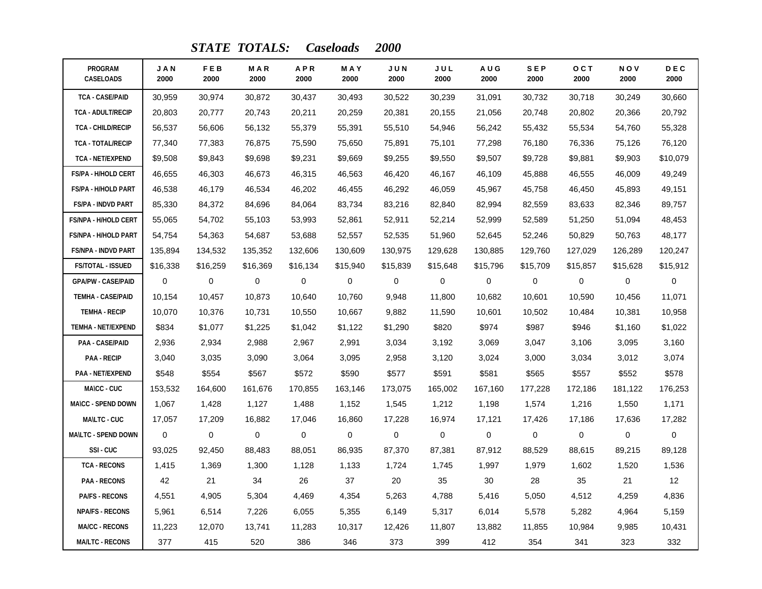*STATE TOTALS: Caseloads 2000*

| PROGRAM<br>CASELOADS        | JAN<br>2000 | FEB<br>2000 | MAR<br>2000 | <b>APR</b><br>2000 | <b>MAY</b><br>2000 | <b>JUN</b><br>2000 | JUL<br>2000 | A U G<br>2000 | <b>SEP</b><br>2000 | <b>OCT</b><br>2000 | N O V<br>2000 | DEC<br>2000 |
|-----------------------------|-------------|-------------|-------------|--------------------|--------------------|--------------------|-------------|---------------|--------------------|--------------------|---------------|-------------|
| <b>TCA - CASE/PAID</b>      | 30,959      | 30,974      | 30,872      | 30,437             | 30,493             | 30,522             | 30,239      | 31,091        | 30,732             | 30,718             | 30,249        | 30,660      |
| <b>TCA - ADULT/RECIP</b>    | 20,803      | 20,777      | 20,743      | 20,211             | 20,259             | 20,381             | 20,155      | 21,056        | 20,748             | 20,802             | 20,366        | 20,792      |
| <b>TCA - CHILD/RECIP</b>    | 56,537      | 56,606      | 56,132      | 55,379             | 55,391             | 55,510             | 54,946      | 56,242        | 55,432             | 55,534             | 54,760        | 55,328      |
| <b>TCA - TOTAL/RECIP</b>    | 77,340      | 77,383      | 76,875      | 75,590             | 75,650             | 75,891             | 75,101      | 77,298        | 76,180             | 76,336             | 75,126        | 76,120      |
| <b>TCA - NET/EXPEND</b>     | \$9,508     | \$9,843     | \$9,698     | \$9,231            | \$9,669            | \$9,255            | \$9,550     | \$9,507       | \$9,728            | \$9,881            | \$9,903       | \$10,079    |
| FS/PA - H/HOLD CERT         | 46,655      | 46,303      | 46,673      | 46,315             | 46,563             | 46,420             | 46,167      | 46,109        | 45,888             | 46,555             | 46,009        | 49,249      |
| FS/PA - H/HOLD PART         | 46,538      | 46,179      | 46,534      | 46,202             | 46,455             | 46,292             | 46,059      | 45,967        | 45,758             | 46,450             | 45,893        | 49,151      |
| FS/PA - INDVD PART          | 85,330      | 84,372      | 84,696      | 84,064             | 83,734             | 83,216             | 82,840      | 82,994        | 82,559             | 83,633             | 82,346        | 89,757      |
| FS/NPA - H/HOLD CERT        | 55,065      | 54,702      | 55,103      | 53,993             | 52,861             | 52,911             | 52,214      | 52,999        | 52,589             | 51,250             | 51,094        | 48,453      |
| <b>FS/NPA - H/HOLD PART</b> | 54,754      | 54,363      | 54,687      | 53,688             | 52,557             | 52,535             | 51,960      | 52,645        | 52,246             | 50,829             | 50,763        | 48,177      |
| <b>FS/NPA - INDVD PART</b>  | 135,894     | 134,532     | 135,352     | 132,606            | 130,609            | 130,975            | 129,628     | 130,885       | 129,760            | 127,029            | 126,289       | 120,247     |
| <b>FS/TOTAL - ISSUED</b>    | \$16,338    | \$16,259    | \$16,369    | \$16,134           | \$15,940           | \$15,839           | \$15,648    | \$15,796      | \$15,709           | \$15,857           | \$15,628      | \$15,912    |
| <b>GPA/PW - CASE/PAID</b>   | 0           | 0           | 0           | 0                  | 0                  | 0                  | 0           | 0             | 0                  | 0                  | 0             | 0           |
| <b>TEMHA - CASE/PAID</b>    | 10,154      | 10,457      | 10,873      | 10,640             | 10,760             | 9,948              | 11,800      | 10,682        | 10,601             | 10,590             | 10,456        | 11,071      |
| <b>TEMHA - RECIP</b>        | 10,070      | 10,376      | 10,731      | 10,550             | 10,667             | 9,882              | 11,590      | 10,601        | 10,502             | 10,484             | 10,381        | 10,958      |
| TEMHA - NET/EXPEND          | \$834       | \$1,077     | \$1,225     | \$1,042            | \$1,122            | \$1,290            | \$820       | \$974         | \$987              | \$946              | \$1,160       | \$1,022     |
| <b>PAA - CASE/PAID</b>      | 2,936       | 2,934       | 2,988       | 2,967              | 2,991              | 3,034              | 3,192       | 3,069         | 3,047              | 3,106              | 3,095         | 3,160       |
| <b>PAA - RECIP</b>          | 3,040       | 3,035       | 3,090       | 3,064              | 3,095              | 2,958              | 3,120       | 3,024         | 3,000              | 3,034              | 3,012         | 3,074       |
| PAA - NET/EXPEND            | \$548       | \$554       | \$567       | \$572              | \$590              | \$577              | \$591       | \$581         | \$565              | \$557              | \$552         | \$578       |
| MAICC - CUC                 | 153,532     | 164,600     | 161,676     | 170,855            | 163,146            | 173,075            | 165,002     | 167,160       | 177,228            | 172,186            | 181,122       | 176,253     |
| <b>MA\CC - SPEND DOWN</b>   | 1,067       | 1,428       | 1,127       | 1,488              | 1,152              | 1,545              | 1,212       | 1,198         | 1,574              | 1,216              | 1,550         | 1,171       |
| MA\LTC - CUC                | 17,057      | 17,209      | 16,882      | 17,046             | 16,860             | 17,228             | 16,974      | 17,121        | 17,426             | 17,186             | 17,636        | 17,282      |
| <b>MA\LTC - SPEND DOWN</b>  | $\mathbf 0$ | $\Omega$    | $\Omega$    | 0                  | 0                  | 0                  | $\mathbf 0$ | 0             | 0                  | 0                  | 0             | 0           |
| SSI-CUC                     | 93,025      | 92.450      | 88,483      | 88.051             | 86,935             | 87,370             | 87,381      | 87.912        | 88,529             | 88,615             | 89,215        | 89,128      |
| <b>TCA - RECONS</b>         | 1,415       | 1,369       | 1,300       | 1,128              | 1,133              | 1,724              | 1,745       | 1,997         | 1,979              | 1,602              | 1,520         | 1,536       |
| <b>PAA - RECONS</b>         | 42          | 21          | 34          | 26                 | 37                 | 20                 | 35          | 30            | 28                 | 35                 | 21            | 12          |
| <b>PA/FS - RECONS</b>       | 4,551       | 4,905       | 5,304       | 4,469              | 4,354              | 5,263              | 4,788       | 5,416         | 5,050              | 4,512              | 4,259         | 4,836       |
| <b>NPA/FS - RECONS</b>      | 5,961       | 6,514       | 7,226       | 6,055              | 5,355              | 6,149              | 5,317       | 6,014         | 5,578              | 5,282              | 4,964         | 5,159       |
| <b>MA/CC - RECONS</b>       | 11,223      | 12,070      | 13,741      | 11,283             | 10,317             | 12,426             | 11,807      | 13,882        | 11,855             | 10,984             | 9,985         | 10,431      |
| <b>MA/LTC - RECONS</b>      | 377         | 415         | 520         | 386                | 346                | 373                | 399         | 412           | 354                | 341                | 323           | 332         |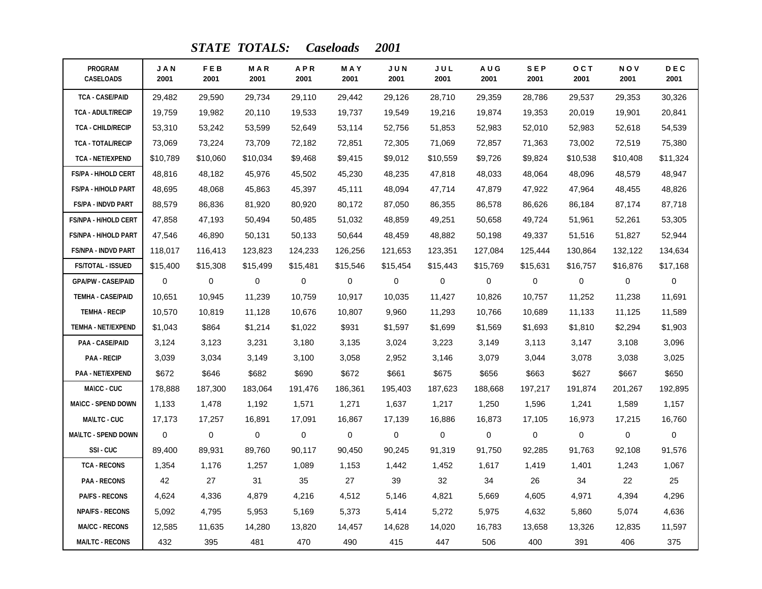*STATE TOTALS: Caseloads 2001*

| PROGRAM<br>CASELOADS        | JAN<br>2001 | FEB<br>2001 | MAR<br>2001 | <b>APR</b><br>2001 | <b>MAY</b><br>2001 | <b>JUN</b><br>2001 | JUL<br>2001 | A U G<br>2001 | <b>SEP</b><br>2001 | OCT<br>2001 | <b>NOV</b><br>2001 | DEC<br>2001 |
|-----------------------------|-------------|-------------|-------------|--------------------|--------------------|--------------------|-------------|---------------|--------------------|-------------|--------------------|-------------|
| <b>TCA - CASE/PAID</b>      | 29,482      | 29,590      | 29,734      | 29,110             | 29,442             | 29,126             | 28,710      | 29,359        | 28,786             | 29,537      | 29,353             | 30,326      |
| <b>TCA - ADULT/RECIP</b>    | 19,759      | 19,982      | 20,110      | 19,533             | 19,737             | 19,549             | 19,216      | 19,874        | 19,353             | 20,019      | 19,901             | 20,841      |
| <b>TCA - CHILD/RECIP</b>    | 53,310      | 53,242      | 53,599      | 52,649             | 53,114             | 52,756             | 51,853      | 52,983        | 52,010             | 52,983      | 52,618             | 54,539      |
| <b>TCA - TOTAL/RECIP</b>    | 73,069      | 73,224      | 73,709      | 72,182             | 72,851             | 72,305             | 71,069      | 72,857        | 71,363             | 73,002      | 72,519             | 75,380      |
| <b>TCA - NET/EXPEND</b>     | \$10,789    | \$10,060    | \$10,034    | \$9,468            | \$9,415            | \$9,012            | \$10,559    | \$9,726       | \$9,824            | \$10,538    | \$10,408           | \$11,324    |
| FS/PA - H/HOLD CERT         | 48,816      | 48,182      | 45,976      | 45,502             | 45,230             | 48,235             | 47,818      | 48,033        | 48,064             | 48,096      | 48,579             | 48,947      |
| FS/PA - H/HOLD PART         | 48,695      | 48,068      | 45,863      | 45,397             | 45,111             | 48,094             | 47,714      | 47,879        | 47,922             | 47,964      | 48,455             | 48,826      |
| FS/PA - INDVD PART          | 88,579      | 86,836      | 81,920      | 80,920             | 80,172             | 87,050             | 86,355      | 86,578        | 86,626             | 86,184      | 87,174             | 87,718      |
| FS/NPA - H/HOLD CERT        | 47,858      | 47,193      | 50,494      | 50,485             | 51,032             | 48,859             | 49,251      | 50,658        | 49,724             | 51,961      | 52,261             | 53,305      |
| <b>FS/NPA - H/HOLD PART</b> | 47,546      | 46,890      | 50,131      | 50,133             | 50,644             | 48,459             | 48,882      | 50,198        | 49,337             | 51,516      | 51,827             | 52,944      |
| FS/NPA - INDVD PART         | 118,017     | 116,413     | 123,823     | 124,233            | 126,256            | 121,653            | 123,351     | 127,084       | 125,444            | 130,864     | 132,122            | 134,634     |
| <b>FS/TOTAL - ISSUED</b>    | \$15,400    | \$15,308    | \$15,499    | \$15,481           | \$15,546           | \$15,454           | \$15,443    | \$15,769      | \$15,631           | \$16,757    | \$16,876           | \$17,168    |
| <b>GPA/PW - CASE/PAID</b>   | 0           | $\mathbf 0$ | 0           | 0                  | $\mathbf 0$        | 0                  | $\mathbf 0$ | 0             | 0                  | 0           | 0                  | 0           |
| <b>TEMHA - CASE/PAID</b>    | 10,651      | 10,945      | 11,239      | 10,759             | 10,917             | 10,035             | 11,427      | 10,826        | 10,757             | 11,252      | 11,238             | 11,691      |
| <b>TEMHA - RECIP</b>        | 10,570      | 10,819      | 11,128      | 10,676             | 10,807             | 9,960              | 11,293      | 10,766        | 10,689             | 11,133      | 11,125             | 11,589      |
| <b>TEMHA - NET/EXPEND</b>   | \$1,043     | \$864       | \$1,214     | \$1,022            | \$931              | \$1,597            | \$1,699     | \$1,569       | \$1,693            | \$1,810     | \$2,294            | \$1,903     |
| PAA - CASE/PAID             | 3,124       | 3,123       | 3,231       | 3,180              | 3,135              | 3,024              | 3,223       | 3,149         | 3,113              | 3,147       | 3,108              | 3,096       |
| <b>PAA - RECIP</b>          | 3,039       | 3,034       | 3,149       | 3,100              | 3,058              | 2,952              | 3,146       | 3,079         | 3,044              | 3,078       | 3,038              | 3,025       |
| PAA - NET/EXPEND            | \$672       | \$646       | \$682       | \$690              | \$672              | \$661              | \$675       | \$656         | \$663              | \$627       | \$667              | \$650       |
| MA\CC - CUC                 | 178,888     | 187,300     | 183,064     | 191,476            | 186,361            | 195,403            | 187,623     | 188,668       | 197,217            | 191,874     | 201,267            | 192,895     |
| MA\CC - SPEND DOWN          | 1,133       | 1,478       | 1,192       | 1,571              | 1,271              | 1,637              | 1,217       | 1,250         | 1,596              | 1,241       | 1,589              | 1,157       |
| <b>MAILTC - CUC</b>         | 17,173      | 17,257      | 16,891      | 17,091             | 16,867             | 17,139             | 16,886      | 16,873        | 17,105             | 16,973      | 17,215             | 16,760      |
| MA\LTC - SPEND DOWN         | 0           | $\mathbf 0$ | $\mathbf 0$ | 0                  | 0                  | $\mathbf 0$        | $\mathbf 0$ | 0             | $\mathbf 0$        | $\mathbf 0$ | 0                  | 0           |
| SSI-CUC                     | 89,400      | 89,931      | 89,760      | 90,117             | 90,450             | 90,245             | 91,319      | 91,750        | 92,285             | 91,763      | 92,108             | 91,576      |
| <b>TCA - RECONS</b>         | 1,354       | 1,176       | 1,257       | 1,089              | 1,153              | 1,442              | 1,452       | 1,617         | 1,419              | 1,401       | 1,243              | 1,067       |
| <b>PAA - RECONS</b>         | 42          | 27          | 31          | 35                 | 27                 | 39                 | 32          | 34            | 26                 | 34          | 22                 | 25          |
| <b>PA/FS - RECONS</b>       | 4,624       | 4,336       | 4,879       | 4,216              | 4,512              | 5,146              | 4,821       | 5,669         | 4,605              | 4,971       | 4,394              | 4,296       |
| <b>NPA/FS - RECONS</b>      | 5,092       | 4,795       | 5,953       | 5,169              | 5,373              | 5,414              | 5,272       | 5,975         | 4,632              | 5,860       | 5,074              | 4,636       |
| <b>MA/CC - RECONS</b>       | 12,585      | 11,635      | 14,280      | 13,820             | 14,457             | 14,628             | 14,020      | 16,783        | 13,658             | 13,326      | 12,835             | 11,597      |
| <b>MA/LTC - RECONS</b>      | 432         | 395         | 481         | 470                | 490                | 415                | 447         | 506           | 400                | 391         | 406                | 375         |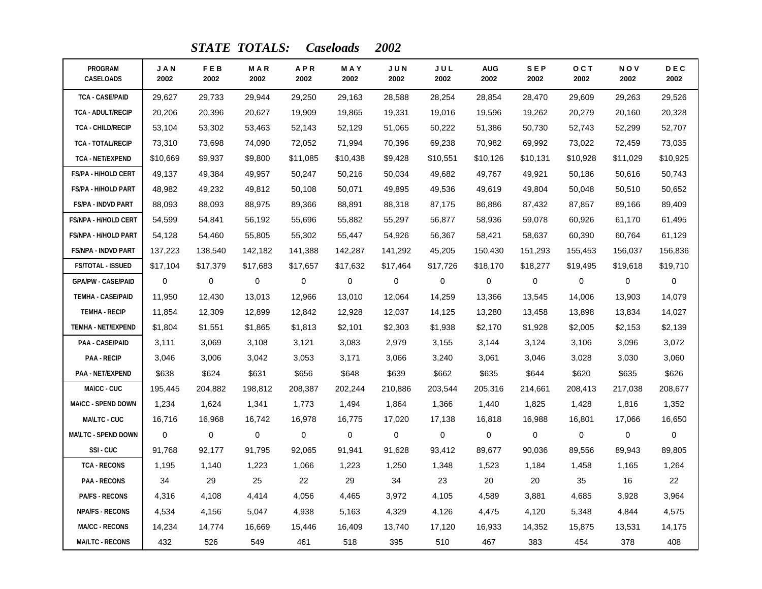*STATE TOTALS: Caseloads 2002*

| <b>PROGRAM</b><br>CASELOADS | JAN<br>2002 | FEB<br>2002 | <b>MAR</b><br>2002 | <b>APR</b><br>2002 | <b>MAY</b><br>2002 | <b>JUN</b><br>2002 | <b>JUL</b><br>2002 | <b>AUG</b><br>2002 | <b>SEP</b><br>2002 | o c t<br>2002 | <b>NOV</b><br>2002 | DEC<br>2002 |
|-----------------------------|-------------|-------------|--------------------|--------------------|--------------------|--------------------|--------------------|--------------------|--------------------|---------------|--------------------|-------------|
| <b>TCA - CASE/PAID</b>      | 29,627      | 29,733      | 29,944             | 29,250             | 29,163             | 28,588             | 28,254             | 28,854             | 28,470             | 29,609        | 29,263             | 29,526      |
| <b>TCA - ADULT/RECIP</b>    | 20,206      | 20,396      | 20,627             | 19,909             | 19,865             | 19,331             | 19,016             | 19,596             | 19,262             | 20,279        | 20,160             | 20,328      |
| <b>TCA - CHILD/RECIP</b>    | 53,104      | 53,302      | 53,463             | 52,143             | 52,129             | 51,065             | 50,222             | 51,386             | 50,730             | 52,743        | 52,299             | 52,707      |
| <b>TCA - TOTAL/RECIP</b>    | 73,310      | 73,698      | 74,090             | 72,052             | 71,994             | 70,396             | 69,238             | 70,982             | 69,992             | 73,022        | 72,459             | 73,035      |
| TCA - NET/EXPEND            | \$10,669    | \$9,937     | \$9,800            | \$11,085           | \$10,438           | \$9,428            | \$10,551           | \$10,126           | \$10,131           | \$10,928      | \$11,029           | \$10,925    |
| FS/PA - H/HOLD CERT         | 49,137      | 49,384      | 49,957             | 50,247             | 50,216             | 50,034             | 49,682             | 49,767             | 49,921             | 50,186        | 50,616             | 50,743      |
| <b>FS/PA - H/HOLD PART</b>  | 48,982      | 49,232      | 49,812             | 50,108             | 50,071             | 49,895             | 49,536             | 49,619             | 49,804             | 50,048        | 50,510             | 50,652      |
| FS/PA - INDVD PART          | 88,093      | 88,093      | 88,975             | 89,366             | 88,891             | 88,318             | 87,175             | 86,886             | 87,432             | 87,857        | 89,166             | 89,409      |
| FS/NPA - H/HOLD CERT        | 54,599      | 54,841      | 56,192             | 55,696             | 55,882             | 55,297             | 56,877             | 58,936             | 59,078             | 60,926        | 61,170             | 61,495      |
| <b>FS/NPA - H/HOLD PART</b> | 54,128      | 54,460      | 55,805             | 55,302             | 55,447             | 54,926             | 56,367             | 58,421             | 58,637             | 60,390        | 60,764             | 61,129      |
| <b>FS/NPA - INDVD PART</b>  | 137,223     | 138,540     | 142,182            | 141,388            | 142,287            | 141,292            | 45,205             | 150,430            | 151,293            | 155,453       | 156,037            | 156,836     |
| <b>FS/TOTAL - ISSUED</b>    | \$17,104    | \$17.379    | \$17,683           | \$17,657           | \$17,632           | \$17,464           | \$17,726           | \$18,170           | \$18,277           | \$19,495      | \$19,618           | \$19,710    |
| <b>GPA/PW - CASE/PAID</b>   | $\mathbf 0$ | $\mathbf 0$ | 0                  | 0                  | $\mathbf 0$        | 0                  | 0                  | 0                  | $\mathbf 0$        | 0             | 0                  | $\mathbf 0$ |
| <b>TEMHA - CASE/PAID</b>    | 11,950      | 12,430      | 13,013             | 12,966             | 13,010             | 12,064             | 14,259             | 13,366             | 13,545             | 14,006        | 13,903             | 14,079      |
| <b>TEMHA - RECIP</b>        | 11,854      | 12.309      | 12,899             | 12,842             | 12,928             | 12,037             | 14,125             | 13,280             | 13,458             | 13,898        | 13,834             | 14,027      |
| <b>TEMHA - NET/EXPEND</b>   | \$1,804     | \$1,551     | \$1,865            | \$1,813            | \$2,101            | \$2,303            | \$1,938            | \$2,170            | \$1,928            | \$2,005       | \$2,153            | \$2,139     |
| PAA - CASE/PAID             | 3,111       | 3,069       | 3,108              | 3,121              | 3,083              | 2,979              | 3,155              | 3,144              | 3,124              | 3,106         | 3,096              | 3,072       |
| <b>PAA - RECIP</b>          | 3,046       | 3,006       | 3,042              | 3,053              | 3,171              | 3,066              | 3,240              | 3,061              | 3,046              | 3,028         | 3,030              | 3,060       |
| PAA - NET/EXPEND            | \$638       | \$624       | \$631              | \$656              | \$648              | \$639              | \$662              | \$635              | \$644              | \$620         | \$635              | \$626       |
| MAICC - CUC                 | 195,445     | 204,882     | 198,812            | 208,387            | 202,244            | 210,886            | 203,544            | 205,316            | 214,661            | 208,413       | 217,038            | 208,677     |
| MA\CC - SPEND DOWN          | 1,234       | 1,624       | 1,341              | 1,773              | 1,494              | 1,864              | 1,366              | 1,440              | 1,825              | 1,428         | 1,816              | 1,352       |
| <b>MAILTC - CUC</b>         | 16,716      | 16,968      | 16,742             | 16,978             | 16,775             | 17,020             | 17,138             | 16,818             | 16,988             | 16,801        | 17,066             | 16,650      |
| <b>MA\LTC - SPEND DOWN</b>  | 0           | $\mathbf 0$ | $\mathbf 0$        | 0                  | 0                  | $\mathbf 0$        | $\mathbf 0$        | 0                  | 0                  | 0             | 0                  | 0           |
| SSI-CUC                     | 91,768      | 92,177      | 91,795             | 92,065             | 91,941             | 91,628             | 93,412             | 89,677             | 90,036             | 89,556        | 89,943             | 89,805      |
| <b>TCA - RECONS</b>         | 1,195       | 1,140       | 1,223              | 1,066              | 1,223              | 1,250              | 1,348              | 1,523              | 1,184              | 1,458         | 1,165              | 1,264       |
| <b>PAA - RECONS</b>         | 34          | 29          | 25                 | 22                 | 29                 | 34                 | 23                 | 20                 | 20                 | 35            | 16                 | 22          |
| <b>PA/FS - RECONS</b>       | 4,316       | 4,108       | 4,414              | 4,056              | 4,465              | 3,972              | 4,105              | 4,589              | 3,881              | 4,685         | 3,928              | 3,964       |
| <b>NPA/FS - RECONS</b>      | 4,534       | 4,156       | 5,047              | 4,938              | 5,163              | 4,329              | 4,126              | 4,475              | 4,120              | 5,348         | 4,844              | 4,575       |
| <b>MA/CC - RECONS</b>       | 14.234      | 14.774      | 16,669             | 15,446             | 16,409             | 13.740             | 17,120             | 16,933             | 14,352             | 15,875        | 13,531             | 14,175      |
| <b>MA/LTC - RECONS</b>      | 432         | 526         | 549                | 461                | 518                | 395                | 510                | 467                | 383                | 454           | 378                | 408         |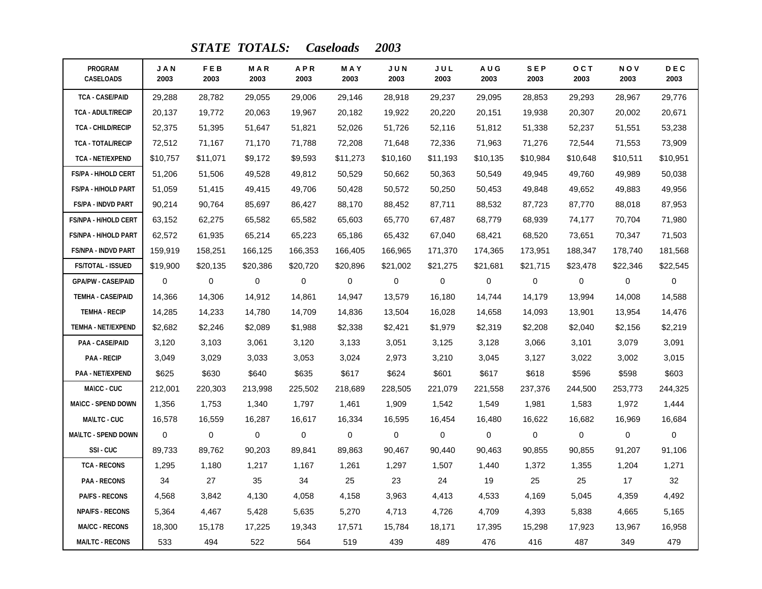*STATE TOTALS: Caseloads 2003*

| <b>PROGRAM</b><br>CASELOADS | JAN<br>2003 | FEB<br>2003 | <b>MAR</b><br>2003 | APR<br>2003 | <b>MAY</b><br>2003 | <b>JUN</b><br>2003 | <b>JUL</b><br>2003 | A U G<br>2003 | <b>SEP</b><br>2003 | O C T<br>2003 | <b>NOV</b><br>2003 | DEC<br>2003 |
|-----------------------------|-------------|-------------|--------------------|-------------|--------------------|--------------------|--------------------|---------------|--------------------|---------------|--------------------|-------------|
| <b>TCA - CASE/PAID</b>      | 29,288      | 28,782      | 29,055             | 29,006      | 29,146             | 28,918             | 29,237             | 29,095        | 28,853             | 29,293        | 28,967             | 29,776      |
| <b>TCA - ADULT/RECIP</b>    | 20,137      | 19,772      | 20,063             | 19,967      | 20,182             | 19,922             | 20,220             | 20,151        | 19,938             | 20,307        | 20,002             | 20,671      |
| <b>TCA - CHILD/RECIP</b>    | 52,375      | 51,395      | 51,647             | 51,821      | 52,026             | 51,726             | 52,116             | 51,812        | 51,338             | 52,237        | 51,551             | 53,238      |
| <b>TCA - TOTAL/RECIP</b>    | 72,512      | 71.167      | 71,170             | 71,788      | 72,208             | 71,648             | 72,336             | 71,963        | 71,276             | 72,544        | 71,553             | 73,909      |
| <b>TCA - NET/EXPEND</b>     | \$10,757    | \$11,071    | \$9,172            | \$9,593     | \$11,273           | \$10,160           | \$11,193           | \$10,135      | \$10,984           | \$10,648      | \$10,511           | \$10,951    |
| FS/PA - H/HOLD CERT         | 51,206      | 51,506      | 49,528             | 49,812      | 50,529             | 50,662             | 50,363             | 50,549        | 49,945             | 49,760        | 49,989             | 50,038      |
| FS/PA - H/HOLD PART         | 51,059      | 51,415      | 49,415             | 49,706      | 50,428             | 50,572             | 50,250             | 50,453        | 49,848             | 49,652        | 49,883             | 49,956      |
| <b>FS/PA - INDVD PART</b>   | 90,214      | 90,764      | 85,697             | 86,427      | 88,170             | 88,452             | 87,711             | 88,532        | 87,723             | 87,770        | 88,018             | 87,953      |
| FS/NPA - H/HOLD CERT        | 63,152      | 62,275      | 65,582             | 65,582      | 65,603             | 65,770             | 67,487             | 68,779        | 68,939             | 74,177        | 70,704             | 71,980      |
| <b>FS/NPA - H/HOLD PART</b> | 62,572      | 61,935      | 65,214             | 65,223      | 65,186             | 65,432             | 67,040             | 68,421        | 68,520             | 73,651        | 70,347             | 71,503      |
| <b>FS/NPA - INDVD PART</b>  | 159,919     | 158,251     | 166,125            | 166,353     | 166,405            | 166,965            | 171,370            | 174,365       | 173,951            | 188,347       | 178,740            | 181,568     |
| <b>FS/TOTAL - ISSUED</b>    | \$19,900    | \$20,135    | \$20,386           | \$20,720    | \$20,896           | \$21,002           | \$21,275           | \$21,681      | \$21,715           | \$23,478      | \$22,346           | \$22,545    |
| <b>GPA/PW - CASE/PAID</b>   | $\mathbf 0$ | $\mathbf 0$ | 0                  | 0           | 0                  | 0                  | 0                  | 0             | 0                  | 0             | 0                  | $\mathbf 0$ |
| TEMHA - CASE/PAID           | 14,366      | 14,306      | 14,912             | 14,861      | 14,947             | 13,579             | 16,180             | 14,744        | 14,179             | 13,994        | 14,008             | 14,588      |
| <b>TEMHA - RECIP</b>        | 14,285      | 14,233      | 14,780             | 14,709      | 14,836             | 13,504             | 16,028             | 14,658        | 14,093             | 13,901        | 13,954             | 14,476      |
| <b>TEMHA - NET/EXPEND</b>   | \$2,682     | \$2,246     | \$2,089            | \$1,988     | \$2,338            | \$2,421            | \$1,979            | \$2,319       | \$2,208            | \$2,040       | \$2,156            | \$2,219     |
| <b>PAA - CASE/PAID</b>      | 3,120       | 3,103       | 3,061              | 3,120       | 3,133              | 3,051              | 3,125              | 3,128         | 3,066              | 3,101         | 3,079              | 3,091       |
| <b>PAA - RECIP</b>          | 3,049       | 3,029       | 3,033              | 3,053       | 3,024              | 2,973              | 3,210              | 3,045         | 3,127              | 3,022         | 3,002              | 3,015       |
| PAA - NET/EXPEND            | \$625       | \$630       | \$640              | \$635       | \$617              | \$624              | \$601              | \$617         | \$618              | \$596         | \$598              | \$603       |
| MAICC - CUC                 | 212,001     | 220,303     | 213,998            | 225,502     | 218,689            | 228,505            | 221,079            | 221,558       | 237,376            | 244,500       | 253,773            | 244,325     |
| MA\CC - SPEND DOWN          | 1,356       | 1,753       | 1,340              | 1,797       | 1,461              | 1,909              | 1,542              | 1,549         | 1,981              | 1,583         | 1,972              | 1,444       |
| <b>MAILTC - CUC</b>         | 16,578      | 16,559      | 16,287             | 16,617      | 16,334             | 16,595             | 16,454             | 16,480        | 16,622             | 16,682        | 16,969             | 16,684      |
| MA\LTC - SPEND DOWN         | $\mathbf 0$ | $\mathbf 0$ | $\Omega$           | $\mathbf 0$ | 0                  | $\mathbf 0$        | $\mathbf 0$        | $\mathbf 0$   | $\mathbf 0$        | $\mathbf 0$   | 0                  | 0           |
| SSI-CUC                     | 89,733      | 89.762      | 90,203             | 89.841      | 89,863             | 90,467             | 90,440             | 90,463        | 90.855             | 90,855        | 91,207             | 91,106      |
| <b>TCA - RECONS</b>         | 1,295       | 1,180       | 1,217              | 1,167       | 1,261              | 1,297              | 1,507              | 1,440         | 1,372              | 1,355         | 1,204              | 1,271       |
| <b>PAA - RECONS</b>         | 34          | 27          | 35                 | 34          | 25                 | 23                 | 24                 | 19            | 25                 | 25            | 17                 | 32          |
| <b>PA/FS - RECONS</b>       | 4,568       | 3,842       | 4,130              | 4,058       | 4,158              | 3,963              | 4,413              | 4,533         | 4,169              | 5,045         | 4,359              | 4,492       |
| <b>NPA/FS - RECONS</b>      | 5,364       | 4,467       | 5,428              | 5,635       | 5,270              | 4,713              | 4,726              | 4,709         | 4,393              | 5,838         | 4,665              | 5,165       |
| <b>MA/CC - RECONS</b>       | 18,300      | 15,178      | 17,225             | 19,343      | 17,571             | 15,784             | 18,171             | 17,395        | 15,298             | 17,923        | 13,967             | 16,958      |
| <b>MA/LTC - RECONS</b>      | 533         | 494         | 522                | 564         | 519                | 439                | 489                | 476           | 416                | 487           | 349                | 479         |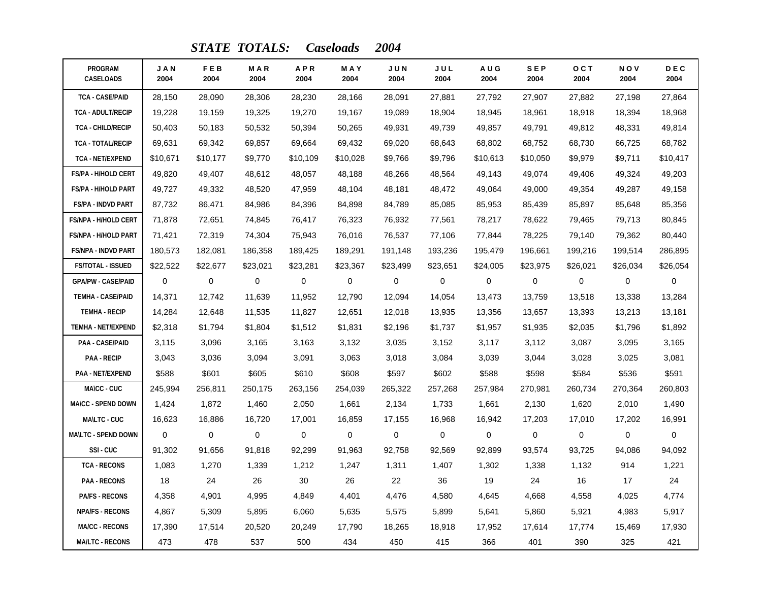*STATE TOTALS: Caseloads 2004*

| <b>PROGRAM</b><br>CASELOADS | JAN<br>2004 | FEB<br>2004 | <b>MAR</b><br>2004 | <b>APR</b><br>2004 | <b>MAY</b><br>2004 | <b>JUN</b><br>2004 | <b>JUL</b><br>2004 | A U G<br>2004 | <b>SEP</b><br>2004 | O C T<br>2004 | <b>NOV</b><br>2004 | <b>DEC</b><br>2004 |
|-----------------------------|-------------|-------------|--------------------|--------------------|--------------------|--------------------|--------------------|---------------|--------------------|---------------|--------------------|--------------------|
| <b>TCA - CASE/PAID</b>      | 28,150      | 28,090      | 28,306             | 28,230             | 28,166             | 28,091             | 27,881             | 27,792        | 27,907             | 27,882        | 27,198             | 27,864             |
| <b>TCA - ADULT/RECIP</b>    | 19,228      | 19,159      | 19,325             | 19,270             | 19,167             | 19,089             | 18,904             | 18,945        | 18,961             | 18,918        | 18,394             | 18,968             |
| <b>TCA - CHILD/RECIP</b>    | 50,403      | 50,183      | 50,532             | 50,394             | 50,265             | 49,931             | 49,739             | 49,857        | 49,791             | 49,812        | 48,331             | 49,814             |
| <b>TCA - TOTAL/RECIP</b>    | 69,631      | 69,342      | 69,857             | 69,664             | 69,432             | 69,020             | 68,643             | 68,802        | 68,752             | 68,730        | 66,725             | 68,782             |
| <b>TCA - NET/EXPEND</b>     | \$10,671    | \$10,177    | \$9,770            | \$10,109           | \$10,028           | \$9,766            | \$9,796            | \$10,613      | \$10,050           | \$9,979       | \$9,711            | \$10,417           |
| FS/PA - H/HOLD CERT         | 49,820      | 49,407      | 48,612             | 48,057             | 48,188             | 48,266             | 48,564             | 49,143        | 49,074             | 49,406        | 49,324             | 49,203             |
| FS/PA - H/HOLD PART         | 49,727      | 49,332      | 48,520             | 47,959             | 48,104             | 48,181             | 48,472             | 49,064        | 49,000             | 49,354        | 49,287             | 49,158             |
| FS/PA - INDVD PART          | 87,732      | 86,471      | 84,986             | 84,396             | 84,898             | 84,789             | 85,085             | 85,953        | 85,439             | 85,897        | 85,648             | 85,356             |
| FS/NPA - H/HOLD CERT        | 71,878      | 72,651      | 74,845             | 76,417             | 76,323             | 76,932             | 77,561             | 78,217        | 78,622             | 79,465        | 79,713             | 80,845             |
| <b>FS/NPA - H/HOLD PART</b> | 71,421      | 72,319      | 74,304             | 75,943             | 76,016             | 76,537             | 77,106             | 77,844        | 78,225             | 79,140        | 79,362             | 80,440             |
| <b>FS/NPA - INDVD PART</b>  | 180,573     | 182,081     | 186,358            | 189,425            | 189,291            | 191,148            | 193,236            | 195,479       | 196,661            | 199,216       | 199,514            | 286,895            |
| FS/TOTAL - ISSUED           | \$22,522    | \$22,677    | \$23,021           | \$23,281           | \$23,367           | \$23,499           | \$23,651           | \$24,005      | \$23,975           | \$26,021      | \$26,034           | \$26,054           |
| <b>GPA/PW - CASE/PAID</b>   | 0           | $\mathbf 0$ | $\mathbf 0$        | 0                  | 0                  | 0                  | 0                  | 0             | 0                  | 0             | 0                  | 0                  |
| TEMHA - CASE/PAID           | 14,371      | 12,742      | 11,639             | 11,952             | 12,790             | 12,094             | 14,054             | 13,473        | 13,759             | 13,518        | 13,338             | 13,284             |
| <b>TEMHA - RECIP</b>        | 14,284      | 12,648      | 11,535             | 11,827             | 12,651             | 12,018             | 13,935             | 13,356        | 13,657             | 13,393        | 13,213             | 13,181             |
| <b>TEMHA - NET/EXPEND</b>   | \$2,318     | \$1,794     | \$1,804            | \$1,512            | \$1,831            | \$2,196            | \$1,737            | \$1,957       | \$1,935            | \$2,035       | \$1,796            | \$1,892            |
| <b>PAA - CASE/PAID</b>      | 3,115       | 3,096       | 3,165              | 3,163              | 3,132              | 3,035              | 3,152              | 3,117         | 3,112              | 3,087         | 3,095              | 3,165              |
| <b>PAA - RECIP</b>          | 3,043       | 3,036       | 3,094              | 3,091              | 3,063              | 3,018              | 3,084              | 3,039         | 3,044              | 3,028         | 3,025              | 3,081              |
| PAA - NET/EXPEND            | \$588       | \$601       | \$605              | \$610              | \$608              | \$597              | \$602              | \$588         | \$598              | \$584         | \$536              | \$591              |
| MAICC - CUC                 | 245,994     | 256,811     | 250,175            | 263,156            | 254,039            | 265,322            | 257,268            | 257,984       | 270,981            | 260,734       | 270,364            | 260,803            |
| <b>MA\CC - SPEND DOWN</b>   | 1,424       | 1,872       | 1,460              | 2,050              | 1,661              | 2,134              | 1,733              | 1,661         | 2,130              | 1,620         | 2,010              | 1,490              |
| <b>MAILTC - CUC</b>         | 16,623      | 16,886      | 16,720             | 17,001             | 16,859             | 17,155             | 16,968             | 16,942        | 17,203             | 17,010        | 17,202             | 16,991             |
| MA\LTC - SPEND DOWN         | $\mathbf 0$ | $\mathbf 0$ | $\Omega$           | $\mathbf 0$        | 0                  | $\mathbf 0$        | $\mathbf 0$        | $\mathbf 0$   | $\mathbf 0$        | 0             | $\mathbf 0$        | $\mathbf 0$        |
| SSI-CUC                     | 91,302      | 91,656      | 91,818             | 92,299             | 91,963             | 92,758             | 92,569             | 92,899        | 93,574             | 93,725        | 94,086             | 94,092             |
| <b>TCA - RECONS</b>         | 1,083       | 1,270       | 1,339              | 1,212              | 1,247              | 1,311              | 1,407              | 1,302         | 1,338              | 1,132         | 914                | 1,221              |
| <b>PAA - RECONS</b>         | 18          | 24          | 26                 | 30                 | 26                 | 22                 | 36                 | 19            | 24                 | 16            | 17                 | 24                 |
| <b>PA/FS - RECONS</b>       | 4,358       | 4,901       | 4,995              | 4,849              | 4,401              | 4,476              | 4,580              | 4,645         | 4,668              | 4,558         | 4,025              | 4,774              |
| <b>NPA/FS - RECONS</b>      | 4,867       | 5,309       | 5,895              | 6,060              | 5,635              | 5,575              | 5,899              | 5,641         | 5,860              | 5,921         | 4,983              | 5,917              |
| <b>MA/CC - RECONS</b>       | 17,390      | 17,514      | 20,520             | 20,249             | 17,790             | 18,265             | 18,918             | 17,952        | 17,614             | 17,774        | 15,469             | 17,930             |
| <b>MA/LTC - RECONS</b>      | 473         | 478         | 537                | 500                | 434                | 450                | 415                | 366           | 401                | 390           | 325                | 421                |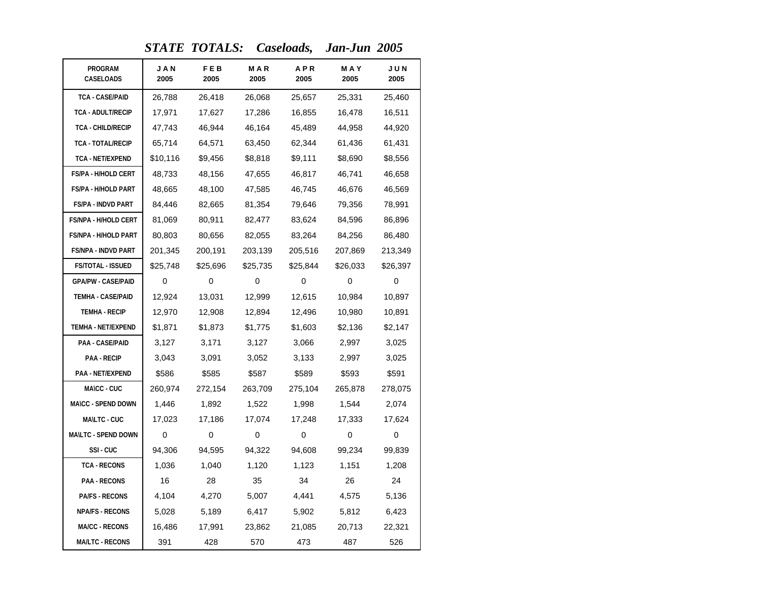*STATE TOTALS: Caseloads, Jan-Jun 2005*

| PROGRAM<br>CASELOADS        | J A N<br>2005 | FEB<br>2005 | <b>MAR</b><br>2005 | <b>APR</b><br>2005 | <b>MAY</b><br>2005 | J U N<br>2005 |
|-----------------------------|---------------|-------------|--------------------|--------------------|--------------------|---------------|
| <b>TCA - CASE/PAID</b>      | 26,788        | 26,418      | 26,068             | 25,657             | 25,331             | 25,460        |
| <b>TCA - ADULT/RECIP</b>    | 17,971        | 17,627      | 17,286             | 16,855             | 16,478             | 16,511        |
| <b>TCA - CHILD/RECIP</b>    | 47,743        | 46,944      | 46,164             | 45,489             | 44,958             | 44,920        |
| <b>TCA - TOTAL/RECIP</b>    | 65,714        | 64,571      | 63,450             | 62,344             | 61,436             | 61,431        |
| <b>TCA - NET/EXPEND</b>     | \$10,116      | \$9,456     | \$8,818            | \$9,111            | \$8,690            | \$8,556       |
| FS/PA - H/HOLD CERT         | 48,733        | 48,156      | 47,655             | 46,817             | 46,741             | 46,658        |
| FS/PA - H/HOLD PART         | 48,665        | 48,100      | 47,585             | 46,745             | 46,676             | 46,569        |
| FS/PA - INDVD PART          | 84,446        | 82,665      | 81,354             | 79,646             | 79,356             | 78,991        |
| <b>FS/NPA - H/HOLD CERT</b> |               |             |                    |                    |                    |               |
|                             | 81,069        | 80,911      | 82,477             | 83,624             | 84,596             | 86,896        |
| FS/NPA - H/HOLD PART        | 80,803        | 80,656      | 82,055             | 83,264             | 84,256             | 86,480        |
| <b>FS/NPA - INDVD PART</b>  | 201,345       | 200,191     | 203,139            | 205,516            | 207,869            | 213,349       |
| FS/TOTAL - ISSUED           | \$25,748      | \$25,696    | \$25,735           | \$25,844           | \$26,033           | \$26,397      |
| <b>GPA/PW - CASE/PAID</b>   | 0             | 0           | 0                  | 0                  | 0                  | 0             |
| <b>TEMHA - CASE/PAID</b>    | 12,924        | 13,031      | 12,999             | 12,615             | 10,984             | 10,897        |
| <b>TEMHA - RECIP</b>        | 12,970        | 12,908      | 12,894             | 12,496             | 10,980             | 10,891        |
| TEMHA - NET/EXPEND          | \$1,871       | \$1,873     | \$1,775            | \$1,603            | \$2,136            | \$2,147       |
| PAA - CASE/PAID             | 3,127         | 3,171       | 3,127              | 3,066              | 2,997              | 3,025         |
| <b>PAA - RECIP</b>          | 3,043         | 3,091       | 3,052              | 3,133              | 2,997              | 3,025         |
| PAA - NET/EXPEND            | \$586         | \$585       | \$587              | \$589              | \$593              | \$591         |
| MAICC - CUC                 | 260,974       | 272,154     | 263,709            | 275,104            | 265,878            | 278,075       |
| MA\CC - SPEND DOWN          | 1,446         | 1,892       | 1,522              | 1,998              | 1,544              | 2,074         |
| MAILTC - CUC                | 17,023        | 17,186      | 17,074             | 17,248             | 17,333             | 17,624        |
| MA\LTC - SPEND DOWN         | 0             | 0           | 0                  | 0                  | 0                  | 0             |
| SSI-CUC                     | 94,306        | 94,595      | 94,322             | 94,608             | 99,234             | 99,839        |
| <b>TCA - RECONS</b>         | 1,036         | 1,040       | 1,120              | 1,123              | 1,151              | 1,208         |
| <b>PAA - RECONS</b>         | 16            | 28          | 35                 | 34                 | 26                 | 24            |
| <b>PA/FS - RECONS</b>       | 4,104         | 4,270       | 5,007              | 4,441              | 4,575              | 5,136         |
| <b>NPA/FS - RECONS</b>      | 5,028         | 5,189       | 6,417              | 5,902              | 5,812              | 6,423         |
| MA/CC - RECONS              | 16,486        | 17,991      | 23,862             | 21,085             | 20,713             | 22,321        |
| MA/LTC - RECONS             | 391           | 428         | 570                | 473                | 487                | 526           |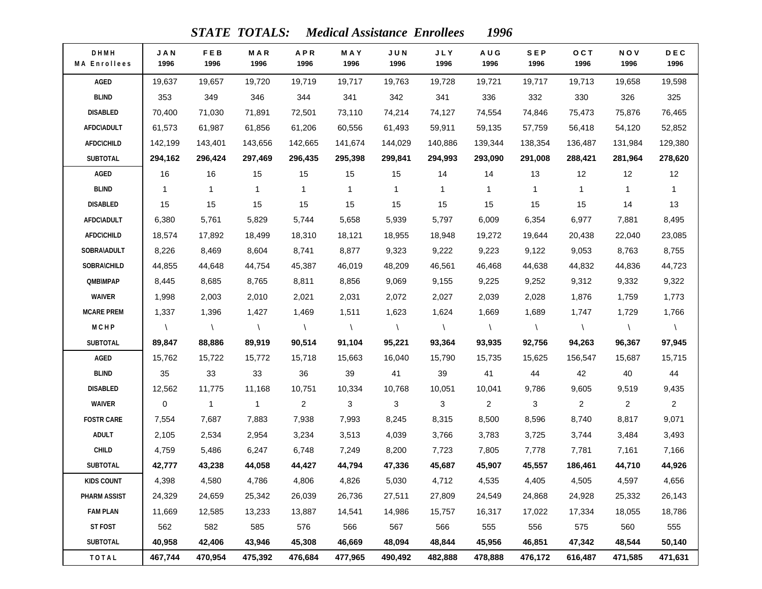*STATE TOTALS: Medical Assistance Enrollees 1996*

| DHMH<br>MA Enrollees | JAN<br>1996 | FEB<br>1996  | <b>MAR</b><br>1996 | <b>APR</b><br>1996 | <b>MAY</b><br>1996 | JUN<br>1996 | <b>JLY</b><br>1996 | A U G<br>1996 | <b>SEP</b><br>1996 | <b>OCT</b><br>1996 | NOV<br>1996    | <b>DEC</b><br>1996 |
|----------------------|-------------|--------------|--------------------|--------------------|--------------------|-------------|--------------------|---------------|--------------------|--------------------|----------------|--------------------|
| AGED                 | 19,637      | 19,657       | 19,720             | 19,719             | 19,717             | 19,763      | 19,728             | 19,721        | 19,717             | 19,713             | 19,658         | 19,598             |
| <b>BLIND</b>         | 353         | 349          | 346                | 344                | 341                | 342         | 341                | 336           | 332                | 330                | 326            | 325                |
| <b>DISABLED</b>      | 70,400      | 71,030       | 71,891             | 72,501             | 73,110             | 74,214      | 74,127             | 74,554        | 74,846             | 75,473             | 75,876         | 76,465             |
| <b>AFDC\ADULT</b>    | 61,573      | 61,987       | 61,856             | 61,206             | 60,556             | 61,493      | 59,911             | 59,135        | 57,759             | 56,418             | 54,120         | 52,852             |
| <b>AFDC\CHILD</b>    | 142,199     | 143,401      | 143,656            | 142,665            | 141,674            | 144,029     | 140,886            | 139,344       | 138,354            | 136,487            | 131,984        | 129,380            |
| <b>SUBTOTAL</b>      | 294,162     | 296,424      | 297,469            | 296,435            | 295,398            | 299,841     | 294,993            | 293,090       | 291,008            | 288,421            | 281,964        | 278,620            |
| <b>AGED</b>          | 16          | 16           | 15                 | 15                 | 15                 | 15          | 14                 | 14            | 13                 | 12                 | 12             | 12                 |
| <b>BLIND</b>         | 1           | $\mathbf{1}$ | 1                  | -1                 | 1                  | 1           | 1                  | $\mathbf 1$   | -1                 | 1                  | $\mathbf{1}$   | 1                  |
| <b>DISABLED</b>      | 15          | 15           | 15                 | 15                 | 15                 | 15          | 15                 | 15            | 15                 | 15                 | 14             | 13                 |
| AFDC\ADULT           | 6,380       | 5,761        | 5,829              | 5,744              | 5,658              | 5,939       | 5,797              | 6,009         | 6,354              | 6,977              | 7,881          | 8,495              |
| <b>AFDC\CHILD</b>    | 18,574      | 17,892       | 18,499             | 18,310             | 18,121             | 18,955      | 18,948             | 19,272        | 19,644             | 20,438             | 22,040         | 23,085             |
| SOBRA\ADULT          | 8,226       | 8,469        | 8,604              | 8,741              | 8,877              | 9,323       | 9,222              | 9,223         | 9,122              | 9,053              | 8,763          | 8,755              |
| <b>SOBRA\CHILD</b>   | 44,855      | 44,648       | 44,754             | 45,387             | 46,019             | 48,209      | 46,561             | 46,468        | 44,638             | 44,832             | 44,836         | 44,723             |
| <b>QMB\MPAP</b>      | 8,445       | 8,685        | 8,765              | 8,811              | 8,856              | 9,069       | 9,155              | 9,225         | 9,252              | 9,312              | 9,332          | 9,322              |
| <b>WAIVER</b>        | 1,998       | 2,003        | 2,010              | 2,021              | 2,031              | 2,072       | 2,027              | 2,039         | 2,028              | 1,876              | 1,759          | 1,773              |
| <b>MCARE PREM</b>    | 1,337       | 1,396        | 1,427              | 1,469              | 1,511              | 1,623       | 1,624              | 1,669         | 1,689              | 1,747              | 1,729          | 1,766              |
| MCHP                 | $\lambda$   |              | Λ                  |                    |                    | $\lambda$   |                    | $\sqrt{2}$    |                    | $\lambda$          |                | $\lambda$          |
| <b>SUBTOTAL</b>      | 89,847      | 88,886       | 89,919             | 90,514             | 91,104             | 95,221      | 93,364             | 93,935        | 92,756             | 94,263             | 96,367         | 97,945             |
| <b>AGED</b>          | 15,762      | 15,722       | 15,772             | 15,718             | 15,663             | 16,040      | 15,790             | 15,735        | 15,625             | 156,547            | 15,687         | 15,715             |
| <b>BLIND</b>         | 35          | 33           | 33                 | 36                 | 39                 | 41          | 39                 | 41            | 44                 | 42                 | 40             | 44                 |
| <b>DISABLED</b>      | 12,562      | 11,775       | 11,168             | 10,751             | 10,334             | 10,768      | 10,051             | 10,041        | 9,786              | 9,605              | 9,519          | 9,435              |
| <b>WAIVER</b>        | 0           | $\mathbf{1}$ | 1                  | $\overline{2}$     | 3                  | 3           | 3                  | 2             | 3                  | $\overline{2}$     | $\overline{2}$ | $\overline{2}$     |
| <b>FOSTR CARE</b>    | 7,554       | 7,687        | 7,883              | 7,938              | 7,993              | 8,245       | 8,315              | 8,500         | 8,596              | 8,740              | 8,817          | 9,071              |
| <b>ADULT</b>         | 2,105       | 2,534        | 2,954              | 3,234              | 3,513              | 4,039       | 3,766              | 3,783         | 3,725              | 3,744              | 3,484          | 3,493              |
| <b>CHILD</b>         | 4,759       | 5,486        | 6,247              | 6,748              | 7,249              | 8,200       | 7,723              | 7,805         | 7,778              | 7,781              | 7,161          | 7,166              |
| <b>SUBTOTAL</b>      | 42,777      | 43,238       | 44,058             | 44,427             | 44,794             | 47,336      | 45,687             | 45,907        | 45,557             | 186,461            | 44,710         | 44,926             |
| <b>KIDS COUNT</b>    | 4,398       | 4,580        | 4,786              | 4,806              | 4,826              | 5,030       | 4,712              | 4,535         | 4,405              | 4,505              | 4,597          | 4,656              |
| PHARM ASSIST         | 24,329      | 24,659       | 25,342             | 26,039             | 26,736             | 27,511      | 27,809             | 24,549        | 24,868             | 24,928             | 25,332         | 26,143             |
| <b>FAM PLAN</b>      | 11,669      | 12,585       | 13,233             | 13,887             | 14,541             | 14,986      | 15,757             | 16,317        | 17,022             | 17,334             | 18,055         | 18,786             |
| ST FOST              | 562         | 582          | 585                | 576                | 566                | 567         | 566                | 555           | 556                | 575                | 560            | 555                |
| <b>SUBTOTAL</b>      | 40,958      | 42,406       | 43,946             | 45,308             | 46,669             | 48,094      | 48,844             | 45,956        | 46,851             | 47,342             | 48,544         | 50,140             |
| TOTAL                | 467,744     | 470,954      | 475,392            | 476,684            | 477,965            | 490,492     | 482,888            | 478,888       | 476,172            | 616,487            | 471,585        | 471,631            |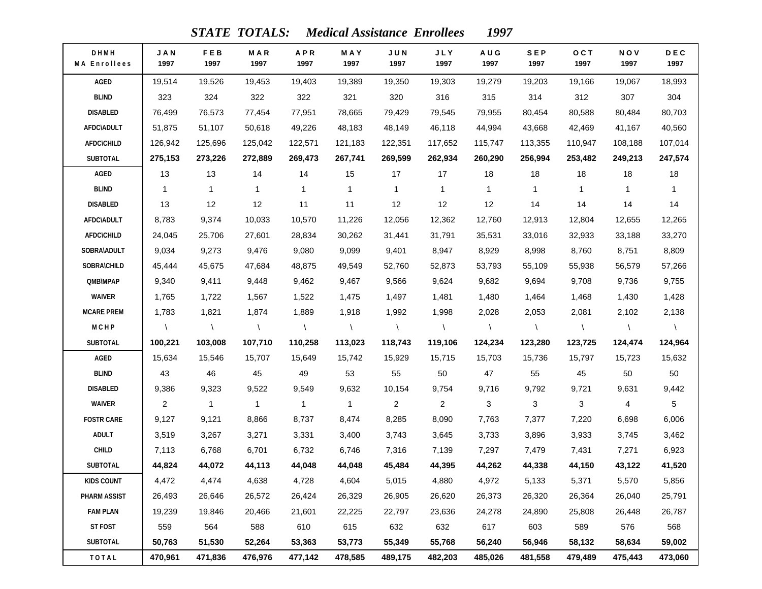*STATE TOTALS: Medical Assistance Enrollees 1997*

| DHMH<br><b>MA Enrollees</b> | JAN<br>1997 | FEB<br>1997  | <b>MAR</b><br>1997 | <b>APR</b><br>1997 | <b>MAY</b><br>1997 | JUN<br>1997    | <b>JLY</b><br>1997 | A U G<br>1997 | SEP<br>1997 | <b>OCT</b><br>1997 | <b>NOV</b><br>1997 | <b>DEC</b><br>1997 |
|-----------------------------|-------------|--------------|--------------------|--------------------|--------------------|----------------|--------------------|---------------|-------------|--------------------|--------------------|--------------------|
| AGED                        | 19,514      | 19,526       | 19,453             | 19,403             | 19,389             | 19,350         | 19,303             | 19,279        | 19,203      | 19,166             | 19,067             | 18,993             |
| <b>BLIND</b>                | 323         | 324          | 322                | 322                | 321                | 320            | 316                | 315           | 314         | 312                | 307                | 304                |
| <b>DISABLED</b>             | 76,499      | 76,573       | 77,454             | 77,951             | 78,665             | 79,429         | 79,545             | 79,955        | 80,454      | 80,588             | 80,484             | 80,703             |
| <b>AFDC\ADULT</b>           | 51,875      | 51,107       | 50,618             | 49,226             | 48,183             | 48,149         | 46,118             | 44,994        | 43,668      | 42,469             | 41,167             | 40,560             |
| <b>AFDC\CHILD</b>           | 126,942     | 125,696      | 125,042            | 122,571            | 121,183            | 122,351        | 117,652            | 115,747       | 113,355     | 110,947            | 108,188            | 107,014            |
| <b>SUBTOTAL</b>             | 275,153     | 273,226      | 272,889            | 269,473            | 267,741            | 269,599        | 262,934            | 260,290       | 256,994     | 253,482            | 249,213            | 247,574            |
| <b>AGED</b>                 | 13          | 13           | 14                 | 14                 | 15                 | 17             | 17                 | 18            | 18          | 18                 | 18                 | 18                 |
| <b>BLIND</b>                | 1           | $\mathbf{1}$ | 1                  | -1                 | 1                  | 1              | 1                  | $\mathbf 1$   | 1           | $\mathbf{1}$       | 1                  | 1                  |
| <b>DISABLED</b>             | 13          | 12           | 12                 | 11                 | 11                 | 12             | 12                 | 12            | 14          | 14                 | 14                 | 14                 |
| <b>AFDC\ADULT</b>           | 8,783       | 9,374        | 10,033             | 10,570             | 11,226             | 12,056         | 12,362             | 12,760        | 12,913      | 12,804             | 12,655             | 12,265             |
| <b>AFDC\CHILD</b>           | 24,045      | 25,706       | 27,601             | 28,834             | 30,262             | 31,441         | 31,791             | 35,531        | 33,016      | 32,933             | 33,188             | 33,270             |
| <b>SOBRA\ADULT</b>          | 9,034       | 9,273        | 9,476              | 9,080              | 9,099              | 9,401          | 8,947              | 8,929         | 8,998       | 8,760              | 8,751              | 8,809              |
| <b>SOBRA\CHILD</b>          | 45,444      | 45,675       | 47,684             | 48,875             | 49,549             | 52,760         | 52,873             | 53,793        | 55,109      | 55,938             | 56,579             | 57,266             |
| QMB\MPAP                    | 9,340       | 9,411        | 9,448              | 9,462              | 9,467              | 9,566          | 9,624              | 9,682         | 9,694       | 9,708              | 9,736              | 9,755              |
| <b>WAIVER</b>               | 1,765       | 1,722        | 1,567              | 1,522              | 1,475              | 1,497          | 1,481              | 1,480         | 1,464       | 1,468              | 1,430              | 1,428              |
| <b>MCARE PREM</b>           | 1,783       | 1,821        | 1,874              | 1,889              | 1,918              | 1,992          | 1,998              | 2,028         | 2,053       | 2,081              | 2,102              | 2,138              |
| MCHP                        |             |              |                    |                    |                    |                |                    |               |             |                    |                    |                    |
| <b>SUBTOTAL</b>             | 100,221     | 103,008      | 107,710            | 110,258            | 113,023            | 118,743        | 119,106            | 124,234       | 123,280     | 123,725            | 124,474            | 124,964            |
| <b>AGED</b>                 | 15,634      | 15,546       | 15,707             | 15,649             | 15,742             | 15,929         | 15,715             | 15,703        | 15,736      | 15,797             | 15,723             | 15,632             |
| <b>BLIND</b>                | 43          | 46           | 45                 | 49                 | 53                 | 55             | 50                 | 47            | 55          | 45                 | 50                 | 50                 |
| <b>DISABLED</b>             | 9,386       | 9,323        | 9,522              | 9,549              | 9,632              | 10,154         | 9,754              | 9,716         | 9,792       | 9,721              | 9,631              | 9,442              |
| <b>WAIVER</b>               | 2           | $\mathbf{1}$ | 1                  | $\mathbf{1}$       | $\mathbf 1$        | $\overline{c}$ | $\overline{2}$     | 3             | 3           | 3                  | 4                  | 5                  |
| <b>FOSTR CARE</b>           | 9,127       | 9,121        | 8,866              | 8,737              | 8,474              | 8,285          | 8,090              | 7,763         | 7,377       | 7,220              | 6,698              | 6,006              |
| <b>ADULT</b>                | 3,519       | 3,267        | 3,271              | 3,331              | 3,400              | 3,743          | 3,645              | 3,733         | 3,896       | 3,933              | 3,745              | 3,462              |
| CHILD                       | 7,113       | 6,768        | 6,701              | 6,732              | 6,746              | 7,316          | 7,139              | 7,297         | 7,479       | 7,431              | 7,271              | 6,923              |
| <b>SUBTOTAL</b>             | 44,824      | 44,072       | 44,113             | 44,048             | 44,048             | 45,484         | 44,395             | 44,262        | 44,338      | 44,150             | 43,122             | 41,520             |
| <b>KIDS COUNT</b>           | 4,472       | 4,474        | 4,638              | 4,728              | 4,604              | 5,015          | 4,880              | 4,972         | 5,133       | 5,371              | 5,570              | 5,856              |
| PHARM ASSIST                | 26,493      | 26,646       | 26,572             | 26,424             | 26,329             | 26,905         | 26,620             | 26,373        | 26,320      | 26,364             | 26,040             | 25,791             |
| <b>FAM PLAN</b>             | 19,239      | 19,846       | 20,466             | 21,601             | 22,225             | 22,797         | 23,636             | 24,278        | 24,890      | 25,808             | 26,448             | 26,787             |
| <b>ST FOST</b>              | 559         | 564          | 588                | 610                | 615                | 632            | 632                | 617           | 603         | 589                | 576                | 568                |
| <b>SUBTOTAL</b>             | 50,763      | 51,530       | 52,264             | 53,363             | 53,773             | 55,349         | 55,768             | 56,240        | 56,946      | 58,132             | 58,634             | 59,002             |
| TOTAL                       | 470,961     | 471,836      | 476,976            | 477,142            | 478,585            | 489,175        | 482,203            | 485,026       | 481,558     | 479,489            | 475,443            | 473,060            |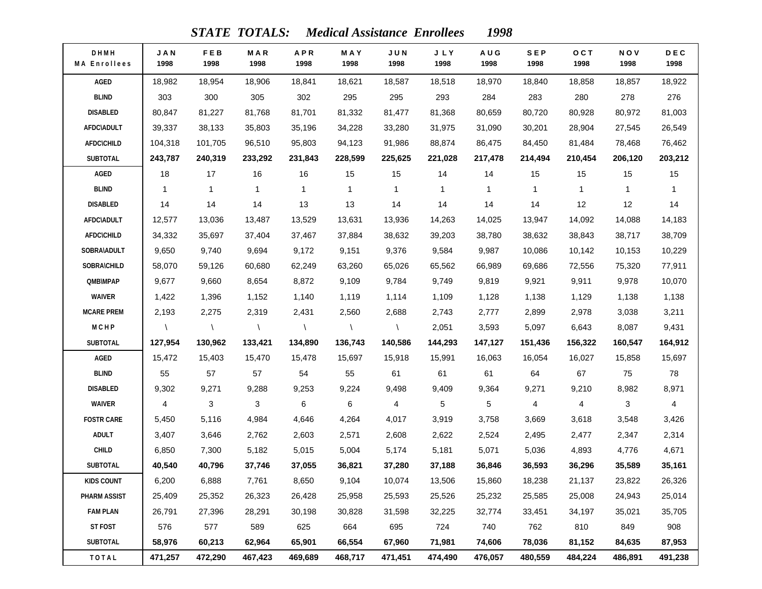*STATE TOTALS: Medical Assistance Enrollees 1998*

| DHMH<br><b>MA Enrollees</b> | JAN<br>1998  | FEB<br>1998  | <b>MAR</b><br>1998 | <b>APR</b><br>1998 | <b>MAY</b><br>1998 | JUN<br>1998 | JLY<br>1998 | A U G<br>1998 | <b>SEP</b><br>1998 | <b>OCT</b><br>1998 | <b>NOV</b><br>1998 | <b>DEC</b><br>1998 |
|-----------------------------|--------------|--------------|--------------------|--------------------|--------------------|-------------|-------------|---------------|--------------------|--------------------|--------------------|--------------------|
| AGED                        | 18,982       | 18,954       | 18,906             | 18,841             | 18,621             | 18,587      | 18,518      | 18,970        | 18,840             | 18,858             | 18,857             | 18,922             |
| <b>BLIND</b>                | 303          | 300          | 305                | 302                | 295                | 295         | 293         | 284           | 283                | 280                | 278                | 276                |
| <b>DISABLED</b>             | 80,847       | 81,227       | 81,768             | 81,701             | 81,332             | 81,477      | 81,368      | 80,659        | 80,720             | 80,928             | 80,972             | 81,003             |
| <b>AFDC\ADULT</b>           | 39,337       | 38,133       | 35,803             | 35,196             | 34,228             | 33,280      | 31,975      | 31,090        | 30,201             | 28,904             | 27,545             | 26,549             |
| <b>AFDC\CHILD</b>           | 104,318      | 101,705      | 96,510             | 95,803             | 94,123             | 91,986      | 88,874      | 86,475        | 84,450             | 81,484             | 78,468             | 76,462             |
| <b>SUBTOTAL</b>             | 243,787      | 240,319      | 233,292            | 231,843            | 228,599            | 225,625     | 221,028     | 217,478       | 214,494            | 210,454            | 206,120            | 203,212            |
| <b>AGED</b>                 | 18           | 17           | 16                 | 16                 | 15                 | 15          | 14          | 14            | 15                 | 15                 | 15                 | 15                 |
| <b>BLIND</b>                | $\mathbf{1}$ | $\mathbf{1}$ | 1                  | 1                  | 1                  | 1           | 1           | $\mathbf{1}$  | $\mathbf 1$        | $\mathbf{1}$       | 1                  | 1                  |
| <b>DISABLED</b>             | 14           | 14           | 14                 | 13                 | 13                 | 14          | 14          | 14            | 14                 | 12                 | 12                 | 14                 |
| <b>AFDC\ADULT</b>           | 12,577       | 13,036       | 13,487             | 13,529             | 13,631             | 13,936      | 14,263      | 14,025        | 13,947             | 14,092             | 14,088             | 14,183             |
| <b>AFDC\CHILD</b>           | 34,332       | 35,697       | 37,404             | 37,467             | 37,884             | 38,632      | 39,203      | 38,780        | 38,632             | 38,843             | 38,717             | 38,709             |
| <b>SOBRA\ADULT</b>          | 9,650        | 9,740        | 9,694              | 9,172              | 9,151              | 9,376       | 9,584       | 9,987         | 10,086             | 10,142             | 10,153             | 10,229             |
| <b>SOBRA\CHILD</b>          | 58,070       | 59,126       | 60,680             | 62,249             | 63,260             | 65,026      | 65,562      | 66,989        | 69,686             | 72,556             | 75,320             | 77,911             |
| <b>QMB\MPAP</b>             | 9,677        | 9,660        | 8,654              | 8,872              | 9,109              | 9,784       | 9,749       | 9,819         | 9,921              | 9,911              | 9,978              | 10,070             |
| <b>WAIVER</b>               | 1,422        | 1,396        | 1,152              | 1,140              | 1,119              | 1,114       | 1,109       | 1,128         | 1,138              | 1,129              | 1,138              | 1,138              |
| <b>MCARE PREM</b>           | 2,193        | 2,275        | 2,319              | 2,431              | 2,560              | 2,688       | 2,743       | 2,777         | 2,899              | 2,978              | 3,038              | 3,211              |
| MCHP                        | $\lambda$    |              |                    |                    |                    | $\lambda$   | 2,051       | 3,593         | 5,097              | 6,643              | 8,087              | 9,431              |
| <b>SUBTOTAL</b>             | 127,954      | 130,962      | 133,421            | 134,890            | 136,743            | 140,586     | 144,293     | 147,127       | 151,436            | 156,322            | 160,547            | 164,912            |
| <b>AGED</b>                 | 15,472       | 15,403       | 15,470             | 15,478             | 15,697             | 15,918      | 15,991      | 16,063        | 16,054             | 16,027             | 15,858             | 15,697             |
| <b>BLIND</b>                | 55           | 57           | 57                 | 54                 | 55                 | 61          | 61          | 61            | 64                 | 67                 | 75                 | 78                 |
| <b>DISABLED</b>             | 9,302        | 9,271        | 9,288              | 9,253              | 9,224              | 9,498       | 9,409       | 9,364         | 9,271              | 9,210              | 8,982              | 8,971              |
| <b>WAIVER</b>               | 4            | 3            | 3                  | 6                  | 6                  | 4           | 5           | 5             | 4                  | 4                  | 3                  | 4                  |
| <b>FOSTR CARE</b>           | 5,450        | 5,116        | 4,984              | 4,646              | 4,264              | 4,017       | 3,919       | 3,758         | 3,669              | 3,618              | 3,548              | 3,426              |
| ADULT                       | 3,407        | 3,646        | 2,762              | 2,603              | 2,571              | 2,608       | 2,622       | 2,524         | 2,495              | 2,477              | 2,347              | 2,314              |
| CHILD                       | 6,850        | 7,300        | 5,182              | 5,015              | 5,004              | 5,174       | 5,181       | 5,071         | 5,036              | 4,893              | 4,776              | 4,671              |
| <b>SUBTOTAL</b>             | 40,540       | 40,796       | 37,746             | 37,055             | 36,821             | 37,280      | 37,188      | 36,846        | 36,593             | 36,296             | 35,589             | 35,161             |
| <b>KIDS COUNT</b>           | 6,200        | 6,888        | 7,761              | 8,650              | 9,104              | 10,074      | 13,506      | 15,860        | 18,238             | 21,137             | 23,822             | 26,326             |
| PHARM ASSIST                | 25,409       | 25,352       | 26,323             | 26,428             | 25,958             | 25,593      | 25,526      | 25,232        | 25,585             | 25,008             | 24,943             | 25,014             |
| <b>FAM PLAN</b>             | 26,791       | 27,396       | 28,291             | 30,198             | 30,828             | 31,598      | 32,225      | 32,774        | 33,451             | 34,197             | 35,021             | 35,705             |
| <b>ST FOST</b>              | 576          | 577          | 589                | 625                | 664                | 695         | 724         | 740           | 762                | 810                | 849                | 908                |
| <b>SUBTOTAL</b>             | 58,976       | 60,213       | 62,964             | 65,901             | 66,554             | 67,960      | 71,981      | 74,606        | 78,036             | 81,152             | 84,635             | 87,953             |
| TOTAL                       | 471,257      | 472,290      | 467,423            | 469,689            | 468,717            | 471,451     | 474,490     | 476,057       | 480,559            | 484,224            | 486,891            | 491,238            |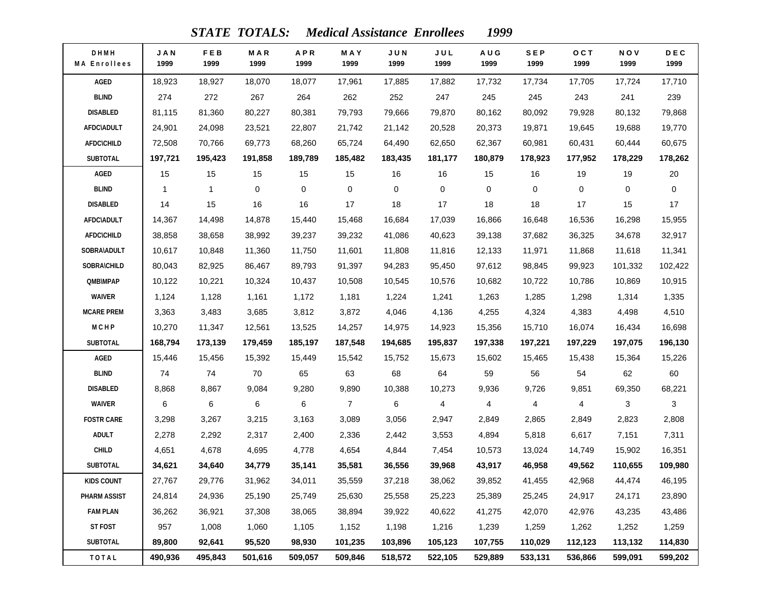*STATE TOTALS: Medical Assistance Enrollees 1999*

| DHMH<br>MA Enrollees | JAN<br>1999 | FEB<br>1999  | <b>MAR</b><br>1999 | APR<br>1999 | <b>MAY</b><br>1999 | JUN<br>1999 | JUL<br>1999 | A U G<br>1999 | <b>SEP</b><br>1999 | <b>OCT</b><br>1999 | <b>NOV</b><br>1999 | <b>DEC</b><br>1999 |
|----------------------|-------------|--------------|--------------------|-------------|--------------------|-------------|-------------|---------------|--------------------|--------------------|--------------------|--------------------|
| AGED                 | 18,923      | 18,927       | 18,070             | 18,077      | 17,961             | 17,885      | 17,882      | 17,732        | 17,734             | 17,705             | 17,724             | 17,710             |
| <b>BLIND</b>         | 274         | 272          | 267                | 264         | 262                | 252         | 247         | 245           | 245                | 243                | 241                | 239                |
| <b>DISABLED</b>      | 81,115      | 81,360       | 80,227             | 80,381      | 79,793             | 79,666      | 79,870      | 80,162        | 80,092             | 79,928             | 80,132             | 79,868             |
| <b>AFDC\ADULT</b>    | 24,901      | 24,098       | 23,521             | 22,807      | 21,742             | 21,142      | 20,528      | 20,373        | 19,871             | 19,645             | 19,688             | 19,770             |
| <b>AFDC\CHILD</b>    | 72,508      | 70,766       | 69,773             | 68,260      | 65,724             | 64,490      | 62,650      | 62,367        | 60,981             | 60,431             | 60,444             | 60,675             |
| <b>SUBTOTAL</b>      | 197,721     | 195,423      | 191,858            | 189,789     | 185,482            | 183,435     | 181,177     | 180,879       | 178,923            | 177,952            | 178,229            | 178,262            |
| <b>AGED</b>          | 15          | 15           | 15                 | 15          | 15                 | 16          | 16          | 15            | 16                 | 19                 | 19                 | 20                 |
| <b>BLIND</b>         | 1           | $\mathbf{1}$ | 0                  | 0           | 0                  | 0           | 0           | 0             | 0                  | 0                  | 0                  | 0                  |
| <b>DISABLED</b>      | 14          | 15           | 16                 | 16          | 17                 | 18          | 17          | 18            | 18                 | 17                 | 15                 | 17                 |
| <b>AFDC\ADULT</b>    | 14,367      | 14,498       | 14,878             | 15,440      | 15,468             | 16,684      | 17,039      | 16,866        | 16,648             | 16,536             | 16,298             | 15,955             |
| <b>AFDC\CHILD</b>    | 38,858      | 38,658       | 38,992             | 39,237      | 39,232             | 41,086      | 40,623      | 39,138        | 37,682             | 36,325             | 34,678             | 32,917             |
| SOBRA\ADULT          | 10,617      | 10,848       | 11,360             | 11,750      | 11,601             | 11,808      | 11,816      | 12,133        | 11,971             | 11,868             | 11,618             | 11,341             |
| <b>SOBRA\CHILD</b>   | 80,043      | 82,925       | 86,467             | 89,793      | 91,397             | 94,283      | 95,450      | 97,612        | 98,845             | 99,923             | 101,332            | 102,422            |
| <b>QMB\MPAP</b>      | 10,122      | 10,221       | 10,324             | 10,437      | 10,508             | 10,545      | 10,576      | 10,682        | 10,722             | 10,786             | 10,869             | 10,915             |
| <b>WAIVER</b>        | 1,124       | 1,128        | 1,161              | 1,172       | 1,181              | 1,224       | 1,241       | 1,263         | 1,285              | 1,298              | 1,314              | 1,335              |
| <b>MCARE PREM</b>    | 3,363       | 3,483        | 3,685              | 3,812       | 3,872              | 4,046       | 4,136       | 4,255         | 4,324              | 4,383              | 4,498              | 4,510              |
| MCHP                 | 10,270      | 11,347       | 12,561             | 13,525      | 14,257             | 14,975      | 14,923      | 15,356        | 15,710             | 16,074             | 16,434             | 16,698             |
| <b>SUBTOTAL</b>      | 168,794     | 173,139      | 179,459            | 185,197     | 187,548            | 194,685     | 195,837     | 197,338       | 197,221            | 197,229            | 197,075            | 196,130            |
| <b>AGED</b>          | 15,446      | 15,456       | 15,392             | 15,449      | 15,542             | 15,752      | 15,673      | 15,602        | 15,465             | 15,438             | 15,364             | 15,226             |
| <b>BLIND</b>         | 74          | 74           | 70                 | 65          | 63                 | 68          | 64          | 59            | 56                 | 54                 | 62                 | 60                 |
| <b>DISABLED</b>      | 8,868       | 8,867        | 9,084              | 9,280       | 9,890              | 10,388      | 10,273      | 9,936         | 9,726              | 9,851              | 69,350             | 68,221             |
| <b>WAIVER</b>        | 6           | 6            | 6                  | 6           | $\overline{7}$     | 6           | 4           | 4             | 4                  | 4                  | 3                  | 3                  |
| <b>FOSTR CARE</b>    | 3,298       | 3,267        | 3,215              | 3,163       | 3,089              | 3,056       | 2,947       | 2,849         | 2,865              | 2,849              | 2,823              | 2,808              |
| <b>ADULT</b>         | 2,278       | 2,292        | 2,317              | 2,400       | 2,336              | 2,442       | 3,553       | 4,894         | 5,818              | 6,617              | 7,151              | 7,311              |
| CHILD                | 4,651       | 4,678        | 4,695              | 4,778       | 4,654              | 4,844       | 7,454       | 10,573        | 13,024             | 14,749             | 15,902             | 16,351             |
| <b>SUBTOTAL</b>      | 34,621      | 34,640       | 34,779             | 35,141      | 35,581             | 36,556      | 39,968      | 43,917        | 46,958             | 49,562             | 110,655            | 109,980            |
| <b>KIDS COUNT</b>    | 27,767      | 29,776       | 31,962             | 34,011      | 35,559             | 37,218      | 38,062      | 39,852        | 41,455             | 42,968             | 44,474             | 46,195             |
| PHARM ASSIST         | 24,814      | 24,936       | 25,190             | 25,749      | 25,630             | 25,558      | 25,223      | 25,389        | 25,245             | 24,917             | 24,171             | 23,890             |
| <b>FAM PLAN</b>      | 36,262      | 36,921       | 37,308             | 38,065      | 38,894             | 39,922      | 40,622      | 41,275        | 42,070             | 42,976             | 43,235             | 43,486             |
| <b>ST FOST</b>       | 957         | 1,008        | 1,060              | 1,105       | 1,152              | 1,198       | 1,216       | 1,239         | 1,259              | 1,262              | 1,252              | 1,259              |
| SUBTOTAL             | 89,800      | 92,641       | 95,520             | 98,930      | 101,235            | 103,896     | 105,123     | 107,755       | 110,029            | 112,123            | 113,132            | 114,830            |
| TOTAL                | 490,936     | 495,843      | 501,616            | 509,057     | 509,846            | 518,572     | 522,105     | 529,889       | 533,131            | 536,866            | 599,091            | 599,202            |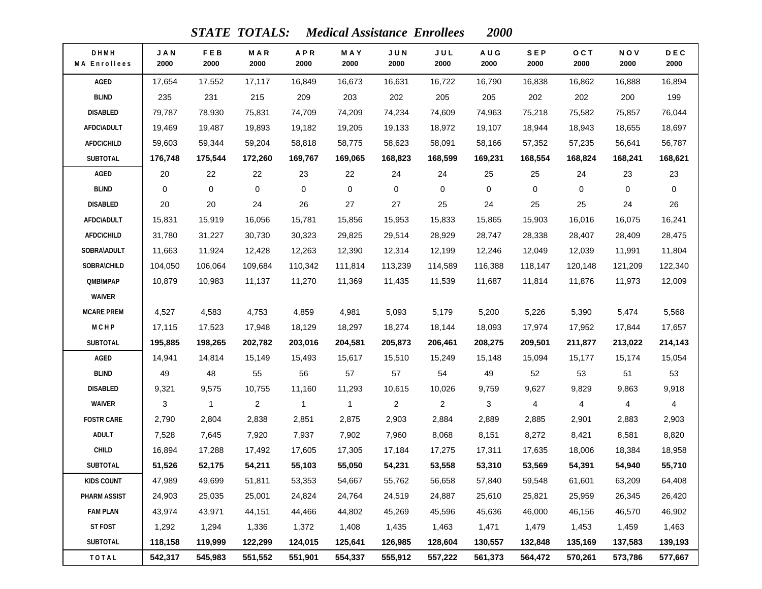*STATE TOTALS: Medical Assistance Enrollees 2000*

| DHMH<br><b>MA Enrollees</b> | JAN<br>2000 | FEB<br>2000  | <b>MAR</b><br>2000 | <b>APR</b><br>2000 | <b>MAY</b><br>2000 | JUN<br>2000    | JUL<br>2000    | A U G<br>2000 | <b>SEP</b><br>2000 | <b>OCT</b><br>2000 | <b>NOV</b><br>2000 | <b>DEC</b><br>2000 |
|-----------------------------|-------------|--------------|--------------------|--------------------|--------------------|----------------|----------------|---------------|--------------------|--------------------|--------------------|--------------------|
| AGED                        | 17,654      | 17,552       | 17,117             | 16,849             | 16,673             | 16,631         | 16,722         | 16,790        | 16,838             | 16,862             | 16,888             | 16,894             |
| <b>BLIND</b>                | 235         | 231          | 215                | 209                | 203                | 202            | 205            | 205           | 202                | 202                | 200                | 199                |
| <b>DISABLED</b>             | 79,787      | 78,930       | 75,831             | 74,709             | 74,209             | 74,234         | 74,609         | 74,963        | 75,218             | 75,582             | 75,857             | 76,044             |
| AFDC\ADULT                  | 19,469      | 19,487       | 19,893             | 19,182             | 19,205             | 19,133         | 18,972         | 19,107        | 18,944             | 18,943             | 18,655             | 18,697             |
| <b>AFDC\CHILD</b>           | 59,603      | 59,344       | 59,204             | 58,818             | 58,775             | 58,623         | 58,091         | 58,166        | 57,352             | 57,235             | 56,641             | 56,787             |
| <b>SUBTOTAL</b>             | 176,748     | 175,544      | 172,260            | 169,767            | 169,065            | 168,823        | 168,599        | 169,231       | 168,554            | 168,824            | 168,241            | 168,621            |
| <b>AGED</b>                 | 20          | 22           | 22                 | 23                 | 22                 | 24             | 24             | 25            | 25                 | 24                 | 23                 | 23                 |
| <b>BLIND</b>                | 0           | 0            | 0                  | 0                  | 0                  | 0              | $\mathbf 0$    | 0             | 0                  | 0                  | 0                  | 0                  |
| <b>DISABLED</b>             | 20          | 20           | 24                 | 26                 | 27                 | 27             | 25             | 24            | 25                 | 25                 | 24                 | 26                 |
| <b>AFDC\ADULT</b>           | 15,831      | 15,919       | 16,056             | 15,781             | 15,856             | 15,953         | 15,833         | 15,865        | 15,903             | 16,016             | 16,075             | 16,241             |
| <b>AFDC\CHILD</b>           | 31,780      | 31,227       | 30,730             | 30,323             | 29,825             | 29,514         | 28,929         | 28,747        | 28,338             | 28,407             | 28,409             | 28,475             |
| <b>SOBRA\ADULT</b>          | 11,663      | 11,924       | 12,428             | 12,263             | 12,390             | 12,314         | 12,199         | 12,246        | 12,049             | 12,039             | 11,991             | 11,804             |
| <b>SOBRA\CHILD</b>          | 104,050     | 106.064      | 109,684            | 110,342            | 111,814            | 113,239        | 114,589        | 116,388       | 118,147            | 120.148            | 121,209            | 122,340            |
| QMB\MPAP                    | 10,879      | 10,983       | 11,137             | 11,270             | 11,369             | 11,435         | 11,539         | 11,687        | 11,814             | 11,876             | 11,973             | 12,009             |
| <b>WAIVER</b>               |             |              |                    |                    |                    |                |                |               |                    |                    |                    |                    |
| <b>MCARE PREM</b>           | 4,527       | 4,583        | 4,753              | 4,859              | 4,981              | 5,093          | 5,179          | 5,200         | 5,226              | 5,390              | 5,474              | 5,568              |
| MCHP                        | 17,115      | 17,523       | 17,948             | 18,129             | 18,297             | 18,274         | 18,144         | 18,093        | 17,974             | 17,952             | 17,844             | 17,657             |
| <b>SUBTOTAL</b>             | 195,885     | 198,265      | 202,782            | 203,016            | 204,581            | 205,873        | 206,461        | 208,275       | 209,501            | 211,877            | 213,022            | 214,143            |
| <b>AGED</b>                 | 14,941      | 14,814       | 15,149             | 15,493             | 15,617             | 15,510         | 15,249         | 15,148        | 15,094             | 15,177             | 15,174             | 15,054             |
| <b>BLIND</b>                | 49          | 48           | 55                 | 56                 | 57                 | 57             | 54             | 49            | 52                 | 53                 | 51                 | 53                 |
| <b>DISABLED</b>             | 9,321       | 9,575        | 10,755             | 11,160             | 11,293             | 10,615         | 10,026         | 9,759         | 9,627              | 9,829              | 9,863              | 9,918              |
| <b>WAIVER</b>               | 3           | $\mathbf{1}$ | 2                  | $\mathbf{1}$       | $\mathbf{1}$       | $\overline{c}$ | $\overline{2}$ | 3             | 4                  | 4                  | 4                  | 4                  |
| <b>FOSTR CARE</b>           | 2,790       | 2,804        | 2,838              | 2,851              | 2,875              | 2,903          | 2,884          | 2,889         | 2,885              | 2,901              | 2,883              | 2,903              |
| ADULT                       | 7,528       | 7,645        | 7,920              | 7,937              | 7,902              | 7,960          | 8,068          | 8,151         | 8,272              | 8,421              | 8,581              | 8,820              |
| CHILD                       | 16,894      | 17,288       | 17,492             | 17,605             | 17,305             | 17,184         | 17,275         | 17,311        | 17,635             | 18,006             | 18,384             | 18,958             |
| <b>SUBTOTAL</b>             | 51,526      | 52,175       | 54,211             | 55,103             | 55,050             | 54,231         | 53,558         | 53,310        | 53,569             | 54,391             | 54,940             | 55,710             |
| <b>KIDS COUNT</b>           | 47,989      | 49,699       | 51,811             | 53,353             | 54,667             | 55,762         | 56,658         | 57,840        | 59,548             | 61,601             | 63,209             | 64,408             |
| PHARM ASSIST                | 24,903      | 25,035       | 25,001             | 24,824             | 24,764             | 24,519         | 24,887         | 25,610        | 25,821             | 25,959             | 26,345             | 26,420             |
| <b>FAM PLAN</b>             | 43,974      | 43,971       | 44,151             | 44,466             | 44,802             | 45,269         | 45,596         | 45,636        | 46,000             | 46,156             | 46,570             | 46,902             |
| ST FOST                     | 1,292       | 1,294        | 1,336              | 1,372              | 1,408              | 1,435          | 1,463          | 1,471         | 1,479              | 1,453              | 1,459              | 1,463              |
| <b>SUBTOTAL</b>             | 118,158     | 119,999      | 122,299            | 124,015            | 125,641            | 126,985        | 128,604        | 130,557       | 132,848            | 135,169            | 137,583            | 139,193            |
| TOTAL                       | 542,317     | 545,983      | 551,552            | 551,901            | 554,337            | 555,912        | 557,222        | 561,373       | 564,472            | 570,261            | 573,786            | 577,667            |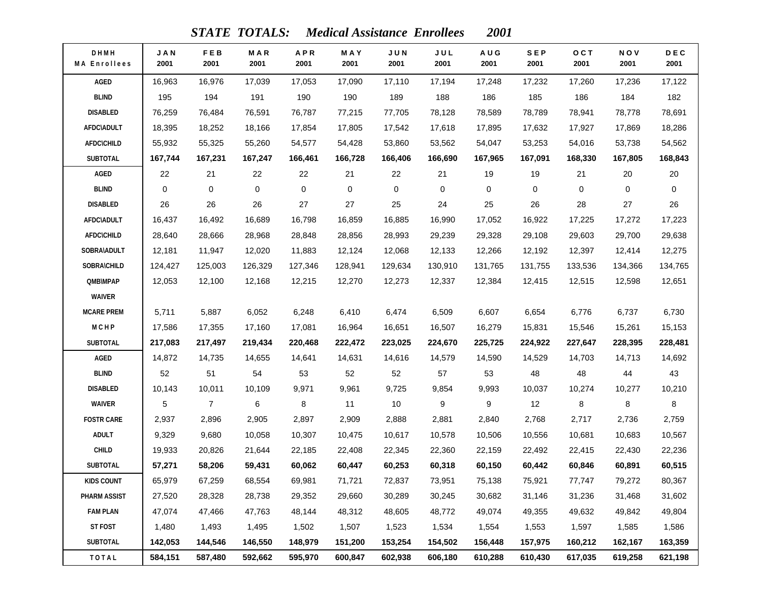*STATE TOTALS: Medical Assistance Enrollees 2001*

| DHMH<br><b>MA Enrollees</b> | JAN<br>2001 | FEB<br>2001    | <b>MAR</b><br>2001 | <b>APR</b><br>2001 | <b>MAY</b><br>2001 | <b>JUN</b><br>2001 | <b>JUL</b><br>2001 | A U G<br>2001 | <b>SEP</b><br>2001 | <b>OCT</b><br>2001 | <b>NOV</b><br>2001 | DEC<br>2001 |
|-----------------------------|-------------|----------------|--------------------|--------------------|--------------------|--------------------|--------------------|---------------|--------------------|--------------------|--------------------|-------------|
| AGED                        | 16,963      | 16,976         | 17,039             | 17,053             | 17,090             | 17,110             | 17,194             | 17,248        | 17,232             | 17,260             | 17,236             | 17,122      |
| <b>BLIND</b>                | 195         | 194            | 191                | 190                | 190                | 189                | 188                | 186           | 185                | 186                | 184                | 182         |
| <b>DISABLED</b>             | 76,259      | 76,484         | 76,591             | 76,787             | 77,215             | 77,705             | 78,128             | 78,589        | 78,789             | 78,941             | 78,778             | 78,691      |
| <b>AFDC\ADULT</b>           | 18,395      | 18,252         | 18,166             | 17,854             | 17,805             | 17,542             | 17,618             | 17,895        | 17,632             | 17,927             | 17,869             | 18,286      |
| <b>AFDC\CHILD</b>           | 55,932      | 55,325         | 55,260             | 54,577             | 54,428             | 53,860             | 53,562             | 54,047        | 53,253             | 54,016             | 53,738             | 54,562      |
| <b>SUBTOTAL</b>             | 167,744     | 167,231        | 167,247            | 166,461            | 166,728            | 166,406            | 166,690            | 167,965       | 167,091            | 168,330            | 167,805            | 168,843     |
| <b>AGED</b>                 | 22          | 21             | 22                 | 22                 | 21                 | 22                 | 21                 | 19            | 19                 | 21                 | 20                 | 20          |
| <b>BLIND</b>                | 0           | 0              | 0                  | 0                  | 0                  | 0                  | 0                  | 0             | 0                  | 0                  | 0                  | 0           |
| <b>DISABLED</b>             | 26          | 26             | 26                 | 27                 | 27                 | 25                 | 24                 | 25            | 26                 | 28                 | 27                 | 26          |
| <b>AFDC\ADULT</b>           | 16,437      | 16,492         | 16,689             | 16,798             | 16,859             | 16,885             | 16,990             | 17,052        | 16,922             | 17,225             | 17,272             | 17,223      |
| <b>AFDC\CHILD</b>           | 28,640      | 28,666         | 28,968             | 28,848             | 28,856             | 28,993             | 29,239             | 29,328        | 29,108             | 29,603             | 29,700             | 29,638      |
| SOBRA\ADULT                 | 12,181      | 11,947         | 12,020             | 11,883             | 12,124             | 12,068             | 12,133             | 12,266        | 12,192             | 12,397             | 12,414             | 12,275      |
| <b>SOBRA\CHILD</b>          | 124,427     | 125,003        | 126,329            | 127,346            | 128,941            | 129,634            | 130,910            | 131,765       | 131,755            | 133,536            | 134,366            | 134,765     |
| <b>QMB\MPAP</b>             | 12,053      | 12,100         | 12,168             | 12,215             | 12,270             | 12,273             | 12,337             | 12,384        | 12,415             | 12,515             | 12,598             | 12,651      |
| <b>WAIVER</b>               |             |                |                    |                    |                    |                    |                    |               |                    |                    |                    |             |
| <b>MCARE PREM</b>           | 5,711       | 5,887          | 6,052              | 6,248              | 6,410              | 6,474              | 6,509              | 6,607         | 6,654              | 6,776              | 6,737              | 6,730       |
| MCHP                        | 17,586      | 17,355         | 17,160             | 17,081             | 16,964             | 16,651             | 16,507             | 16,279        | 15,831             | 15,546             | 15,261             | 15,153      |
| <b>SUBTOTAL</b>             | 217,083     | 217,497        | 219,434            | 220,468            | 222,472            | 223,025            | 224,670            | 225,725       | 224,922            | 227,647            | 228,395            | 228,481     |
| <b>AGED</b>                 | 14,872      | 14,735         | 14,655             | 14,641             | 14,631             | 14,616             | 14,579             | 14,590        | 14,529             | 14,703             | 14,713             | 14,692      |
| <b>BLIND</b>                | 52          | 51             | 54                 | 53                 | 52                 | 52                 | 57                 | 53            | 48                 | 48                 | 44                 | 43          |
| <b>DISABLED</b>             | 10,143      | 10,011         | 10,109             | 9,971              | 9,961              | 9,725              | 9,854              | 9,993         | 10,037             | 10,274             | 10,277             | 10,210      |
| <b>WAIVER</b>               | 5           | $\overline{7}$ | 6                  | 8                  | 11                 | 10                 | 9                  | 9             | 12                 | 8                  | 8                  | 8           |
| <b>FOSTR CARE</b>           | 2,937       | 2,896          | 2,905              | 2,897              | 2,909              | 2,888              | 2,881              | 2,840         | 2,768              | 2,717              | 2,736              | 2,759       |
| <b>ADULT</b>                | 9,329       | 9,680          | 10,058             | 10,307             | 10,475             | 10,617             | 10,578             | 10,506        | 10,556             | 10,681             | 10,683             | 10,567      |
| <b>CHILD</b>                | 19,933      | 20,826         | 21,644             | 22,185             | 22,408             | 22,345             | 22,360             | 22,159        | 22,492             | 22,415             | 22,430             | 22,236      |
| SUBTOTAL                    | 57,271      | 58,206         | 59,431             | 60,062             | 60,447             | 60,253             | 60,318             | 60,150        | 60,442             | 60,846             | 60,891             | 60,515      |
| <b>KIDS COUNT</b>           | 65,979      | 67,259         | 68,554             | 69,981             | 71,721             | 72,837             | 73,951             | 75,138        | 75,921             | 77,747             | 79,272             | 80,367      |
| PHARM ASSIST                | 27,520      | 28,328         | 28,738             | 29,352             | 29,660             | 30,289             | 30,245             | 30,682        | 31,146             | 31,236             | 31,468             | 31,602      |
| <b>FAM PLAN</b>             | 47,074      | 47,466         | 47,763             | 48,144             | 48,312             | 48,605             | 48,772             | 49,074        | 49,355             | 49,632             | 49,842             | 49,804      |
| <b>ST FOST</b>              | 1,480       | 1,493          | 1,495              | 1,502              | 1,507              | 1,523              | 1,534              | 1,554         | 1,553              | 1,597              | 1,585              | 1,586       |
| SUBTOTAL                    | 142,053     | 144,546        | 146,550            | 148,979            | 151,200            | 153,254            | 154,502            | 156,448       | 157,975            | 160,212            | 162,167            | 163,359     |
| TOTAL                       | 584,151     | 587,480        | 592,662            | 595,970            | 600,847            | 602,938            | 606,180            | 610,288       | 610,430            | 617,035            | 619,258            | 621,198     |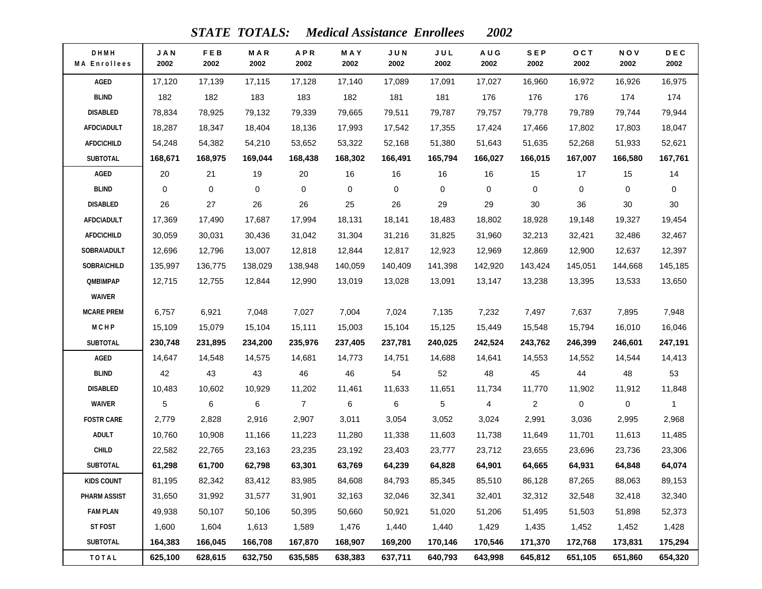*STATE TOTALS: Medical Assistance Enrollees 2002*

| DHMH<br><b>MA Enrollees</b> | JAN<br>2002 | FEB<br>2002 | <b>MAR</b><br>2002 | <b>APR</b><br>2002 | <b>MAY</b><br>2002 | <b>JUN</b><br>2002 | JUL<br>2002 | A U G<br>2002 | <b>SEP</b><br>2002 | <b>OCT</b><br>2002 | <b>NOV</b><br>2002 | <b>DEC</b><br>2002 |
|-----------------------------|-------------|-------------|--------------------|--------------------|--------------------|--------------------|-------------|---------------|--------------------|--------------------|--------------------|--------------------|
| AGED                        | 17,120      | 17,139      | 17,115             | 17,128             | 17,140             | 17,089             | 17,091      | 17,027        | 16,960             | 16,972             | 16,926             | 16,975             |
| <b>BLIND</b>                | 182         | 182         | 183                | 183                | 182                | 181                | 181         | 176           | 176                | 176                | 174                | 174                |
| <b>DISABLED</b>             | 78,834      | 78,925      | 79,132             | 79,339             | 79,665             | 79,511             | 79,787      | 79,757        | 79,778             | 79,789             | 79,744             | 79,944             |
| <b>AFDC\ADULT</b>           | 18,287      | 18,347      | 18,404             | 18,136             | 17,993             | 17,542             | 17,355      | 17,424        | 17,466             | 17,802             | 17,803             | 18,047             |
| <b>AFDC\CHILD</b>           | 54,248      | 54,382      | 54,210             | 53,652             | 53,322             | 52,168             | 51,380      | 51,643        | 51,635             | 52,268             | 51,933             | 52,621             |
| <b>SUBTOTAL</b>             | 168,671     | 168,975     | 169,044            | 168,438            | 168,302            | 166,491            | 165,794     | 166,027       | 166,015            | 167,007            | 166,580            | 167,761            |
| <b>AGED</b>                 | 20          | 21          | 19                 | 20                 | 16                 | 16                 | 16          | 16            | 15                 | 17                 | 15                 | 14                 |
| <b>BLIND</b>                | 0           | 0           | 0                  | 0                  | 0                  | 0                  | 0           | 0             | 0                  | 0                  | 0                  | 0                  |
| <b>DISABLED</b>             | 26          | 27          | 26                 | 26                 | 25                 | 26                 | 29          | 29            | $30\,$             | 36                 | 30                 | 30                 |
| <b>AFDC\ADULT</b>           | 17,369      | 17,490      | 17,687             | 17,994             | 18,131             | 18,141             | 18,483      | 18,802        | 18,928             | 19,148             | 19,327             | 19,454             |
| <b>AFDC\CHILD</b>           | 30,059      | 30,031      | 30,436             | 31,042             | 31,304             | 31,216             | 31,825      | 31,960        | 32,213             | 32,421             | 32,486             | 32,467             |
| <b>SOBRA\ADULT</b>          | 12,696      | 12,796      | 13,007             | 12,818             | 12,844             | 12,817             | 12,923      | 12,969        | 12,869             | 12,900             | 12,637             | 12,397             |
| <b>SOBRA\CHILD</b>          | 135,997     | 136,775     | 138,029            | 138,948            | 140,059            | 140,409            | 141,398     | 142,920       | 143,424            | 145,051            | 144,668            | 145,185            |
| QMB\MPAP                    | 12,715      | 12,755      | 12,844             | 12,990             | 13,019             | 13,028             | 13,091      | 13,147        | 13,238             | 13,395             | 13,533             | 13,650             |
| <b>WAIVER</b>               |             |             |                    |                    |                    |                    |             |               |                    |                    |                    |                    |
| <b>MCARE PREM</b>           | 6,757       | 6,921       | 7,048              | 7,027              | 7,004              | 7,024              | 7,135       | 7,232         | 7,497              | 7,637              | 7,895              | 7,948              |
| MCHP                        | 15,109      | 15,079      | 15,104             | 15,111             | 15,003             | 15,104             | 15,125      | 15,449        | 15,548             | 15,794             | 16,010             | 16,046             |
| <b>SUBTOTAL</b>             | 230,748     | 231,895     | 234,200            | 235,976            | 237,405            | 237,781            | 240,025     | 242,524       | 243,762            | 246,399            | 246,601            | 247,191            |
| <b>AGED</b>                 | 14,647      | 14,548      | 14,575             | 14,681             | 14,773             | 14,751             | 14,688      | 14,641        | 14,553             | 14,552             | 14,544             | 14,413             |
| <b>BLIND</b>                | 42          | 43          | 43                 | 46                 | 46                 | 54                 | 52          | 48            | 45                 | 44                 | 48                 | 53                 |
| <b>DISABLED</b>             | 10,483      | 10,602      | 10,929             | 11,202             | 11,461             | 11,633             | 11,651      | 11,734        | 11,770             | 11,902             | 11,912             | 11,848             |
| <b>WAIVER</b>               | 5           | 6           | 6                  | $\overline{7}$     | 6                  | 6                  | 5           | 4             | 2                  | 0                  | 0                  | 1                  |
| <b>FOSTR CARE</b>           | 2,779       | 2,828       | 2,916              | 2,907              | 3,011              | 3,054              | 3,052       | 3,024         | 2,991              | 3,036              | 2,995              | 2,968              |
| <b>ADULT</b>                | 10,760      | 10,908      | 11,166             | 11,223             | 11,280             | 11,338             | 11,603      | 11,738        | 11,649             | 11,701             | 11,613             | 11,485             |
| CHILD                       | 22,582      | 22,765      | 23,163             | 23,235             | 23,192             | 23,403             | 23,777      | 23,712        | 23,655             | 23,696             | 23,736             | 23,306             |
| <b>SUBTOTAL</b>             | 61,298      | 61,700      | 62,798             | 63,301             | 63,769             | 64,239             | 64,828      | 64,901        | 64,665             | 64,931             | 64,848             | 64,074             |
| <b>KIDS COUNT</b>           | 81,195      | 82,342      | 83,412             | 83,985             | 84,608             | 84,793             | 85,345      | 85,510        | 86,128             | 87,265             | 88,063             | 89,153             |
| PHARM ASSIST                | 31,650      | 31,992      | 31,577             | 31,901             | 32,163             | 32,046             | 32,341      | 32,401        | 32,312             | 32,548             | 32,418             | 32,340             |
| <b>FAM PLAN</b>             | 49,938      | 50,107      | 50,106             | 50,395             | 50,660             | 50,921             | 51,020      | 51,206        | 51,495             | 51,503             | 51,898             | 52,373             |
| <b>ST FOST</b>              | 1,600       | 1,604       | 1,613              | 1,589              | 1,476              | 1,440              | 1,440       | 1,429         | 1,435              | 1,452              | 1,452              | 1,428              |
| SUBTOTAL                    | 164,383     | 166,045     | 166,708            | 167,870            | 168,907            | 169,200            | 170,146     | 170,546       | 171,370            | 172,768            | 173,831            | 175,294            |
| TOTAL                       | 625,100     | 628,615     | 632,750            | 635,585            | 638,383            | 637,711            | 640,793     | 643,998       | 645,812            | 651,105            | 651,860            | 654,320            |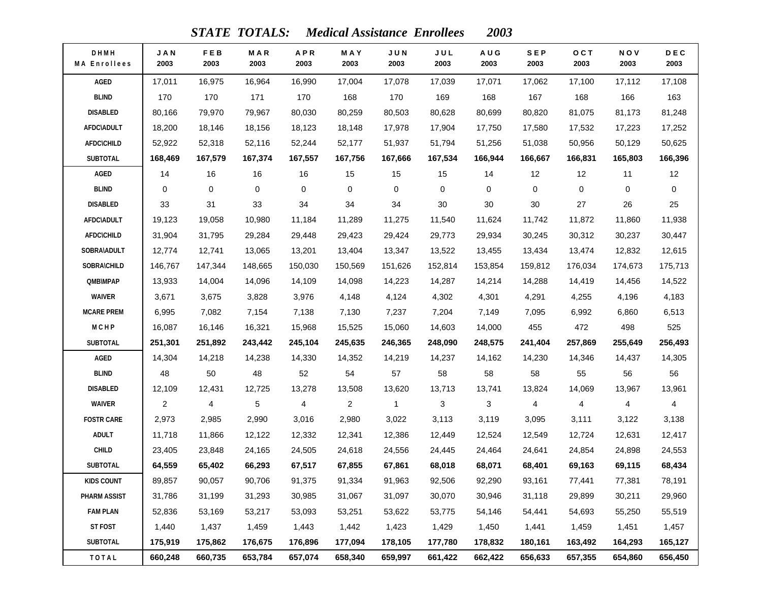*STATE TOTALS: Medical Assistance Enrollees 2003*

| DHMH<br><b>MA Enrollees</b> | JAN<br>2003    | FEB<br>2003 | <b>MAR</b><br>2003 | <b>APR</b><br>2003 | <b>MAY</b><br>2003 | <b>JUN</b><br>2003 | <b>JUL</b><br>2003 | A U G<br>2003 | <b>SEP</b><br>2003 | <b>OCT</b><br>2003 | <b>NOV</b><br>2003 | DEC<br>2003 |
|-----------------------------|----------------|-------------|--------------------|--------------------|--------------------|--------------------|--------------------|---------------|--------------------|--------------------|--------------------|-------------|
| AGED                        | 17,011         | 16,975      | 16,964             | 16,990             | 17,004             | 17,078             | 17,039             | 17,071        | 17,062             | 17,100             | 17,112             | 17,108      |
| <b>BLIND</b>                | 170            | 170         | 171                | 170                | 168                | 170                | 169                | 168           | 167                | 168                | 166                | 163         |
| <b>DISABLED</b>             | 80,166         | 79,970      | 79,967             | 80,030             | 80,259             | 80,503             | 80,628             | 80,699        | 80,820             | 81,075             | 81,173             | 81,248      |
| <b>AFDC\ADULT</b>           | 18,200         | 18,146      | 18,156             | 18,123             | 18,148             | 17,978             | 17,904             | 17,750        | 17,580             | 17,532             | 17,223             | 17,252      |
| <b>AFDC\CHILD</b>           | 52,922         | 52,318      | 52,116             | 52,244             | 52,177             | 51,937             | 51,794             | 51,256        | 51,038             | 50,956             | 50,129             | 50,625      |
| <b>SUBTOTAL</b>             | 168,469        | 167,579     | 167,374            | 167,557            | 167,756            | 167,666            | 167,534            | 166,944       | 166,667            | 166,831            | 165,803            | 166,396     |
| <b>AGED</b>                 | 14             | 16          | 16                 | 16                 | 15                 | 15                 | 15                 | 14            | 12                 | 12                 | 11                 | 12          |
| <b>BLIND</b>                | 0              | 0           | 0                  | 0                  | 0                  | 0                  | 0                  | 0             | 0                  | 0                  | 0                  | 0           |
| <b>DISABLED</b>             | 33             | 31          | 33                 | 34                 | 34                 | 34                 | 30                 | 30            | 30                 | 27                 | 26                 | 25          |
| <b>AFDC\ADULT</b>           | 19,123         | 19,058      | 10,980             | 11,184             | 11,289             | 11,275             | 11,540             | 11,624        | 11,742             | 11,872             | 11,860             | 11,938      |
| <b>AFDC\CHILD</b>           | 31,904         | 31,795      | 29,284             | 29,448             | 29,423             | 29,424             | 29,773             | 29,934        | 30,245             | 30,312             | 30,237             | 30,447      |
| SOBRA\ADULT                 | 12,774         | 12,741      | 13,065             | 13,201             | 13,404             | 13,347             | 13,522             | 13,455        | 13,434             | 13,474             | 12,832             | 12,615      |
| <b>SOBRA\CHILD</b>          | 146,767        | 147,344     | 148,665            | 150,030            | 150,569            | 151,626            | 152,814            | 153,854       | 159,812            | 176.034            | 174,673            | 175,713     |
| <b>QMB\MPAP</b>             | 13,933         | 14,004      | 14,096             | 14,109             | 14,098             | 14,223             | 14,287             | 14,214        | 14,288             | 14,419             | 14,456             | 14,522      |
| <b>WAIVER</b>               | 3,671          | 3,675       | 3,828              | 3,976              | 4,148              | 4,124              | 4,302              | 4,301         | 4,291              | 4,255              | 4,196              | 4,183       |
| <b>MCARE PREM</b>           | 6,995          | 7,082       | 7,154              | 7,138              | 7,130              | 7,237              | 7,204              | 7,149         | 7,095              | 6,992              | 6,860              | 6,513       |
| MCHP                        | 16,087         | 16,146      | 16,321             | 15,968             | 15,525             | 15,060             | 14,603             | 14,000        | 455                | 472                | 498                | 525         |
| <b>SUBTOTAL</b>             | 251,301        | 251,892     | 243,442            | 245,104            | 245,635            | 246,365            | 248,090            | 248,575       | 241,404            | 257,869            | 255,649            | 256,493     |
| <b>AGED</b>                 | 14,304         | 14,218      | 14,238             | 14,330             | 14,352             | 14,219             | 14,237             | 14,162        | 14,230             | 14,346             | 14,437             | 14,305      |
| <b>BLIND</b>                | 48             | 50          | 48                 | 52                 | 54                 | 57                 | 58                 | 58            | 58                 | 55                 | 56                 | 56          |
| <b>DISABLED</b>             | 12,109         | 12,431      | 12,725             | 13,278             | 13,508             | 13,620             | 13,713             | 13,741        | 13,824             | 14,069             | 13,967             | 13,961      |
| <b>WAIVER</b>               | $\overline{2}$ | 4           | 5                  | 4                  | $\overline{2}$     | 1                  | 3                  | 3             | 4                  | 4                  | 4                  | 4           |
| <b>FOSTR CARE</b>           | 2,973          | 2,985       | 2,990              | 3,016              | 2,980              | 3,022              | 3,113              | 3,119         | 3,095              | 3,111              | 3,122              | 3,138       |
| <b>ADULT</b>                | 11,718         | 11,866      | 12,122             | 12,332             | 12,341             | 12,386             | 12,449             | 12,524        | 12,549             | 12,724             | 12,631             | 12,417      |
| <b>CHILD</b>                | 23,405         | 23,848      | 24,165             | 24,505             | 24,618             | 24,556             | 24,445             | 24,464        | 24,641             | 24,854             | 24,898             | 24,553      |
| <b>SUBTOTAL</b>             | 64,559         | 65,402      | 66,293             | 67,517             | 67,855             | 67,861             | 68,018             | 68,071        | 68,401             | 69,163             | 69,115             | 68,434      |
| <b>KIDS COUNT</b>           | 89,857         | 90,057      | 90,706             | 91,375             | 91,334             | 91,963             | 92,506             | 92,290        | 93,161             | 77,441             | 77,381             | 78,191      |
| PHARM ASSIST                | 31,786         | 31,199      | 31,293             | 30,985             | 31,067             | 31,097             | 30,070             | 30,946        | 31,118             | 29,899             | 30,211             | 29,960      |
| <b>FAM PLAN</b>             | 52,836         | 53,169      | 53,217             | 53,093             | 53,251             | 53,622             | 53,775             | 54,146        | 54,441             | 54,693             | 55,250             | 55,519      |
| ST FOST                     | 1,440          | 1,437       | 1,459              | 1,443              | 1,442              | 1,423              | 1,429              | 1,450         | 1,441              | 1,459              | 1,451              | 1,457       |
| <b>SUBTOTAL</b>             | 175,919        | 175,862     | 176,675            | 176,896            | 177,094            | 178,105            | 177,780            | 178,832       | 180,161            | 163,492            | 164,293            | 165,127     |
| TOTAL                       | 660,248        | 660,735     | 653,784            | 657,074            | 658,340            | 659,997            | 661,422            | 662,422       | 656,633            | 657,355            | 654,860            | 656,450     |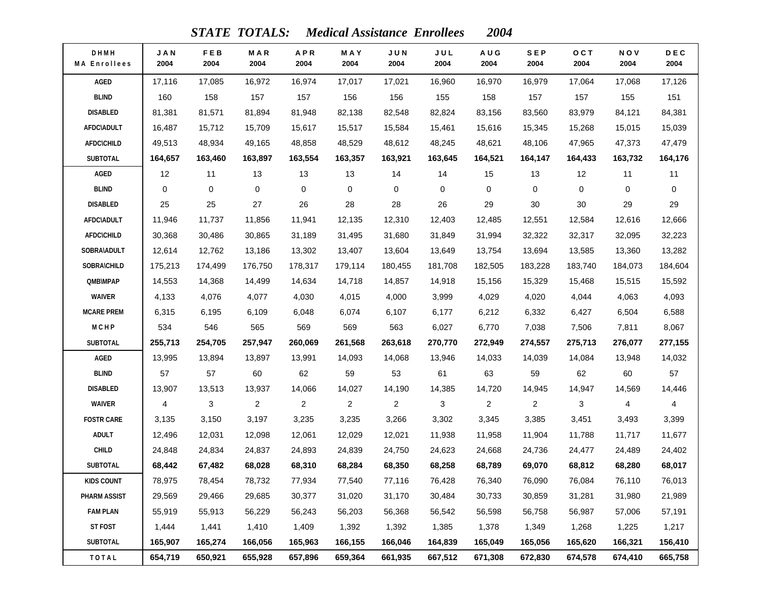*STATE TOTALS: Medical Assistance Enrollees 2004*

| DHMH<br>MA Enrollees | JAN<br>2004 | FEB<br>2004 | <b>MAR</b><br>2004 | <b>APR</b><br>2004 | <b>MAY</b><br>2004 | <b>JUN</b><br>2004 | JUL<br>2004 | A U G<br>2004  | <b>SEP</b><br>2004 | <b>OCT</b><br>2004 | <b>NOV</b><br>2004 | <b>DEC</b><br>2004 |
|----------------------|-------------|-------------|--------------------|--------------------|--------------------|--------------------|-------------|----------------|--------------------|--------------------|--------------------|--------------------|
| <b>AGED</b>          | 17,116      | 17,085      | 16,972             | 16,974             | 17,017             | 17,021             | 16,960      | 16,970         | 16,979             | 17,064             | 17,068             | 17,126             |
| <b>BLIND</b>         | 160         | 158         | 157                | 157                | 156                | 156                | 155         | 158            | 157                | 157                | 155                | 151                |
| <b>DISABLED</b>      | 81,381      | 81,571      | 81,894             | 81,948             | 82,138             | 82,548             | 82,824      | 83,156         | 83,560             | 83,979             | 84,121             | 84,381             |
| <b>AFDC\ADULT</b>    | 16,487      | 15,712      | 15,709             | 15,617             | 15,517             | 15,584             | 15,461      | 15,616         | 15,345             | 15,268             | 15,015             | 15,039             |
| <b>AFDC\CHILD</b>    | 49,513      | 48,934      | 49,165             | 48,858             | 48,529             | 48,612             | 48,245      | 48,621         | 48,106             | 47,965             | 47,373             | 47,479             |
| <b>SUBTOTAL</b>      | 164,657     | 163,460     | 163,897            | 163,554            | 163,357            | 163,921            | 163,645     | 164,521        | 164,147            | 164,433            | 163,732            | 164,176            |
| <b>AGED</b>          | 12          | 11          | 13                 | 13                 | 13                 | 14                 | 14          | 15             | 13                 | 12                 | 11                 | 11                 |
| <b>BLIND</b>         | 0           | 0           | 0                  | 0                  | 0                  | 0                  | 0           | 0              | 0                  | 0                  | 0                  | 0                  |
| <b>DISABLED</b>      | 25          | 25          | 27                 | 26                 | 28                 | 28                 | 26          | 29             | 30                 | 30                 | 29                 | 29                 |
| AFDC\ADULT           | 11,946      | 11,737      | 11,856             | 11,941             | 12,135             | 12,310             | 12,403      | 12,485         | 12,551             | 12,584             | 12,616             | 12,666             |
| <b>AFDC\CHILD</b>    | 30,368      | 30,486      | 30,865             | 31,189             | 31,495             | 31,680             | 31,849      | 31,994         | 32,322             | 32,317             | 32,095             | 32,223             |
| SOBRA\ADULT          | 12,614      | 12,762      | 13,186             | 13,302             | 13,407             | 13,604             | 13,649      | 13,754         | 13,694             | 13,585             | 13,360             | 13,282             |
| <b>SOBRA\CHILD</b>   | 175,213     | 174,499     | 176,750            | 178,317            | 179,114            | 180,455            | 181,708     | 182,505        | 183,228            | 183,740            | 184,073            | 184,604            |
| <b>QMB\MPAP</b>      | 14,553      | 14,368      | 14,499             | 14,634             | 14,718             | 14,857             | 14,918      | 15,156         | 15,329             | 15,468             | 15,515             | 15,592             |
| <b>WAIVER</b>        | 4,133       | 4,076       | 4,077              | 4,030              | 4,015              | 4,000              | 3,999       | 4,029          | 4,020              | 4,044              | 4,063              | 4,093              |
| <b>MCARE PREM</b>    | 6,315       | 6,195       | 6,109              | 6,048              | 6,074              | 6,107              | 6,177       | 6,212          | 6,332              | 6,427              | 6,504              | 6,588              |
| MCHP                 | 534         | 546         | 565                | 569                | 569                | 563                | 6,027       | 6,770          | 7,038              | 7,506              | 7,811              | 8,067              |
| <b>SUBTOTAL</b>      | 255,713     | 254,705     | 257,947            | 260,069            | 261,568            | 263,618            | 270,770     | 272,949        | 274,557            | 275,713            | 276,077            | 277,155            |
| <b>AGED</b>          | 13,995      | 13,894      | 13,897             | 13,991             | 14,093             | 14,068             | 13,946      | 14,033         | 14,039             | 14,084             | 13,948             | 14,032             |
| <b>BLIND</b>         | 57          | 57          | 60                 | 62                 | 59                 | 53                 | 61          | 63             | 59                 | 62                 | 60                 | 57                 |
| <b>DISABLED</b>      | 13,907      | 13,513      | 13,937             | 14,066             | 14,027             | 14,190             | 14,385      | 14,720         | 14,945             | 14,947             | 14,569             | 14,446             |
| <b>WAIVER</b>        | 4           | 3           | $\overline{2}$     | $\overline{2}$     | $\overline{2}$     | 2                  | 3           | $\overline{2}$ | 2                  | 3                  | 4                  | 4                  |
| <b>FOSTR CARE</b>    | 3,135       | 3,150       | 3,197              | 3,235              | 3,235              | 3,266              | 3,302       | 3,345          | 3,385              | 3,451              | 3,493              | 3,399              |
| ADULT                | 12,496      | 12,031      | 12,098             | 12,061             | 12,029             | 12,021             | 11,938      | 11,958         | 11,904             | 11,788             | 11,717             | 11,677             |
| CHILD                | 24,848      | 24,834      | 24,837             | 24,893             | 24,839             | 24,750             | 24,623      | 24,668         | 24,736             | 24,477             | 24,489             | 24,402             |
| <b>SUBTOTAL</b>      | 68,442      | 67,482      | 68,028             | 68,310             | 68,284             | 68,350             | 68,258      | 68,789         | 69,070             | 68,812             | 68,280             | 68,017             |
| <b>KIDS COUNT</b>    | 78,975      | 78,454      | 78,732             | 77,934             | 77,540             | 77,116             | 76,428      | 76,340         | 76,090             | 76,084             | 76,110             | 76,013             |
| PHARM ASSIST         | 29,569      | 29,466      | 29,685             | 30,377             | 31,020             | 31,170             | 30,484      | 30,733         | 30,859             | 31,281             | 31,980             | 21,989             |
| <b>FAM PLAN</b>      | 55,919      | 55,913      | 56,229             | 56,243             | 56,203             | 56,368             | 56,542      | 56,598         | 56,758             | 56,987             | 57,006             | 57,191             |
| ST FOST              | 1,444       | 1,441       | 1,410              | 1,409              | 1,392              | 1,392              | 1,385       | 1,378          | 1,349              | 1,268              | 1,225              | 1,217              |
| <b>SUBTOTAL</b>      | 165,907     | 165,274     | 166,056            | 165,963            | 166,155            | 166,046            | 164,839     | 165,049        | 165,056            | 165,620            | 166,321            | 156,410            |
| TOTAL                | 654,719     | 650,921     | 655,928            | 657,896            | 659,364            | 661,935            | 667,512     | 671,308        | 672,830            | 674,578            | 674,410            | 665,758            |